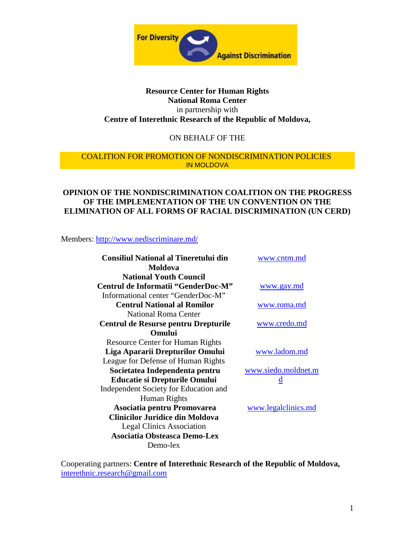

## **Resource Center for Human Rights National Roma Center** in partnership with **Centre of Interethnic Research of the Republic of Moldova,**

## ON BEHALF OF THE

#### COALITION FOR PROMOTION OF NONDISCRIMINATION POLICIES IN MOLDOVA

## **OPINION OF THE NONDISCRIMINATION COALITION ON THE PROGRESS OF THE IMPLEMENTATION OF THE UN CONVENTION ON THE ELIMINATION OF ALL FORMS OF RACIAL DISCRIMINATION (UN CERD)**

Members: http://www.nediscriminare.md/

| <b>Consiliul National al Tineretului din</b><br>Moldova | www.cntm.md             |
|---------------------------------------------------------|-------------------------|
| <b>National Youth Council</b>                           |                         |
| Centrul de Informatii "GenderDoc-M"                     | www.gay.md              |
| Informational center "GenderDoc-M"                      |                         |
| <b>Centrul National al Romilor</b>                      | www.roma.md             |
| National Roma Center                                    |                         |
| Centrul de Resurse pentru Drepturile                    | www.credo.md            |
| <b>Omului</b>                                           |                         |
| <b>Resource Center for Human Rights</b>                 |                         |
| Liga Apararii Drepturilor Omului                        | www.ladom.md            |
| League for Defense of Human Rights                      |                         |
| Societatea Independenta pentru                          | www.siedo.moldnet.m     |
| <b>Educatie si Drepturile Omului</b>                    | $\overline{\mathbf{d}}$ |
| Independent Society for Education and                   |                         |
| Human Rights                                            |                         |
| Asociatia pentru Promovarea                             | www.legalclinics.md     |
| Clinicilor Juridice din Moldova                         |                         |
| <b>Legal Clinics Association</b>                        |                         |
| <b>Asociatia Obsteasca Demo-Lex</b>                     |                         |
| Demo-lex                                                |                         |

Cooperating partners: **Centre of Interethnic Research of the Republic of Moldova,** interethnic.research@gmail.com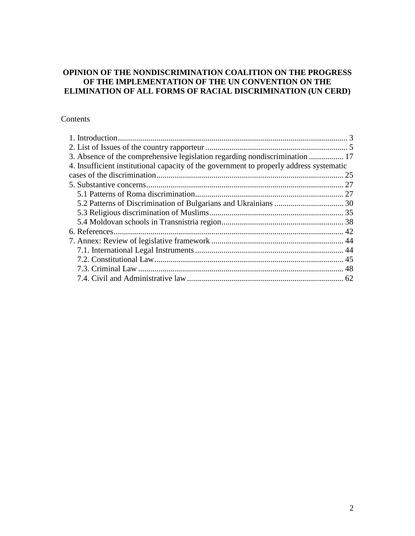## **OPINION OF THE NONDISCRIMINATION COALITION ON THE PROGRESS OF THE IMPLEMENTATION OF THE UN CONVENTION ON THE ELIMINATION OF ALL FORMS OF RACIAL DISCRIMINATION (UN CERD)**

## Contents

| 3. Absence of the comprehensive legislation regarding nondiscrimination  17             |  |
|-----------------------------------------------------------------------------------------|--|
| 4. Insufficient institutional capacity of the government to properly address systematic |  |
|                                                                                         |  |
|                                                                                         |  |
|                                                                                         |  |
|                                                                                         |  |
|                                                                                         |  |
|                                                                                         |  |
|                                                                                         |  |
|                                                                                         |  |
|                                                                                         |  |
|                                                                                         |  |
|                                                                                         |  |
|                                                                                         |  |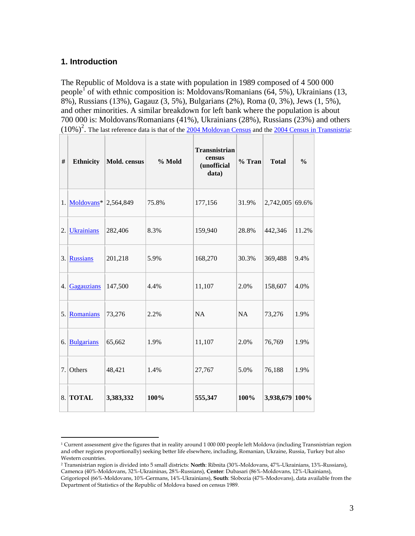## **1. Introduction**

The Republic of Moldova is a state with population in 1989 composed of 4 500 000 people<sup>1</sup> of with ethnic composition is: Moldovans/Romanians (64, 5%), Ukrainians (13, 8%), Russians (13%), Gagauz (3, 5%), Bulgarians (2%), Roma (0, 3%), Jews (1, 5%), and other minorities. A similar breakdown for left bank where the population is about 700 000 is: Moldovans/Romanians (41%), Ukrainians (28%), Russians (23%) and others  $(10\%)^2$ . The last reference data is that of the  $\frac{2004 \text{ Moldovan Census}}{2004 \text{ Census}}$  and the  $\frac{2004 \text{ Census in Transmissionistria}}{2004 \text{ Census}}$ .

| #  | <b>Ethnicity</b>                    | Mold. census | % Mold | <b>Transnistrian</b><br>census<br>(unofficial<br>data) | $%$ Tran  | <b>Total</b>    | $\frac{0}{0}$ |
|----|-------------------------------------|--------------|--------|--------------------------------------------------------|-----------|-----------------|---------------|
|    | 1. Moldovans <sup>*</sup> 2,564,849 |              | 75.8%  | 177,156                                                | 31.9%     | 2,742,005 69.6% |               |
| 2. | <b>Ukrainians</b>                   | 282,406      | 8.3%   | 159,940                                                | 28.8%     | 442,346         | 11.2%         |
|    | 3. Russians                         | 201,218      | 5.9%   | 168,270                                                | 30.3%     | 369,488         | 9.4%          |
|    | 4. Gagauzians                       | 147,500      | 4.4%   | 11,107                                                 | 2.0%      | 158,607         | 4.0%          |
|    | 5. Romanians                        | 73,276       | 2.2%   | <b>NA</b>                                              | <b>NA</b> | 73,276          | 1.9%          |
|    | 6. Bulgarians                       | 65,662       | 1.9%   | 11,107                                                 | 2.0%      | 76,769          | 1.9%          |
|    | $7.$ Others                         | 48,421       | 1.4%   | 27,767                                                 | 5.0%      | 76,188          | 1.9%          |
|    | 8. TOTAL                            | 3,383,332    | 100%   | 555,347                                                | 100%      | 3,938,679 100%  |               |

 $1$  Current assessment give the figures that in reality around  $1000000$  people left Moldova (including Transnistrian region and other regions proportionally) seeking better life elsewhere, including, Romanian, Ukraine, Russia, Turkey but also Western countries.

<sup>2</sup> Transnistrian region is divided into 5 small districts: **North**: Ribnita (30%-Moldovans, 47%-Ukrainians, 13%-Russians), Camenca (40%-Moldovans, 32%-Ukraininas, 28%-Russians), **Center**: Dubasari (86%-Moldovans, 12%-Ukainians), Grigoriopol (66%-Moldovans, 10%-Germans, 14%-Ukrainians), **South**: Slobozia (47%-Modovans), data available from the Department of Statistics of the Republic of Moldova based on census 1989.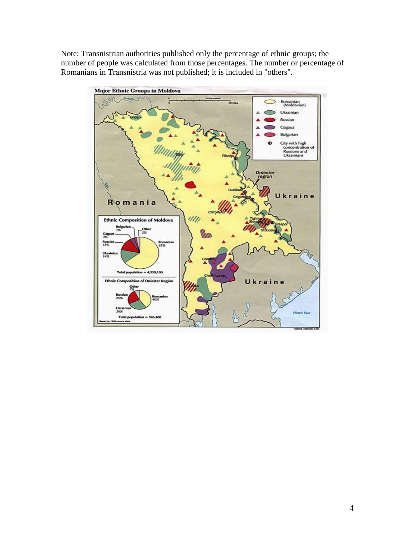Note: Transnistrian authorities published only the percentage of ethnic groups; the number of people was calculated from those percentages. The number or percentage of Romanians in Transnistria was not published; it is included in "others".

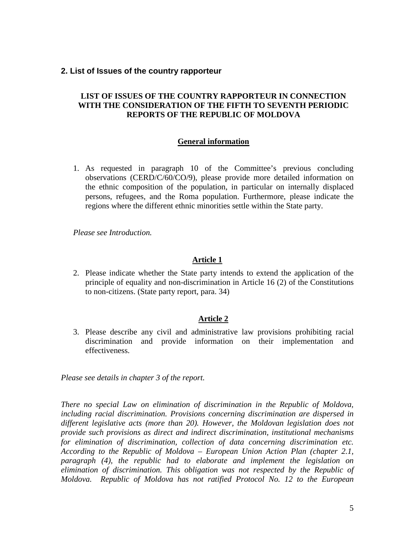## **2. List of Issues of the country rapporteur**

## **LIST OF ISSUES OF THE COUNTRY RAPPORTEUR IN CONNECTION WITH THE CONSIDERATION OF THE FIFTH TO SEVENTH PERIODIC REPORTS OF THE REPUBLIC OF MOLDOVA**

#### **General information**

1. As requested in paragraph 10 of the Committee's previous concluding observations (CERD/C/60/CO/9), please provide more detailed information on the ethnic composition of the population, in particular on internally displaced persons, refugees, and the Roma population. Furthermore, please indicate the regions where the different ethnic minorities settle within the State party.

*Please see Introduction.*

### **Article 1**

2. Please indicate whether the State party intends to extend the application of the principle of equality and non-discrimination in Article 16 (2) of the Constitutions to non-citizens. (State party report, para. 34)

#### **Article 2**

3. Please describe any civil and administrative law provisions prohibiting racial discrimination and provide information on their implementation and effectiveness.

*Please see details in chapter 3 of the report.*

*There no special Law on elimination of discrimination in the Republic of Moldova, including racial discrimination. Provisions concerning discrimination are dispersed in different legislative acts (more than 20). However, the Moldovan legislation does not provide such provisions as direct and indirect discrimination, institutional mechanisms for elimination of discrimination, collection of data concerning discrimination etc. According to the Republic of Moldova – European Union Action Plan (chapter 2.1, paragraph (4), the republic had to elaborate and implement the legislation on elimination of discrimination. This obligation was not respected by the Republic of Moldova. Republic of Moldova has not ratified Protocol No. 12 to the European*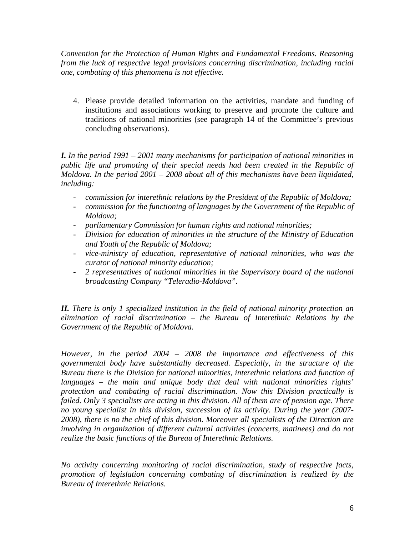*Convention for the Protection of Human Rights and Fundamental Freedoms. Reasoning from the luck of respective legal provisions concerning discrimination, including racial one, combating of this phenomena is not effective.*

4. Please provide detailed information on the activities, mandate and funding of institutions and associations working to preserve and promote the culture and traditions of national minorities (see paragraph 14 of the Committee's previous concluding observations).

*I. In the period 1991 – 2001 many mechanisms for participation of national minorities in public life and promoting of their special needs had been created in the Republic of Moldova. In the period 2001 – 2008 about all of this mechanisms have been liquidated, including:*

- *commission for interethnic relations by the President of the Republic of Moldova;*
- *commission for the functioning of languages by the Government of the Republic of Moldova;*
- *parliamentary Commission for human rights and national minorities;*
- *Division for education of minorities in the structure of the Ministry of Education and Youth of the Republic of Moldova;*
- *vice-ministry of education, representative of national minorities, who was the curator of national minority education;*
- *2 representatives of national minorities in the Supervisory board of the national broadcasting Company "Teleradio-Moldova".*

*II. There is only 1 specialized institution in the field of national minority protection an elimination of racial discrimination – the Bureau of Interethnic Relations by the Government of the Republic of Moldova.*

*However, in the period 2004 – 2008 the importance and effectiveness of this governmental body have substantially decreased. Especially, in the structure of the Bureau there is the Division for national minorities, interethnic relations and function of languages – the main and unique body that deal with national minorities rights' protection and combating of racial discrimination. Now this Division practically is failed. Only 3 specialists are acting in this division. All of them are of pension age. There no young specialist in this division, succession of its activity. During the year (2007- 2008), there is no the chief of this division. Moreover all specialists of the Direction are involving in organization of different cultural activities (concerts, matinees) and do not realize the basic functions of the Bureau of Interethnic Relations.*

*No activity concerning monitoring of racial discrimination, study of respective facts, promotion of legislation concerning combating of discrimination is realized by the Bureau of Interethnic Relations.*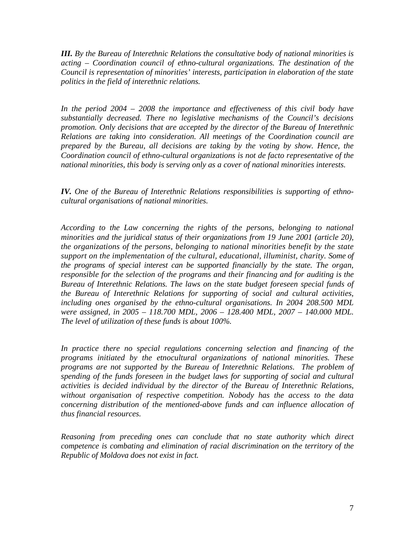*III. By the Bureau of Interethnic Relations the consultative body of national minorities is acting – Coordination council of ethno-cultural organizations. The destination of the Council is representation of minorities' interests, participation in elaboration of the state politics in the field of interethnic relations.*

*In the period 2004 – 2008 the importance and effectiveness of this civil body have substantially decreased. There no legislative mechanisms of the Council's decisions promotion. Only decisions that are accepted by the director of the Bureau of Interethnic Relations are taking into consideration. All meetings of the Coordination council are prepared by the Bureau, all decisions are taking by the voting by show. Hence, the Coordination council of ethno-cultural organizations is not de facto representative of the national minorities, this body is serving only as a cover of national minorities interests.*

*IV. One of the Bureau of Interethnic Relations responsibilities is supporting of ethnocultural organisations of national minorities.*

*According to the Law concerning the rights of the persons, belonging to national minorities and the juridical status of their organizations from 19 June 2001 (article 20), the organizations of the persons, belonging to national minorities benefit by the state support on the implementation of the cultural, educational, illuminist, charity. Some of the programs of special interest can be supported financially by the state. The organ, responsible for the selection of the programs and their financing and for auditing is the Bureau of Interethnic Relations. The laws on the state budget foreseen special funds of the Bureau of Interethnic Relations for supporting of social and cultural activities, including ones organised by the ethno-cultural organisations. In 2004 208.500 MDL were assigned, in 2005 – 118.700 MDL, 2006 – 128.400 MDL, 2007 – 140.000 MDL. The level of utilization of these funds is about 100%.*

*In practice there no special regulations concerning selection and financing of the programs initiated by the etnocultural organizations of national minorities. These programs are not supported by the Bureau of Interethnic Relations. The problem of spending of the funds foreseen in the budget laws for supporting of social and cultural activities is decided individual by the director of the Bureau of Interethnic Relations, without organisation of respective competition. Nobody has the access to the data concerning distribution of the mentioned-above funds and can influence allocation of thus financial resources.*

*Reasoning from preceding ones can conclude that no state authority which direct competence is combating and elimination of racial discrimination on the territory of the Republic of Moldova does not exist in fact.*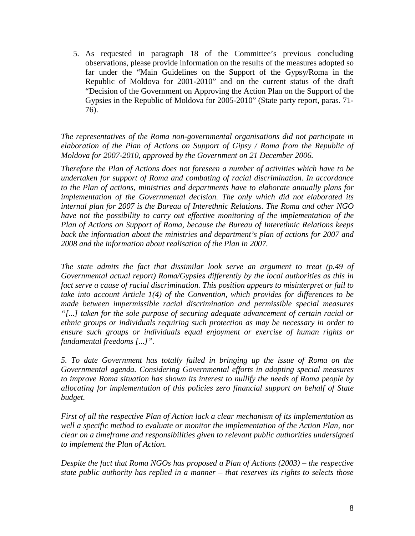5. As requested in paragraph 18 of the Committee's previous concluding observations, please provide information on the results of the measures adopted so far under the "Main Guidelines on the Support of the Gypsy/Roma in the Republic of Moldova for 2001-2010" and on the current status of the draft "Decision of the Government on Approving the Action Plan on the Support of the Gypsies in the Republic of Moldova for 2005-2010" (State party report, paras. 71- 76).

*The representatives of the Roma non-governmental organisations did not participate in elaboration of the Plan of Actions on Support of Gipsy / Roma from the Republic of Moldova for 2007-2010, approved by the Government on 21 December 2006.*

*Therefore the Plan of Actions does not foreseen a number of activities which have to be undertaken for support of Roma and combating of racial discrimination. In accordance to the Plan of actions, ministries and departments have to elaborate annually plans for implementation of the Governmental decision. The only which did not elaborated its internal plan for 2007 is the Bureau of Interethnic Relations. The Roma and other NGO have not the possibility to carry out effective monitoring of the implementation of the Plan of Actions on Support of Roma, because the Bureau of Interethnic Relations keeps back the information about the ministries and department's plan of actions for 2007 and 2008 and the information about realisation of the Plan in 2007.*

*The state admits the fact that dissimilar look serve an argument to treat (p.49 of Governmental actual report) Roma/Gypsies differently by the local authorities as this in fact serve a cause of racial discrimination. This position appears to misinterpret or fail to take into account Article 1(4) of the Convention, which provides for differences to be made between impermissible racial discrimination and permissible special measures "[...] taken for the sole purpose of securing adequate advancement of certain racial or ethnic groups or individuals requiring such protection as may be necessary in order to ensure such groups or individuals equal enjoyment or exercise of human rights or fundamental freedoms [...]".*

*5. To date Government has totally failed in bringing up the issue of Roma on the Governmental agenda. Considering Governmental efforts in adopting special measures to improve Roma situation has shown its interest to nullify the needs of Roma people by allocating for implementation of this policies zero financial support on behalf of State budget.*

*First of all the respective Plan of Action lack a clear mechanism of its implementation as well a specific method to evaluate or monitor the implementation of the Action Plan, nor clear on a timeframe and responsibilities given to relevant public authorities undersigned to implement the Plan of Action.*

*Despite the fact that Roma NGOs has proposed a Plan of Actions (2003) – the respective state public authority has replied in a manner – that reserves its rights to selects those*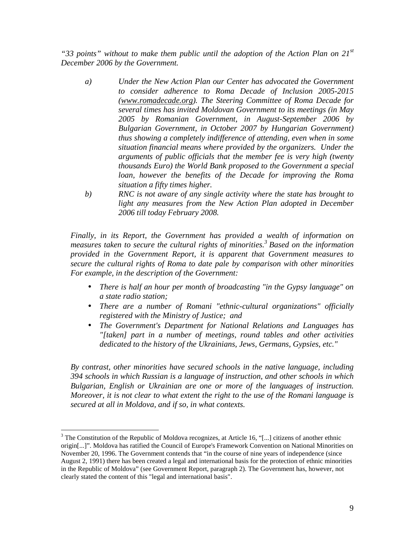*"33 points" without to make them public until the adoption of the Action Plan on 21st December 2006 by the Government.*

- *a) Under the New Action Plan our Center has advocated the Government to consider adherence to Roma Decade of Inclusion 2005-2015 (www.romadecade.org). The Steering Committee of Roma Decade for several times has invited Moldovan Government to its meetings (in May 2005 by Romanian Government, in August-September 2006 by Bulgarian Government, in October 2007 by Hungarian Government) thus showing a completely indifference of attending, even when in some situation financial means where provided by the organizers. Under the arguments of public officials that the member fee is very high (twenty thousands Euro) the World Bank proposed to the Government a special loan, however the benefits of the Decade for improving the Roma situation a fifty times higher.*
- *b) RNC is not aware of any single activity where the state has brought to light any measures from the New Action Plan adopted in December 2006 till today February 2008.*

*Finally, in its Report, the Government has provided a wealth of information on measures taken to secure the cultural rights of minorities.<sup>3</sup> Based on the information provided in the Government Report, it is apparent that Government measures to secure the cultural rights of Roma to date pale by comparison with other minorities For example, in the description of the Government:*

- *There is half an hour per month of broadcasting "in the Gypsy language" on a state radio station;*
- *There are a number of Romani "ethnic-cultural organizations" officially registered with the Ministry of Justice; and*
- *The Government's Department for National Relations and Languages has "[taken] part in a number of meetings, round tables and other activities dedicated to the history of the Ukrainians, Jews, Germans, Gypsies, etc."*

*By contrast, other minorities have secured schools in the native language, including 394 schools in which Russian is a language of instruction, and other schools in which Bulgarian, English or Ukrainian are one or more of the languages of instruction. Moreover, it is not clear to what extent the right to the use of the Romani language is secured at all in Moldova, and if so, in what contexts.*

<sup>&</sup>lt;sup>3</sup> The Constitution of the Republic of Moldova recognizes, at Article 16, "[...] citizens of another ethnic origin[...]". Moldova has ratified the Council of Europe's Framework Convention on National Minorities on November 20, 1996. The Government contends that "in the course of nine years of independence (since August 2, 1991) there has been created a legal and international basis for the protection of ethnic minorities in the Republic of Moldova" (see Government Report, paragraph 2). The Government has, however, not clearly stated the content of this "legal and international basis".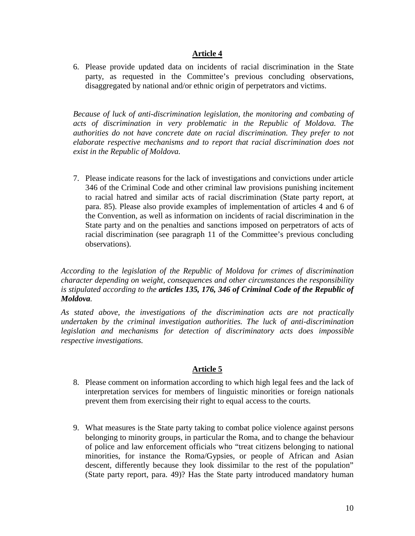## **Article 4**

6. Please provide updated data on incidents of racial discrimination in the State party, as requested in the Committee's previous concluding observations, disaggregated by national and/or ethnic origin of perpetrators and victims.

*Because of luck of anti-discrimination legislation, the monitoring and combating of acts of discrimination in very problematic in the Republic of Moldova. The authorities do not have concrete date on racial discrimination. They prefer to not elaborate respective mechanisms and to report that racial discrimination does not exist in the Republic of Moldova.*

7. Please indicate reasons for the lack of investigations and convictions under article 346 of the Criminal Code and other criminal law provisions punishing incitement to racial hatred and similar acts of racial discrimination (State party report, at para. 85). Please also provide examples of implementation of articles 4 and 6 of the Convention, as well as information on incidents of racial discrimination in the State party and on the penalties and sanctions imposed on perpetrators of acts of racial discrimination (see paragraph 11 of the Committee's previous concluding observations).

*According to the legislation of the Republic of Moldova for crimes of discrimination character depending on weight, consequences and other circumstances the responsibility is stipulated according to the articles 135, 176, 346 of Criminal Code of the Republic of Moldova.*

*As stated above, the investigations of the discrimination acts are not practically undertaken by the criminal investigation authorities. The luck of anti-discrimination legislation and mechanisms for detection of discriminatory acts does impossible respective investigations.*

# **Article 5**

- 8. Please comment on information according to which high legal fees and the lack of interpretation services for members of linguistic minorities or foreign nationals prevent them from exercising their right to equal access to the courts.
- 9. What measures is the State party taking to combat police violence against persons belonging to minority groups, in particular the Roma, and to change the behaviour of police and law enforcement officials who "treat citizens belonging to national minorities, for instance the Roma/Gypsies, or people of African and Asian descent, differently because they look dissimilar to the rest of the population" (State party report, para. 49)? Has the State party introduced mandatory human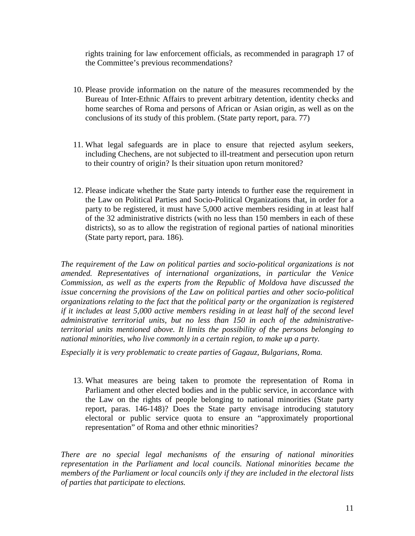rights training for law enforcement officials, as recommended in paragraph 17 of the Committee's previous recommendations?

- 10. Please provide information on the nature of the measures recommended by the Bureau of Inter-Ethnic Affairs to prevent arbitrary detention, identity checks and home searches of Roma and persons of African or Asian origin, as well as on the conclusions of its study of this problem. (State party report, para. 77)
- 11. What legal safeguards are in place to ensure that rejected asylum seekers, including Chechens, are not subjected to ill-treatment and persecution upon return to their country of origin? Is their situation upon return monitored?
- 12. Please indicate whether the State party intends to further ease the requirement in the Law on Political Parties and Socio-Political Organizations that, in order for a party to be registered, it must have 5,000 active members residing in at least half of the 32 administrative districts (with no less than 150 members in each of these districts), so as to allow the registration of regional parties of national minorities (State party report, para. 186).

*The requirement of the Law on political parties and socio-political organizations is not amended. Representatives of international organizations, in particular the Venice Commission, as well as the experts from the Republic of Moldova have discussed the issue concerning the provisions of the Law on political parties and other socio-political organizations relating to the fact that the political party or the organization is registered if it includes at least 5,000 active members residing in at least half of the second level administrative territorial units, but no less than 150 in each of the administrativeterritorial units mentioned above. It limits the possibility of the persons belonging to national minorities, who live commonly in a certain region, to make up a party.*

*Especially it is very problematic to create parties of Gagauz, Bulgarians, Roma.*

13. What measures are being taken to promote the representation of Roma in Parliament and other elected bodies and in the public service, in accordance with the Law on the rights of people belonging to national minorities (State party report, paras. 146-148)? Does the State party envisage introducing statutory electoral or public service quota to ensure an "approximately proportional representation" of Roma and other ethnic minorities?

*There are no special legal mechanisms of the ensuring of national minorities representation in the Parliament and local councils. National minorities became the members of the Parliament or local councils only if they are included in the electoral lists of parties that participate to elections.*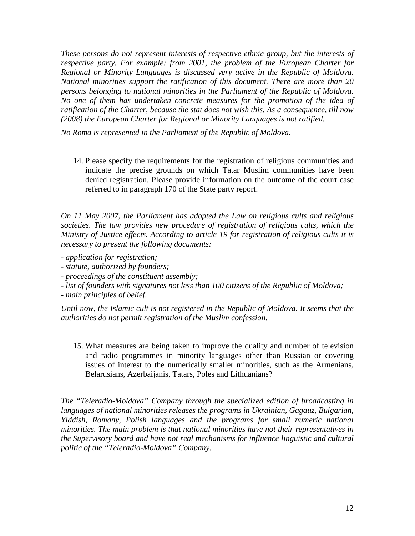*These persons do not represent interests of respective ethnic group, but the interests of respective party. For example: from 2001, the problem of the European Charter for Regional or Minority Languages is discussed very active in the Republic of Moldova. National minorities support the ratification of this document. There are more than 20 persons belonging to national minorities in the Parliament of the Republic of Moldova. No one of them has undertaken concrete measures for the promotion of the idea of ratification of the Charter, because the stat does not wish this. As a consequence, till now (2008) the European Charter for Regional or Minority Languages is not ratified.*

*No Roma is represented in the Parliament of the Republic of Moldova.*

14. Please specify the requirements for the registration of religious communities and indicate the precise grounds on which Tatar Muslim communities have been denied registration. Please provide information on the outcome of the court case referred to in paragraph 170 of the State party report.

*On 11 May 2007, the Parliament has adopted the Law on religious cults and religious societies. The law provides new procedure of registration of religious cults, which the Ministry of Justice effects. According to article 19 for registration of religious cults it is necessary to present the following documents:*

- *- application for registration;*
- *- statute, authorized by founders;*
- *- proceedings of the constituent assembly;*
- *- list of founders with signatures not less than 100 citizens of the Republic of Moldova;*
- *- main principles of belief.*

*Until now, the Islamic cult is not registered in the Republic of Moldova. It seems that the authorities do not permit registration of the Muslim confession.*

15. What measures are being taken to improve the quality and number of television and radio programmes in minority languages other than Russian or covering issues of interest to the numerically smaller minorities, such as the Armenians, Belarusians, Azerbaijanis, Tatars, Poles and Lithuanians?

*The "Teleradio-Moldova" Company through the specialized edition of broadcasting in languages of national minorities releases the programs in Ukrainian, Gagauz, Bulgarian, Yiddish, Romany, Polish languages and the programs for small numeric national minorities. The main problem is that national minorities have not their representatives in the Supervisory board and have not real mechanisms for influence linguistic and cultural politic of the "Teleradio-Moldova" Company.*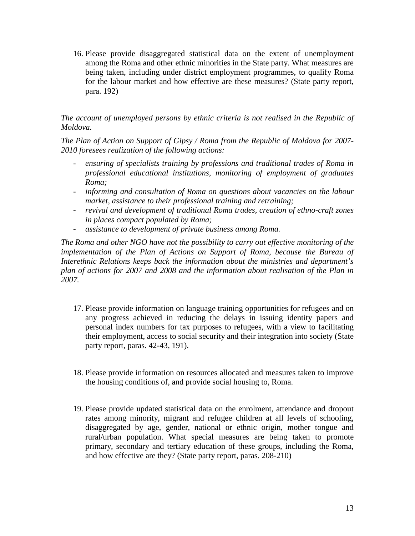16. Please provide disaggregated statistical data on the extent of unemployment among the Roma and other ethnic minorities in the State party. What measures are being taken, including under district employment programmes, to qualify Roma for the labour market and how effective are these measures? (State party report, para. 192)

## *The account of unemployed persons by ethnic criteria is not realised in the Republic of Moldova.*

*The Plan of Action on Support of Gipsy / Roma from the Republic of Moldova for 2007- 2010 foresees realization of the following actions:*

- *ensuring of specialists training by professions and traditional trades of Roma in professional educational institutions, monitoring of employment of graduates Roma;*
- *informing and consultation of Roma on questions about vacancies on the labour market, assistance to their professional training and retraining;*
- *revival and development of traditional Roma trades, creation of ethno-craft zones in places compact populated by Roma;*
- *assistance to development of private business among Roma.*

*The Roma and other NGO have not the possibility to carry out effective monitoring of the implementation of the Plan of Actions on Support of Roma, because the Bureau of Interethnic Relations keeps back the information about the ministries and department's plan of actions for 2007 and 2008 and the information about realisation of the Plan in 2007.*

- 17. Please provide information on language training opportunities for refugees and on any progress achieved in reducing the delays in issuing identity papers and personal index numbers for tax purposes to refugees, with a view to facilitating their employment, access to social security and their integration into society (State party report, paras. 42-43, 191).
- 18. Please provide information on resources allocated and measures taken to improve the housing conditions of, and provide social housing to, Roma.
- 19. Please provide updated statistical data on the enrolment, attendance and dropout rates among minority, migrant and refugee children at all levels of schooling, disaggregated by age, gender, national or ethnic origin, mother tongue and rural/urban population. What special measures are being taken to promote primary, secondary and tertiary education of these groups, including the Roma, and how effective are they? (State party report, paras. 208-210)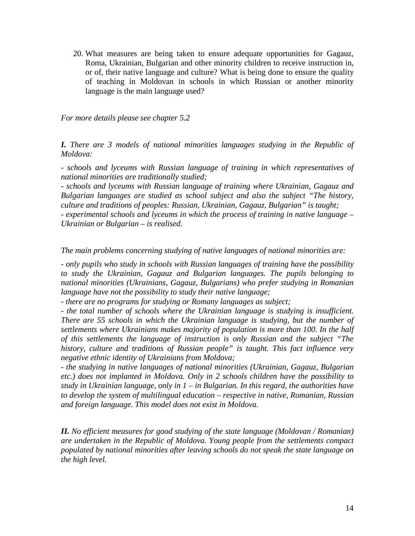20. What measures are being taken to ensure adequate opportunities for Gagauz, Roma, Ukrainian, Bulgarian and other minority children to receive instruction in, or of, their native language and culture? What is being done to ensure the quality of teaching in Moldovan in schools in which Russian or another minority language is the main language used?

*For more details please see chapter 5.2*

*I. There are 3 models of national minorities languages studying in the Republic of Moldova:*

*- schools and lyceums with Russian language of training in which representatives of national minorities are traditionally studied;*

*- schools and lyceums with Russian language of training where Ukrainian, Gagauz and Bulgarian languages are studied as school subject and also the subject "The history, culture and traditions of peoples: Russian, Ukrainian, Gagauz, Bulgarian" is taught; - experimental schools and lyceums in which the process of training in native language –*

*Ukrainian or Bulgarian – is realised.*

*The main problems concerning studying of native languages of national minorities are:*

*- only pupils who study in schools with Russian languages of training have the possibility to study the Ukrainian, Gagauz and Bulgarian languages. The pupils belonging to national minorities (Ukrainians, Gagauz, Bulgarians) who prefer studying in Romanian language have not the possibility to study their native language;*

*- there are no programs for studying or Romany languages as subject;*

*- the total number of schools where the Ukrainian language is studying is insufficient. There are 55 schools in which the Ukrainian language is studying, but the number of settlements where Ukrainians makes majority of population is more than 100. In the half of this settlements the language of instruction is only Russian and the subject "The history, culture and traditions of Russian people" is taught. This fact influence very negative ethnic identity of Ukrainians from Moldova;*

*- the studying in native languages of national minorities (Ukrainian, Gagauz, Bulgarian etc.) does not implanted in Moldova. Only in 2 schools children have the possibility to study in Ukrainian language, only in 1 – in Bulgarian. In this regard, the authorities have to develop the system of multilingual education – respective in native, Romanian, Russian and foreign language. This model does not exist in Moldova.*

*II. No efficient measures for good studying of the state language (Moldovan / Romanian) are undertaken in the Republic of Moldova. Young people from the settlements compact populated by national minorities after leaving schools do not speak the state language on the high level.*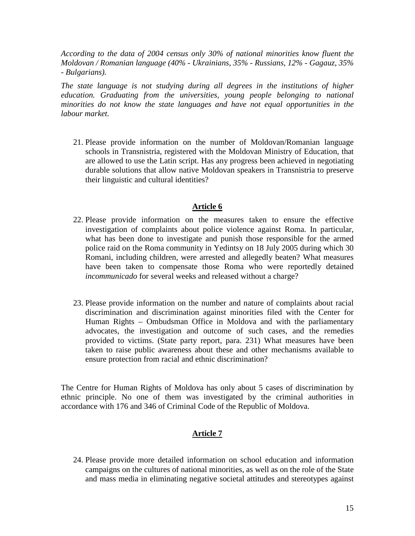*According to the data of 2004 census only 30% of national minorities know fluent the Moldovan / Romanian language (40% - Ukrainians, 35% - Russians, 12% - Gagauz, 35% - Bulgarians).*

*The state language is not studying during all degrees in the institutions of higher education. Graduating from the universities, young people belonging to national minorities do not know the state languages and have not equal opportunities in the labour market.*

21. Please provide information on the number of Moldovan/Romanian language schools in Transnistria, registered with the Moldovan Ministry of Education, that are allowed to use the Latin script. Has any progress been achieved in negotiating durable solutions that allow native Moldovan speakers in Transnistria to preserve their linguistic and cultural identities?

#### **Article 6**

- 22. Please provide information on the measures taken to ensure the effective investigation of complaints about police violence against Roma. In particular, what has been done to investigate and punish those responsible for the armed police raid on the Roma community in Yedintsy on 18 July 2005 during which 30 Romani, including children, were arrested and allegedly beaten? What measures have been taken to compensate those Roma who were reportedly detained *incommunicado* for several weeks and released without a charge?
- 23. Please provide information on the number and nature of complaints about racial discrimination and discrimination against minorities filed with the Center for Human Rights – Ombudsman Office in Moldova and with the parliamentary advocates, the investigation and outcome of such cases, and the remedies provided to victims. (State party report, para. 231) What measures have been taken to raise public awareness about these and other mechanisms available to ensure protection from racial and ethnic discrimination?

The Centre for Human Rights of Moldova has only about 5 cases of discrimination by ethnic principle. No one of them was investigated by the criminal authorities in accordance with 176 and 346 of Criminal Code of the Republic of Moldova.

# **Article 7**

24. Please provide more detailed information on school education and information campaigns on the cultures of national minorities, as well as on the role of the State and mass media in eliminating negative societal attitudes and stereotypes against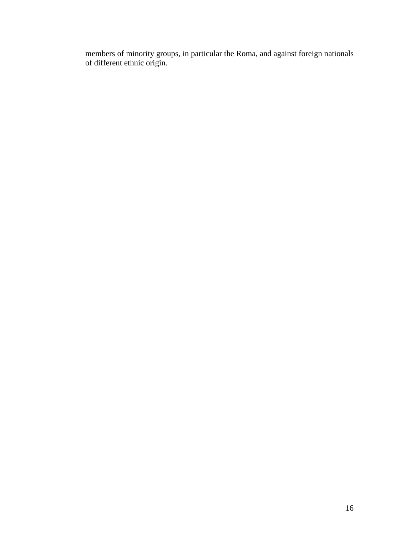members of minority groups, in particular the Roma, and against foreign nationals of different ethnic origin.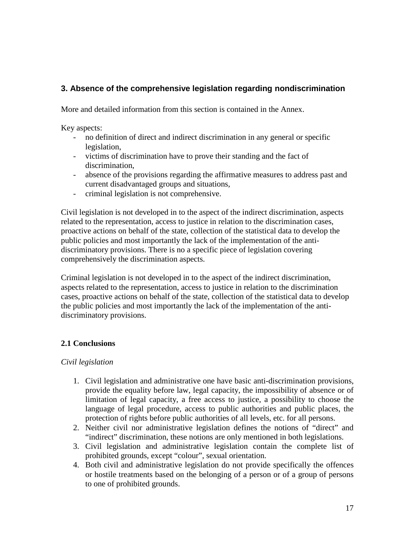# **3. Absence of the comprehensive legislation regarding nondiscrimination**

More and detailed information from this section is contained in the Annex.

Key aspects:

- no definition of direct and indirect discrimination in any general or specific legislation,
- victims of discrimination have to prove their standing and the fact of discrimination,
- absence of the provisions regarding the affirmative measures to address past and current disadvantaged groups and situations,
- criminal legislation is not comprehensive.

Civil legislation is not developed in to the aspect of the indirect discrimination, aspects related to the representation, access to justice in relation to the discrimination cases, proactive actions on behalf of the state, collection of the statistical data to develop the public policies and most importantly the lack of the implementation of the antidiscriminatory provisions. There is no a specific piece of legislation covering comprehensively the discrimination aspects.

Criminal legislation is not developed in to the aspect of the indirect discrimination, aspects related to the representation, access to justice in relation to the discrimination cases, proactive actions on behalf of the state, collection of the statistical data to develop the public policies and most importantly the lack of the implementation of the antidiscriminatory provisions.

## **2.1 Conclusions**

## *Civil legislation*

- 1. Civil legislation and administrative one have basic anti-discrimination provisions, provide the equality before law, legal capacity, the impossibility of absence or of limitation of legal capacity, a free access to justice, a possibility to choose the language of legal procedure, access to public authorities and public places, the protection of rights before public authorities of all levels, etc. for all persons.
- 2. Neither civil nor administrative legislation defines the notions of "direct" and "indirect" discrimination, these notions are only mentioned in both legislations.
- 3. Civil legislation and administrative legislation contain the complete list of prohibited grounds, except "colour", sexual orientation.
- 4. Both civil and administrative legislation do not provide specifically the offences or hostile treatments based on the belonging of a person or of a group of persons to one of prohibited grounds.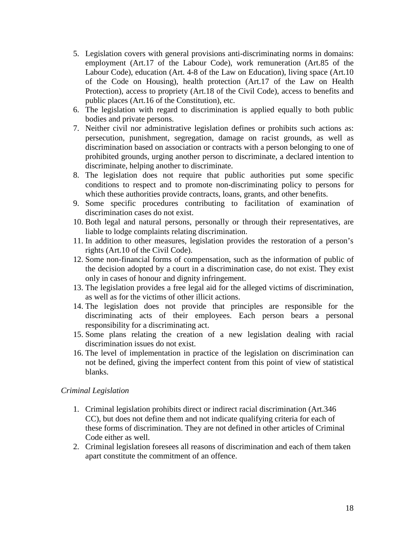- 5. Legislation covers with general provisions anti-discriminating norms in domains: employment (Art.17 of the Labour Code), work remuneration (Art.85 of the Labour Code), education (Art. 4-8 of the Law on Education), living space (Art.10 of the Code on Housing), health protection (Art.17 of the Law on Health Protection), access to propriety (Art.18 of the Civil Code), access to benefits and public places (Art.16 of the Constitution), etc.
- 6. The legislation with regard to discrimination is applied equally to both public bodies and private persons.
- 7. Neither civil nor administrative legislation defines or prohibits such actions as: persecution, punishment, segregation, damage on racist grounds, as well as discrimination based on association or contracts with a person belonging to one of prohibited grounds, urging another person to discriminate, a declared intention to discriminate, helping another to discriminate.
- 8. The legislation does not require that public authorities put some specific conditions to respect and to promote non-discriminating policy to persons for which these authorities provide contracts, loans, grants, and other benefits.
- 9. Some specific procedures contributing to facilitation of examination of discrimination cases do not exist.
- 10. Both legal and natural persons, personally or through their representatives, are liable to lodge complaints relating discrimination.
- 11. In addition to other measures, legislation provides the restoration of a person's rights (Art.10 of the Civil Code).
- 12. Some non-financial forms of compensation, such as the information of public of the decision adopted by a court in a discrimination case, do not exist. They exist only in cases of honour and dignity infringement.
- 13. The legislation provides a free legal aid for the alleged victims of discrimination, as well as for the victims of other illicit actions.
- 14. The legislation does not provide that principles are responsible for the discriminating acts of their employees. Each person bears a personal responsibility for a discriminating act.
- 15. Some plans relating the creation of a new legislation dealing with racial discrimination issues do not exist.
- 16. The level of implementation in practice of the legislation on discrimination can not be defined, giving the imperfect content from this point of view of statistical blanks.

#### *Criminal Legislation*

- 1. Criminal legislation prohibits direct or indirect racial discrimination (Art.346 CC), but does not define them and not indicate qualifying criteria for each of these forms of discrimination. They are not defined in other articles of Criminal Code either as well.
- 2. Criminal legislation foresees all reasons of discrimination and each of them taken apart constitute the commitment of an offence.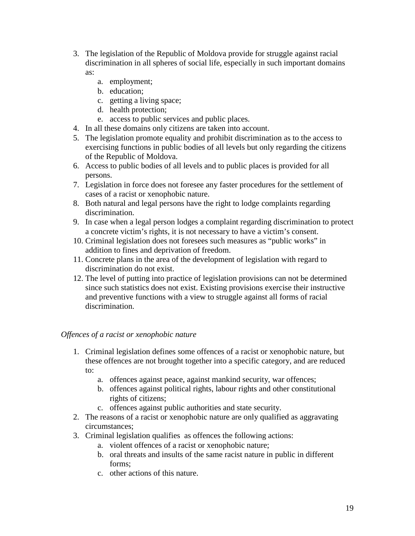- 3. The legislation of the Republic of Moldova provide for struggle against racial discrimination in all spheres of social life, especially in such important domains as:
	- a. employment;
	- b. education;
	- c. getting a living space;
	- d. health protection;
	- e. access to public services and public places.
- 4. In all these domains only citizens are taken into account.
- 5. The legislation promote equality and prohibit discrimination as to the access to exercising functions in public bodies of all levels but only regarding the citizens of the Republic of Moldova.
- 6. Access to public bodies of all levels and to public places is provided for all persons.
- 7. Legislation in force does not foresee any faster procedures for the settlement of cases of a racist or xenophobic nature.
- 8. Both natural and legal persons have the right to lodge complaints regarding discrimination.
- 9. In case when a legal person lodges a complaint regarding discrimination to protect a concrete victim's rights, it is not necessary to have a victim's consent.
- 10. Criminal legislation does not foresees such measures as "public works" in addition to fines and deprivation of freedom.
- 11. Concrete plans in the area of the development of legislation with regard to discrimination do not exist.
- 12. The level of putting into practice of legislation provisions can not be determined since such statistics does not exist. Existing provisions exercise their instructive and preventive functions with a view to struggle against all forms of racial discrimination.

## *Offences of a racist or xenophobic nature*

- 1. Criminal legislation defines some offences of a racist or xenophobic nature, but these offences are not brought together into a specific category, and are reduced to:
	- a. offences against peace, against mankind security, war offences;
	- b. offences against political rights, labour rights and other constitutional rights of citizens;
	- c. offences against public authorities and state security.
- 2. The reasons of a racist or xenophobic nature are only qualified as aggravating circumstances;
- 3. Criminal legislation qualifies as offences the following actions:
	- a. violent offences of a racist or xenophobic nature;
	- b. oral threats and insults of the same racist nature in public in different forms;
	- c. other actions of this nature.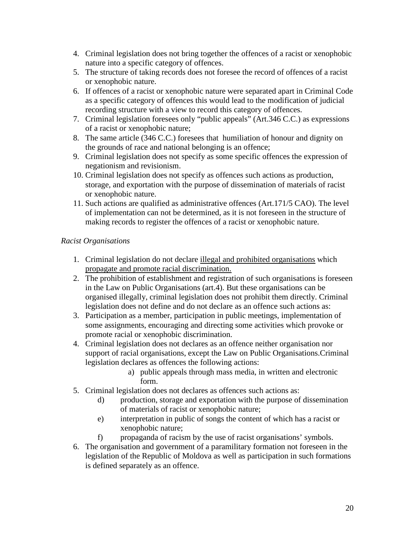- 4. Criminal legislation does not bring together the offences of a racist or xenophobic nature into a specific category of offences.
- 5. The structure of taking records does not foresee the record of offences of a racist or xenophobic nature.
- 6. If offences of a racist or xenophobic nature were separated apart in Criminal Code as a specific category of offences this would lead to the modification of judicial recording structure with a view to record this category of offences.
- 7. Criminal legislation foresees only "public appeals" (Art.346 C.C.) as expressions of a racist or xenophobic nature;
- 8. The same article (346 C.C.) foresees that humiliation of honour and dignity on the grounds of race and national belonging is an offence;
- 9. Criminal legislation does not specify as some specific offences the expression of negationism and revisionism.
- 10. Criminal legislation does not specify as offences such actions as production, storage, and exportation with the purpose of dissemination of materials of racist or xenophobic nature.
- 11. Such actions are qualified as administrative offences (Art.171/5 CAO). The level of implementation can not be determined, as it is not foreseen in the structure of making records to register the offences of a racist or xenophobic nature.

## *Racist Organisations*

- 1. Criminal legislation do not declare illegal and prohibited organisations which propagate and promote racial discrimination.
- 2. The prohibition of establishment and registration of such organisations is foreseen in the Law on Public Organisations (art.4). But these organisations can be organised illegally, criminal legislation does not prohibit them directly. Criminal legislation does not define and do not declare as an offence such actions as:
- 3. Participation as a member, participation in public meetings, implementation of some assignments, encouraging and directing some activities which provoke or promote racial or xenophobic discrimination.
- 4. Criminal legislation does not declares as an offence neither organisation nor support of racial organisations, except the Law on Public Organisations.Criminal legislation declares as offences the following actions:
	- a) public appeals through mass media, in written and electronic form.
- 5. Criminal legislation does not declares as offences such actions as:
	- d) production, storage and exportation with the purpose of dissemination of materials of racist or xenophobic nature;
	- e) interpretation in public of songs the content of which has a racist or xenophobic nature;
	- f) propaganda of racism by the use of racist organisations' symbols.
- 6. The organisation and government of a paramilitary formation not foreseen in the legislation of the Republic of Moldova as well as participation in such formations is defined separately as an offence.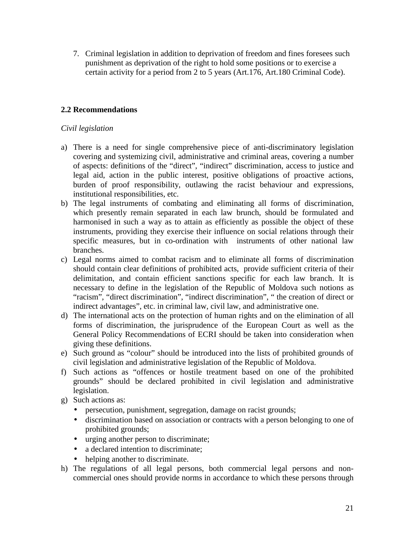7. Criminal legislation in addition to deprivation of freedom and fines foresees such punishment as deprivation of the right to hold some positions or to exercise a certain activity for a period from 2 to 5 years (Art.176, Art.180 Criminal Code).

## **2.2 Recommendations**

## *Civil legislation*

- a) There is a need for single comprehensive piece of anti-discriminatory legislation covering and systemizing civil, administrative and criminal areas, covering a number of aspects: definitions of the "direct", "indirect" discrimination, access to justice and legal aid, action in the public interest, positive obligations of proactive actions, burden of proof responsibility, outlawing the racist behaviour and expressions, institutional responsibilities, etc.
- b) The legal instruments of combating and eliminating all forms of discrimination, which presently remain separated in each law brunch, should be formulated and harmonised in such a way as to attain as efficiently as possible the object of these instruments, providing they exercise their influence on social relations through their specific measures, but in co-ordination with instruments of other national law branches.
- c) Legal norms aimed to combat racism and to eliminate all forms of discrimination should contain clear definitions of prohibited acts, provide sufficient criteria of their delimitation, and contain efficient sanctions specific for each law branch. It is necessary to define in the legislation of the Republic of Moldova such notions as "racism", "direct discrimination", "indirect discrimination", " the creation of direct or indirect advantages", etc. in criminal law, civil law, and administrative one.
- d) The international acts on the protection of human rights and on the elimination of all forms of discrimination, the jurisprudence of the European Court as well as the General Policy Recommendations of ECRI should be taken into consideration when giving these definitions.
- e) Such ground as "colour" should be introduced into the lists of prohibited grounds of civil legislation and administrative legislation of the Republic of Moldova.
- f) Such actions as "offences or hostile treatment based on one of the prohibited grounds" should be declared prohibited in civil legislation and administrative legislation.
- g) Such actions as:
	- persecution, punishment, segregation, damage on racist grounds;
	- discrimination based on association or contracts with a person belonging to one of prohibited grounds;
	- urging another person to discriminate;
	- a declared intention to discriminate;
	- helping another to discriminate.
- h) The regulations of all legal persons, both commercial legal persons and noncommercial ones should provide norms in accordance to which these persons through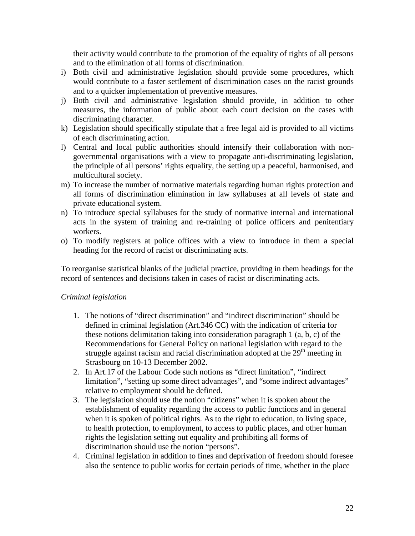their activity would contribute to the promotion of the equality of rights of all persons and to the elimination of all forms of discrimination.

- i) Both civil and administrative legislation should provide some procedures, which would contribute to a faster settlement of discrimination cases on the racist grounds and to a quicker implementation of preventive measures.
- j) Both civil and administrative legislation should provide, in addition to other measures, the information of public about each court decision on the cases with discriminating character.
- k) Legislation should specifically stipulate that a free legal aid is provided to all victims of each discriminating action.
- l) Central and local public authorities should intensify their collaboration with nongovernmental organisations with a view to propagate anti-discriminating legislation, the principle of all persons' rights equality, the setting up a peaceful, harmonised, and multicultural society.
- m) To increase the number of normative materials regarding human rights protection and all forms of discrimination elimination in law syllabuses at all levels of state and private educational system.
- n) To introduce special syllabuses for the study of normative internal and international acts in the system of training and re-training of police officers and penitentiary workers.
- o) To modify registers at police offices with a view to introduce in them a special heading for the record of racist or discriminating acts.

To reorganise statistical blanks of the judicial practice, providing in them headings for the record of sentences and decisions taken in cases of racist or discriminating acts.

## *Criminal legislation*

- 1. The notions of "direct discrimination" and "indirect discrimination" should be defined in criminal legislation (Art.346 CC) with the indication of criteria for these notions delimitation taking into consideration paragraph 1 (a, b, c) of the Recommendations for General Policy on national legislation with regard to the struggle against racism and racial discrimination adopted at the  $29<sup>th</sup>$  meeting in Strasbourg on 10-13 December 2002.
- 2. In Art.17 of the Labour Code such notions as "direct limitation", "indirect limitation", "setting up some direct advantages", and "some indirect advantages" relative to employment should be defined.
- 3. The legislation should use the notion "citizens" when it is spoken about the establishment of equality regarding the access to public functions and in general when it is spoken of political rights. As to the right to education, to living space, to health protection, to employment, to access to public places, and other human rights the legislation setting out equality and prohibiting all forms of discrimination should use the notion "persons".
- 4. Criminal legislation in addition to fines and deprivation of freedom should foresee also the sentence to public works for certain periods of time, whether in the place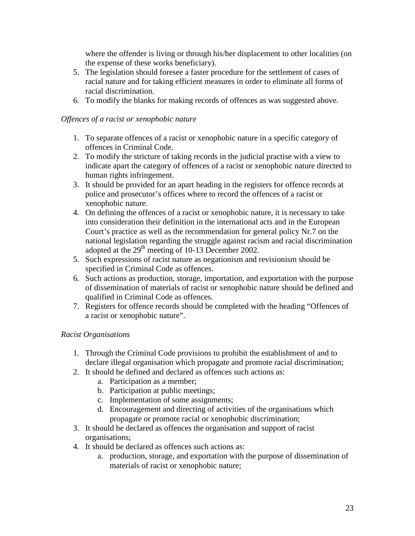where the offender is living or through his/her displacement to other localities (on the expense of these works beneficiary).

- 5. The legislation should foresee a faster procedure for the settlement of cases of racial nature and for taking efficient measures in order to eliminate all forms of racial discrimination.
- 6. To modify the blanks for making records of offences as was suggested above.

## *Offences of a racist or xenophobic nature*

- 1. To separate offences of a racist or xenophobic nature in a specific category of offences in Criminal Code.
- 2. To modify the stricture of taking records in the judicial practise with a view to indicate apart the category of offences of a racist or xenophobic nature directed to human rights infringement.
- 3. It should be provided for an apart heading in the registers for offence records at police and prosecutor's offices where to record the offences of a racist or xenophobic nature.
- 4. On defining the offences of a racist or xenophobic nature, it is necessary to take into consideration their definition in the international acts and in the European Court's practice as well as the recommendation for general policy Nr.7 on the national legislation regarding the struggle against racism and racial discrimination adopted at the 29<sup>th</sup> meeting of 10-13 December 2002.
- 5. Such expressions of racist nature as negationism and revisionism should be specified in Criminal Code as offences.
- 6. Such actions as production, storage, importation, and exportation with the purpose of dissemination of materials of racist or xenophobic nature should be defined and qualified in Criminal Code as offences.
- 7. Registers for offence records should be completed with the heading "Offences of a racist or xenophobic nature".

## *Racist Organisations*

- 1. Through the Criminal Code provisions to prohibit the establishment of and to declare illegal organisation which propagate and promote racial discrimination;
- 2. It should be defined and declared as offences such actions as:
	- a. Participation as a member;
	- b. Participation at public meetings;
	- c. Implementation of some assignments;
	- d. Encouragement and directing of activities of the organisations which propagate or promote racial or xenophobic discrimination;
- 3. It should be declared as offences the organisation and support of racist organisations;
- 4. It should be declared as offences such actions as:
	- a. production, storage, and exportation with the purpose of dissemination of materials of racist or xenophobic nature;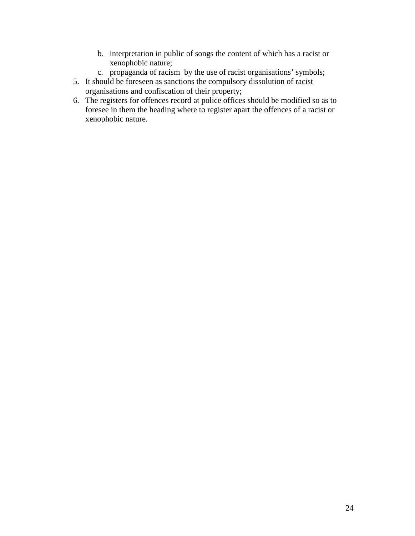- b. interpretation in public of songs the content of which has a racist or xenophobic nature;
- c. propaganda of racism by the use of racist organisations' symbols;
- 5. It should be foreseen as sanctions the compulsory dissolution of racist organisations and confiscation of their property;
- 6. The registers for offences record at police offices should be modified so as to foresee in them the heading where to register apart the offences of a racist or xenophobic nature.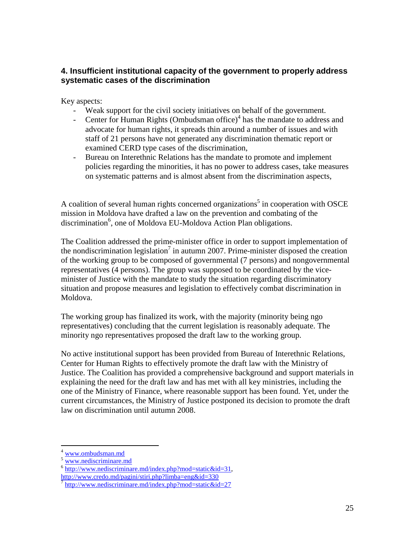# **4. Insufficient institutional capacity of the government to properly address systematic cases of the discrimination**

Key aspects:

- Weak support for the civil society initiatives on behalf of the government.
- Center for Human Rights (Ombudsman office) $<sup>4</sup>$  has the mandate to address and</sup> advocate for human rights, it spreads thin around a number of issues and with staff of 21 persons have not generated any discrimination thematic report or examined CERD type cases of the discrimination,
- Bureau on Interethnic Relations has the mandate to promote and implement policies regarding the minorities, it has no power to address cases, take measures on systematic patterns and is almost absent from the discrimination aspects,

A coalition of several human rights concerned organizations<sup>5</sup> in cooperation with OSCE mission in Moldova have drafted a law on the prevention and combating of the discrimination<sup>6</sup>, one of Moldova EU-Moldova Action Plan obligations.

The Coalition addressed the prime-minister office in order to support implementation of the nondiscrimination legislation<sup>7</sup> in autumn 2007. Prime-minister disposed the creation of the working group to be composed of governmental (7 persons) and nongovernmental representatives (4 persons). The group was supposed to be coordinated by the viceminister of Justice with the mandate to study the situation regarding discriminatory situation and propose measures and legislation to effectively combat discrimination in Moldova.

The working group has finalized its work, with the majority (minority being ngo representatives) concluding that the current legislation is reasonably adequate. The minority ngo representatives proposed the draft law to the working group.

No active institutional support has been provided from Bureau of Interethnic Relations, Center for Human Rights to effectively promote the draft law with the Ministry of Justice. The Coalition has provided a comprehensive background and support materials in explaining the need for the draft law and has met with all key ministries, including the one of the Ministry of Finance, where reasonable support has been found. Yet, under the current circumstances, the Ministry of Justice postponed its decision to promote the draft law on discrimination until autumn 2008.

<sup>4</sup> www.ombudsman.md

www.nediscriminare.md

<sup>&</sup>lt;sup>6</sup> http://www.nediscriminare.md/index.php?mod=static&id=31,

http://www.credo.md/pagini/stiri.php?limba=eng&id=330

<sup>7</sup> http://www.nediscriminare.md/index.php?mod=static&id=27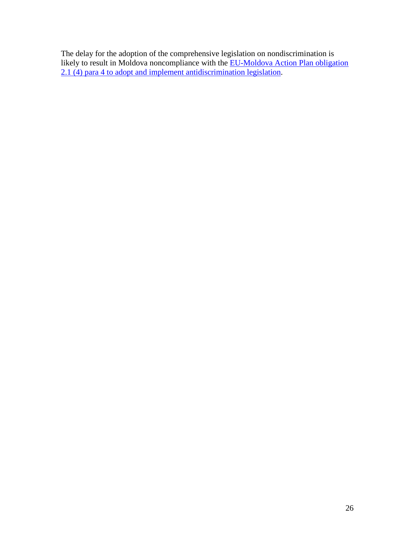The delay for the adoption of the comprehensive legislation on nondiscrimination is likely to result in Moldova noncompliance with the **EU-Moldova Action Plan obligation** 2.1 (4) para 4 to adopt and implement antidiscrimination legislation.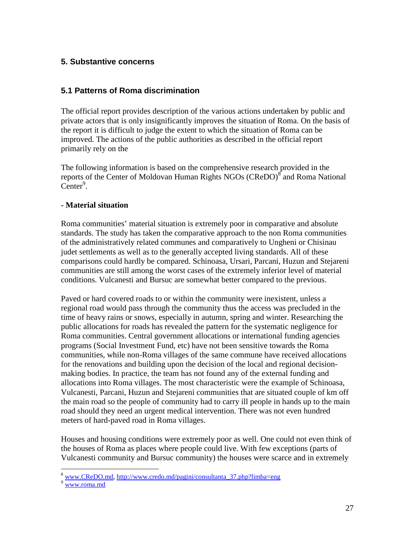## **5. Substantive concerns**

## **5.1 Patterns of Roma discrimination**

The official report provides description of the various actions undertaken by public and private actors that is only insignificantly improves the situation of Roma. On the basis of the report it is difficult to judge the extent to which the situation of Roma can be improved. The actions of the public authorities as described in the official report primarily rely on the

The following information is based on the comprehensive research provided in the reports of the Center of Moldovan Human Rights NGOs (CReDO)<sup>8</sup> and Roma National  $C$ enter<sup>9</sup>.

### **- Material situation**

Roma communities' material situation is extremely poor in comparative and absolute standards. The study has taken the comparative approach to the non Roma communities of the administratively related communes and comparatively to Ungheni or Chisinau judet settlements as well as to the generally accepted living standards. All of these comparisons could hardly be compared. Schinoasa, Ursari, Parcani, Huzun and Stejareni communities are still among the worst cases of the extremely inferior level of material conditions. Vulcanesti and Bursuc are somewhat better compared to the previous.

Paved or hard covered roads to or within the community were inexistent, unless a regional road would pass through the community thus the access was precluded in the time of heavy rains or snows, especially in autumn, spring and winter. Researching the public allocations for roads has revealed the pattern for the systematic negligence for Roma communities. Central government allocations or international funding agencies programs (Social Investment Fund, etc) have not been sensitive towards the Roma communities, while non-Roma villages of the same commune have received allocations for the renovations and building upon the decision of the local and regional decisionmaking bodies. In practice, the team has not found any of the external funding and allocations into Roma villages. The most characteristic were the example of Schinoasa, Vulcanesti, Parcani, Huzun and Stejareni communities that are situated couple of km off the main road so the people of community had to carry ill people in hands up to the main road should they need an urgent medical intervention. There was not even hundred meters of hard-paved road in Roma villages.

Houses and housing conditions were extremely poor as well. One could not even think of the houses of Roma as places where people could live. With few exceptions (parts of Vulcanesti community and Bursuc community) the houses were scarce and in extremely

<sup>8</sup> www.CReDO.md, http://www.credo.md/pagini/consultanta\_37.php?limba=eng

<sup>9</sup> www.roma.md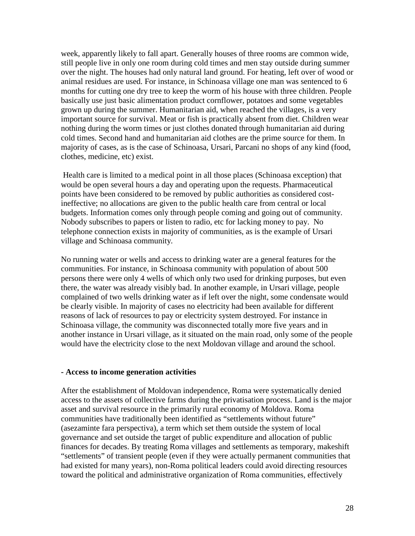week, apparently likely to fall apart. Generally houses of three rooms are common wide, still people live in only one room during cold times and men stay outside during summer over the night. The houses had only natural land ground. For heating, left over of wood or animal residues are used. For instance, in Schinoasa village one man was sentenced to 6 months for cutting one dry tree to keep the worm of his house with three children. People basically use just basic alimentation product cornflower, potatoes and some vegetables grown up during the summer. Humanitarian aid, when reached the villages, is a very important source for survival. Meat or fish is practically absent from diet. Children wear nothing during the worm times or just clothes donated through humanitarian aid during cold times. Second hand and humanitarian aid clothes are the prime source for them. In majority of cases, as is the case of Schinoasa, Ursari, Parcani no shops of any kind (food, clothes, medicine, etc) exist.

Health care is limited to a medical point in all those places (Schinoasa exception) that would be open several hours a day and operating upon the requests. Pharmaceutical points have been considered to be removed by public authorities as considered costineffective; no allocations are given to the public health care from central or local budgets. Information comes only through people coming and going out of community. Nobody subscribes to papers or listen to radio, etc for lacking money to pay. No telephone connection exists in majority of communities, as is the example of Ursari village and Schinoasa community.

No running water or wells and access to drinking water are a general features for the communities. For instance, in Schinoasa community with population of about 500 persons there were only 4 wells of which only two used for drinking purposes, but even there, the water was already visibly bad. In another example, in Ursari village, people complained of two wells drinking water as if left over the night, some condensate would be clearly visible. In majority of cases no electricity had been available for different reasons of lack of resources to pay or electricity system destroyed. For instance in Schinoasa village, the community was disconnected totally more five years and in another instance in Ursari village, as it situated on the main road, only some of the people would have the electricity close to the next Moldovan village and around the school.

#### **- Access to income generation activities**

After the establishment of Moldovan independence, Roma were systematically denied access to the assets of collective farms during the privatisation process. Land is the major asset and survival resource in the primarily rural economy of Moldova. Roma communities have traditionally been identified as "settlements without future" (asezaminte fara perspectiva), a term which set them outside the system of local governance and set outside the target of public expenditure and allocation of public finances for decades. By treating Roma villages and settlements as temporary, makeshift "settlements" of transient people (even if they were actually permanent communities that had existed for many years), non-Roma political leaders could avoid directing resources toward the political and administrative organization of Roma communities, effectively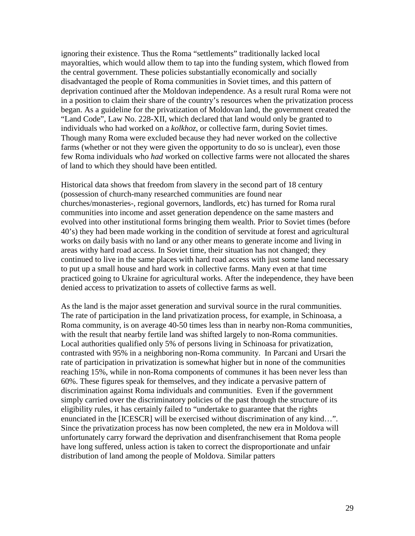ignoring their existence. Thus the Roma "settlements" traditionally lacked local mayoralties, which would allow them to tap into the funding system, which flowed from the central government. These policies substantially economically and socially disadvantaged the people of Roma communities in Soviet times, and this pattern of deprivation continued after the Moldovan independence. As a result rural Roma were not in a position to claim their share of the country's resources when the privatization process began. As a guideline for the privatization of Moldovan land, the government created the "Land Code", Law No. 228-XII, which declared that land would only be granted to individuals who had worked on a *kolkhoz*, or collective farm, during Soviet times. Though many Roma were excluded because they had never worked on the collective farms (whether or not they were given the opportunity to do so is unclear), even those few Roma individuals who *had* worked on collective farms were not allocated the shares of land to which they should have been entitled.

Historical data shows that freedom from slavery in the second part of 18 century (possession of church-many researched communities are found near churches/monasteries-, regional governors, landlords, etc) has turned for Roma rural communities into income and asset generation dependence on the same masters and evolved into other institutional forms bringing them wealth. Prior to Soviet times (before 40's) they had been made working in the condition of servitude at forest and agricultural works on daily basis with no land or any other means to generate income and living in areas withy hard road access. In Soviet time, their situation has not changed; they continued to live in the same places with hard road access with just some land necessary to put up a small house and hard work in collective farms. Many even at that time practiced going to Ukraine for agricultural works. After the independence, they have been denied access to privatization to assets of collective farms as well.

As the land is the major asset generation and survival source in the rural communities. The rate of participation in the land privatization process, for example, in Schinoasa, a Roma community, is on average 40-50 times less than in nearby non-Roma communities, with the result that nearby fertile land was shifted largely to non-Roma communities. Local authorities qualified only 5% of persons living in Schinoasa for privatization, contrasted with 95% in a neighboring non-Roma community. In Parcani and Ursari the rate of participation in privatization is somewhat higher but in none of the communities reaching 15%, while in non-Roma components of communes it has been never less than 60%. These figures speak for themselves, and they indicate a pervasive pattern of discrimination against Roma individuals and communities. Even if the government simply carried over the discriminatory policies of the past through the structure of its eligibility rules, it has certainly failed to "undertake to guarantee that the rights enunciated in the [ICESCR] will be exercised without discrimination of any kind…". Since the privatization process has now been completed, the new era in Moldova will unfortunately carry forward the deprivation and disenfranchisement that Roma people have long suffered, unless action is taken to correct the disproportionate and unfair distribution of land among the people of Moldova. Similar patters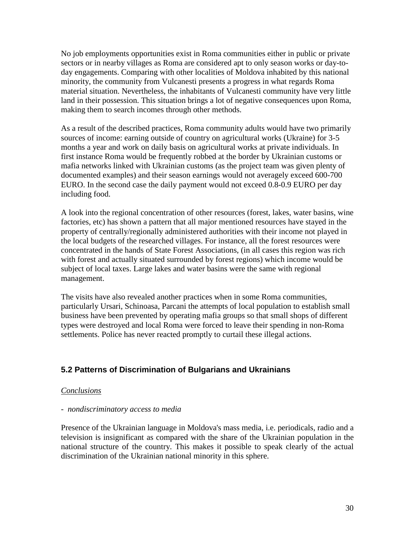No job employments opportunities exist in Roma communities either in public or private sectors or in nearby villages as Roma are considered apt to only season works or day-today engagements. Comparing with other localities of Moldova inhabited by this national minority, the community from Vulcanesti presents a progress in what regards Roma material situation. Nevertheless, the inhabitants of Vulcanesti community have very little land in their possession. This situation brings a lot of negative consequences upon Roma, making them to search incomes through other methods.

As a result of the described practices, Roma community adults would have two primarily sources of income: earning outside of country on agricultural works (Ukraine) for 3-5 months a year and work on daily basis on agricultural works at private individuals. In first instance Roma would be frequently robbed at the border by Ukrainian customs or mafia networks linked with Ukrainian customs (as the project team was given plenty of documented examples) and their season earnings would not averagely exceed 600-700 EURO. In the second case the daily payment would not exceed 0.8-0.9 EURO per day including food.

A look into the regional concentration of other resources (forest, lakes, water basins, wine factories, etc) has shown a pattern that all major mentioned resources have stayed in the property of centrally/regionally administered authorities with their income not played in the local budgets of the researched villages. For instance, all the forest resources were concentrated in the hands of State Forest Associations, (in all cases this region was rich with forest and actually situated surrounded by forest regions) which income would be subject of local taxes. Large lakes and water basins were the same with regional management.

The visits have also revealed another practices when in some Roma communities, particularly Ursari, Schinoasa, Parcani the attempts of local population to establish small business have been prevented by operating mafia groups so that small shops of different types were destroyed and local Roma were forced to leave their spending in non-Roma settlements. Police has never reacted promptly to curtail these illegal actions.

## **5.2 Patterns of Discrimination of Bulgarians and Ukrainians**

#### *Conclusions*

#### *- nondiscriminatory access to media*

Presence of the Ukrainian language in Moldova's mass media, i.e. periodicals, radio and a television is insignificant as compared with the share of the Ukrainian population in the national structure of the country. This makes it possible to speak clearly of the actual discrimination of the Ukrainian national minority in this sphere.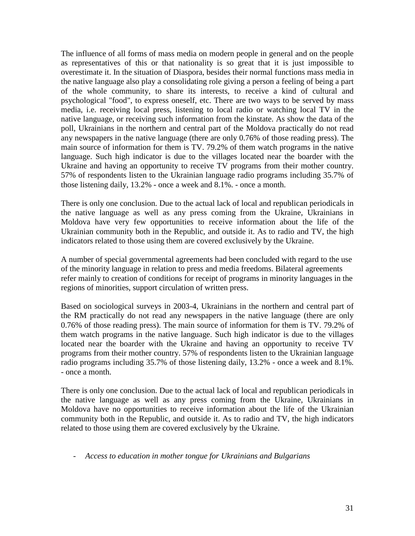The influence of all forms of mass media on modern people in general and on the people as representatives of this or that nationality is so great that it is just impossible to overestimate it. In the situation of Diaspora, besides their normal functions mass media in the native language also play a consolidating role giving a person a feeling of being a part of the whole community, to share its interests, to receive a kind of cultural and psychological "food", to express oneself, etc. There are two ways to be served by mass media, i.e. receiving local press, listening to local radio or watching local TV in the native language, or receiving such information from the kinstate. As show the data of the poll, Ukrainians in the northern and central part of the Moldova practically do not read any newspapers in the native language (there are only 0.76% of those reading press). The main source of information for them is TV. 79.2% of them watch programs in the native language. Such high indicator is due to the villages located near the boarder with the Ukraine and having an opportunity to receive TV programs from their mother country. 57% of respondents listen to the Ukrainian language radio programs including 35.7% of those listening daily, 13.2% - once a week and 8.1%. - once a month.

There is only one conclusion. Due to the actual lack of local and republican periodicals in the native language as well as any press coming from the Ukraine, Ukrainians in Moldova have very few opportunities to receive information about the life of the Ukrainian community both in the Republic, and outside it. As to radio and TV, the high indicators related to those using them are covered exclusively by the Ukraine.

A number of special governmental agreements had been concluded with regard to the use of the minority language in relation to press and media freedoms. Bilateral agreements refer mainly to creation of conditions for receipt of programs in minority languages in the regions of minorities, support circulation of written press.

Based on sociological surveys in 2003-4, Ukrainians in the northern and central part of the RM practically do not read any newspapers in the native language (there are only 0.76% of those reading press). The main source of information for them is TV. 79.2% of them watch programs in the native language. Such high indicator is due to the villages located near the boarder with the Ukraine and having an opportunity to receive TV programs from their mother country. 57% of respondents listen to the Ukrainian language radio programs including 35.7% of those listening daily, 13.2% - once a week and 8.1%. - once a month.

There is only one conclusion. Due to the actual lack of local and republican periodicals in the native language as well as any press coming from the Ukraine, Ukrainians in Moldova have no opportunities to receive information about the life of the Ukrainian community both in the Republic, and outside it. As to radio and TV, the high indicators related to those using them are covered exclusively by the Ukraine.

#### - *Access to education in mother tongue for Ukrainians and Bulgarians*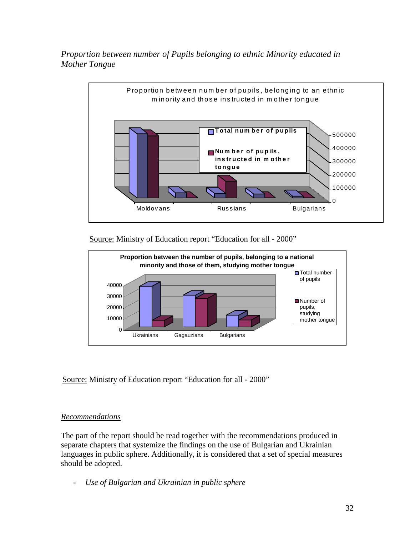*Proportion between number of Pupils belonging to ethnic Minority educated in Mother Tongue*



Source: Ministry of Education report "Education for all - 2000"



Source: Ministry of Education report "Education for all - 2000"

# *Recommendations*

The part of the report should be read together with the recommendations produced in separate chapters that systemize the findings on the use of Bulgarian and Ukrainian languages in public sphere. Additionally, it is considered that a set of special measures should be adopted.

- *Use of Bulgarian and Ukrainian in public sphere*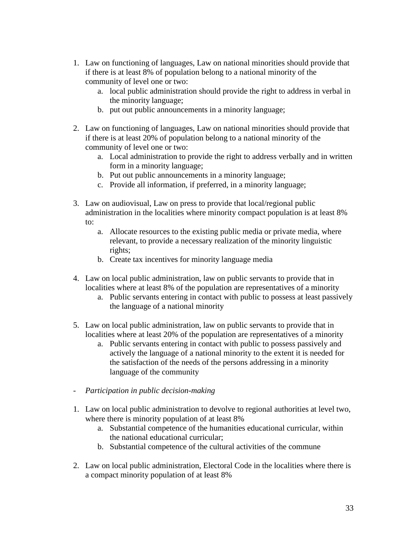- 1. Law on functioning of languages, Law on national minorities should provide that if there is at least 8% of population belong to a national minority of the community of level one or two:
	- a. local public administration should provide the right to address in verbal in the minority language;
	- b. put out public announcements in a minority language;
- 2. Law on functioning of languages, Law on national minorities should provide that if there is at least 20% of population belong to a national minority of the community of level one or two:
	- a. Local administration to provide the right to address verbally and in written form in a minority language;
	- b. Put out public announcements in a minority language;
	- c. Provide all information, if preferred, in a minority language;
- 3. Law on audiovisual, Law on press to provide that local/regional public administration in the localities where minority compact population is at least 8% to:
	- a. Allocate resources to the existing public media or private media, where relevant, to provide a necessary realization of the minority linguistic rights;
	- b. Create tax incentives for minority language media
- 4. Law on local public administration, law on public servants to provide that in localities where at least 8% of the population are representatives of a minority
	- a. Public servants entering in contact with public to possess at least passively the language of a national minority
- 5. Law on local public administration, law on public servants to provide that in localities where at least 20% of the population are representatives of a minority
	- a. Public servants entering in contact with public to possess passively and actively the language of a national minority to the extent it is needed for the satisfaction of the needs of the persons addressing in a minority language of the community
- *Participation in public decision-making*
- 1. Law on local public administration to devolve to regional authorities at level two, where there is minority population of at least 8%
	- a. Substantial competence of the humanities educational curricular, within the national educational curricular;
	- b. Substantial competence of the cultural activities of the commune
- 2. Law on local public administration, Electoral Code in the localities where there is a compact minority population of at least 8%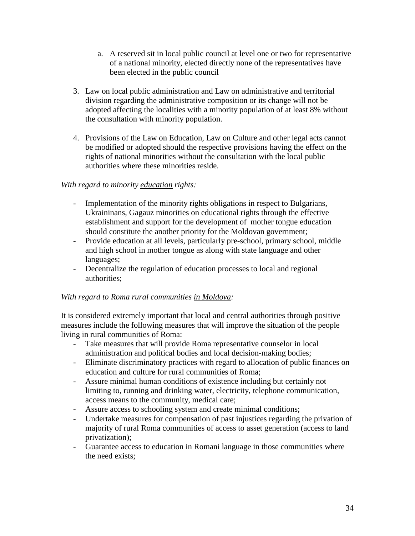- a. A reserved sit in local public council at level one or two for representative of a national minority, elected directly none of the representatives have been elected in the public council
- 3. Law on local public administration and Law on administrative and territorial division regarding the administrative composition or its change will not be adopted affecting the localities with a minority population of at least 8% without the consultation with minority population.
- 4. Provisions of the Law on Education, Law on Culture and other legal acts cannot be modified or adopted should the respective provisions having the effect on the rights of national minorities without the consultation with the local public authorities where these minorities reside.

### *With regard to minority education rights:*

- Implementation of the minority rights obligations in respect to Bulgarians, Ukraininans, Gagauz minorities on educational rights through the effective establishment and support for the development of mother tongue education should constitute the another priority for the Moldovan government;
- Provide education at all levels, particularly pre-school, primary school, middle and high school in mother tongue as along with state language and other languages;
- Decentralize the regulation of education processes to local and regional authorities;

## *With regard to Roma rural communities in Moldova:*

It is considered extremely important that local and central authorities through positive measures include the following measures that will improve the situation of the people living in rural communities of Roma:

- Take measures that will provide Roma representative counselor in local administration and political bodies and local decision-making bodies;
- Eliminate discriminatory practices with regard to allocation of public finances on education and culture for rural communities of Roma;
- Assure minimal human conditions of existence including but certainly not limiting to, running and drinking water, electricity, telephone communication, access means to the community, medical care;
- Assure access to schooling system and create minimal conditions;
- Undertake measures for compensation of past injustices regarding the privation of majority of rural Roma communities of access to asset generation (access to land privatization);
- Guarantee access to education in Romani language in those communities where the need exists;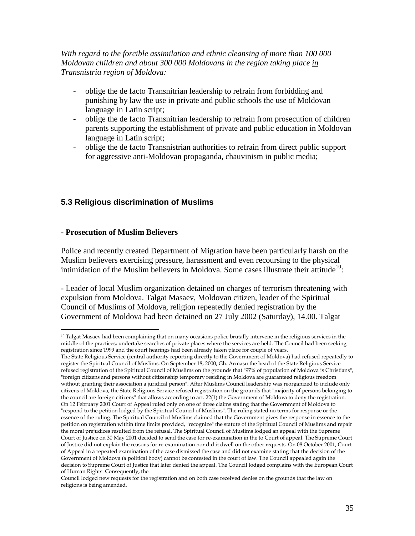*With regard to the forcible assimilation and ethnic cleansing of more than 100 000 Moldovan children and about 300 000 Moldovans in the region taking place in Transnistria region of Moldova:*

- oblige the de facto Transnitrian leadership to refrain from forbidding and punishing by law the use in private and public schools the use of Moldovan language in Latin script;
- oblige the de facto Transnitrian leadership to refrain from prosecution of children parents supporting the establishment of private and public education in Moldovan language in Latin script;
- oblige the de facto Transnistrian authorities to refrain from direct public support for aggressive anti-Moldovan propaganda, chauvinism in public media;

## **5.3 Religious discrimination of Muslims**

### **- Prosecution of Muslim Believers**

Police and recently created Department of Migration have been particularly harsh on the Muslim believers exercising pressure, harassment and even recoursing to the physical intimidation of the Muslim believers in Moldova. Some cases illustrate their attitude<sup>10</sup>:

- Leader of local Muslim organization detained on charges of terrorism threatening with expulsion from Moldova. Talgat Masaev, Moldovan citizen, leader of the Spiritual Council of Muslims of Moldova, religion repeatedly denied registration by the Government of Moldova had been detained on 27 July 2002 (Saturday), 14.00. Talgat

<sup>&</sup>lt;sup>10</sup> Talgat Masaev had been complaining that on many occasions police brutally intervene in the religious services in the middle of the practices; undertake searches of private places where the services are held. The Council had been seeking registration since 1999 and the court hearings had been already taken place for couple of years.

The State Religious Service (central authority reporting directly to the Government of Moldova) had refused repeatedly to register the Spiritual Council of Muslims. On September 18, 2000, Gh. Armasu the head of the State Religious Service refused registration of the Spiritual Council of Muslims on the grounds that "97% of population of Moldova is Christians", "foreign citizens and persons without citizenship temporary residing in Moldova are guaranteed religious freedom without granting their association a juridical person". After Muslims Council leadership was reorganized to include only citizens of Moldova, the State Religious Service refused registration on the grounds that "majority of persons belonging to the council are foreign citizens" that allows according to art. 22(1) the Government of Moldova to deny the registration. On 12 February 2001 Court of Appeal ruled only on one of three claims stating that the Government of Moldova to "respond to the petition lodged by the Spiritual Council of Muslims". The ruling stated no terms for response or the essence of the ruling. The Spiritual Council of Muslims claimed that the Government gives the response in essence to the petition on registration within time limits provided, "recognize" the statute of the Spiritual Council of Muslims and repair the moral prejudices resulted from the refusal. The Spiritual Council of Muslims lodged an appeal with the Supreme Court of Justice on 30 May 2001 decided to send the case for re-examination in the to Court of appeal. The Supreme Court of Justice did not explain the reasons for re-examination nor did it dwell on the other requests. On 08 October 2001, Court of Appeal in a repeated examination of the case dismissed the case and did not examine stating that the decision of the Government of Moldova (a political body) cannot be contested in the court of law. The Council appealed again the decision to Supreme Court of Justice that later denied the appeal. The Council lodged complains with the European Court of Human Rights. Consequently, the

Council lodged new requests for the registration and on both case received denies on the grounds that the law on religions is being amended.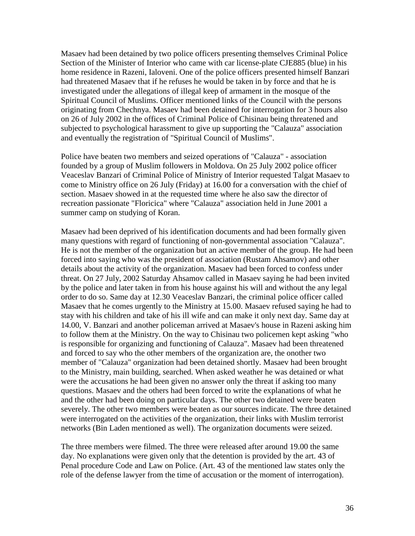Masaev had been detained by two police officers presenting themselves Criminal Police Section of the Minister of Interior who came with car license-plate CJE885 (blue) in his home residence in Razeni, Ialoveni. One of the police officers presented himself Banzari had threatened Masaev that if he refuses he would be taken in by force and that he is investigated under the allegations of illegal keep of armament in the mosque of the Spiritual Council of Muslims. Officer mentioned links of the Council with the persons originating from Chechnya. Masaev had been detained for interrogation for 3 hours also on 26 of July 2002 in the offices of Criminal Police of Chisinau being threatened and subjected to psychological harassment to give up supporting the "Calauza" association and eventually the registration of "Spiritual Council of Muslims".

Police have beaten two members and seized operations of "Calauza" - association founded by a group of Muslim followers in Moldova. On 25 July 2002 police officer Veaceslav Banzari of Criminal Police of Ministry of Interior requested Talgat Masaev to come to Ministry office on 26 July (Friday) at 16.00 for a conversation with the chief of section. Masaev showed in at the requested time where he also saw the director of recreation passionate "Floricica" where "Calauza" association held in June 2001 a summer camp on studying of Koran.

Masaev had been deprived of his identification documents and had been formally given many questions with regard of functioning of non-governmental association "Calauza". He is not the member of the organization but an active member of the group. He had been forced into saying who was the president of association (Rustam Ahsamov) and other details about the activity of the organization. Masaev had been forced to confess under threat. On 27 July, 2002 Saturday Ahsamov called in Masaev saying he had been invited by the police and later taken in from his house against his will and without the any legal order to do so. Same day at 12.30 Veaceslav Banzari, the criminal police officer called Masaev that he comes urgently to the Ministry at 15.00. Masaev refused saying he had to stay with his children and take of his ill wife and can make it only next day. Same day at 14.00, V. Banzari and another policeman arrived at Masaev's house in Razeni asking him to follow them at the Ministry. On the way to Chisinau two policemen kept asking "who is responsible for organizing and functioning of Calauza". Masaev had been threatened and forced to say who the other members of the organization are, the onother two member of "Calauza" organization had been detained shortly. Masaev had been brought to the Ministry, main building, searched. When asked weather he was detained or what were the accusations he had been given no answer only the threat if asking too many questions. Masaev and the others had been forced to write the explanations of what he and the other had been doing on particular days. The other two detained were beaten severely. The other two members were beaten as our sources indicate. The three detained were interrogated on the activities of the organization, their links with Muslim terrorist networks (Bin Laden mentioned as well). The organization documents were seized.

The three members were filmed. The three were released after around 19.00 the same day. No explanations were given only that the detention is provided by the art. 43 of Penal procedure Code and Law on Police. (Art. 43 of the mentioned law states only the role of the defense lawyer from the time of accusation or the moment of interrogation).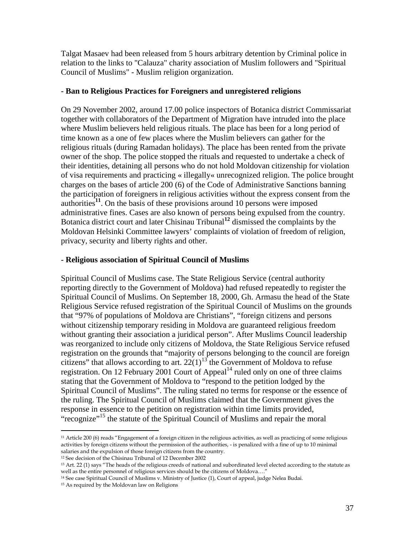Talgat Masaev had been released from 5 hours arbitrary detention by Criminal police in relation to the links to "Calauza" charity association of Muslim followers and "Spiritual Council of Muslims" - Muslim religion organization.

## **- Ban to Religious Practices for Foreigners and unregistered religions**

On 29 November 2002, around 17.00 police inspectors of Botanica district Commissariat together with collaborators of the Department of Migration have intruded into the place where Muslim believers held religious rituals. The place has been for a long period of time known as a one of few places where the Muslim believers can gather for the religious rituals (during Ramadan holidays). The place has been rented from the private owner of the shop. The police stopped the rituals and requested to undertake a check of their identities, detaining all persons who do not hold Moldovan citizenship for violation of visa requirements and practicing « illegally« unrecognized religion. The police brought charges on the bases of article 200 (6) of the Code of Administrative Sanctions banning the participation of foreigners in religious activities without the express consent from the authorities<sup>11</sup>. On the basis of these provisions around 10 persons were imposed administrative fines. Cases are also known of persons being expulsed from the country. Botanica district court and later Chisinau Tribunal**<sup>12</sup>** dismissed the complaints by the Moldovan Helsinki Committee lawyers' complaints of violation of freedom of religion, privacy, security and liberty rights and other.

# **- Religious association of Spiritual Council of Muslims**

Spiritual Council of Muslims case. The State Religious Service (central authority reporting directly to the Government of Moldova) had refused repeatedly to register the Spiritual Council of Muslims. On September 18, 2000, Gh. Armasu the head of the State Religious Service refused registration of the Spiritual Council of Muslims on the grounds that "97% of populations of Moldova are Christians", "foreign citizens and persons without citizenship temporary residing in Moldova are guaranteed religious freedom without granting their association a juridical person". After Muslims Council leadership was reorganized to include only citizens of Moldova, the State Religious Service refused registration on the grounds that "majority of persons belonging to the council are foreign citizens" that allows according to art.  $22(1)^{13}$  the Government of Moldova to refuse registration. On 12 February 2001 Court of Appeal<sup>14</sup> ruled only on one of three claims stating that the Government of Moldova to "respond to the petition lodged by the Spiritual Council of Muslims". The ruling stated no terms for response or the essence of the ruling. The Spiritual Council of Muslims claimed that the Government gives the response in essence to the petition on registration within time limits provided, "recognize"<sup>15</sup> the statute of the Spiritual Council of Muslims and repair the moral

<sup>11</sup> Article 200 (6) reads "Engagement of a foreign citizen in the religious activities, as well as practicing of some religious activities by foreign citizens without the permission of the authorities, - is penalized with a fine of up to 10 minimal salaries and the expulsion of those foreign citizens from the country.

<sup>12</sup> See decision of the Chisinau Tribunal of 12 December 2002

<sup>&</sup>lt;sup>13</sup> Art. 22 (1) says "The heads of the religious creeds of national and subordinated level elected according to the statute as well as the entire personnel of religious services should be the citizens of Moldova…."

<sup>14</sup> See case Spiritual Council of Muslims v. Ministry of Justice (1), Court of appeal, judge Nelea Budai.

<sup>&</sup>lt;sup>15</sup> As required by the Moldovan law on Religions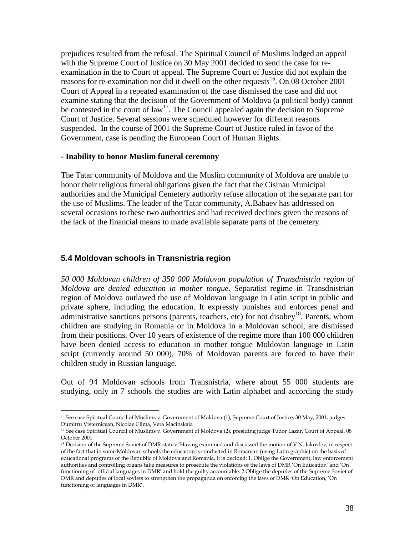prejudices resulted from the refusal. The Spiritual Council of Muslims lodged an appeal with the Supreme Court of Justice on 30 May 2001 decided to send the case for reexamination in the to Court of appeal. The Supreme Court of Justice did not explain the reasons for re-examination nor did it dwell on the other requests<sup>16</sup>. On 08 October 2001 Court of Appeal in a repeated examination of the case dismissed the case and did not examine stating that the decision of the Government of Moldova (a political body) cannot be contested in the court of  $law<sup>17</sup>$ . The Council appealed again the decision to Supreme Court of Justice. Several sessions were scheduled however for different reasons suspended. In the course of 2001 the Supreme Court of Justice ruled in favor of the Government, case is pending the European Court of Human Rights.

### **- Inability to honor Muslim funeral ceremony**

The Tatar community of Moldova and the Muslim community of Moldova are unable to honor their religious funeral obligations given the fact that the Cisinau Municipal authorities and the Municipal Cemetery authority refuse allocation of the separate part for the use of Muslims. The leader of the Tatar community, A.Babaev has addressed on several occasions to these two authorities and had received declines given the reasons of the lack of the financial means to made available separate parts of the cemetery.

## **5.4 Moldovan schools in Transnistria region**

*50 000 Moldovan children of 350 000 Moldovan population of Transdnistria region of Moldova are denied education in mother tongue*. Separatist regime in Transdnistrian region of Moldova outlawed the use of Moldovan language in Latin script in public and private sphere, including the education. It expressly punishes and enforces penal and administrative sanctions persons (parents, teachers, etc) for not disobey<sup>18</sup>. Parents, whom children are studying in Romania or in Moldova in a Moldovan school, are dismissed from their positions. Over 10 years of existence of the regime more than 100 000 children have been denied access to education in mother tongue Moldovan language in Latin script (currently around 50 000), 70% of Moldovan parents are forced to have their children study in Russian language.

Out of 94 Moldovan schools from Transnistria, where about 55 000 students are studying, only in 7 schools the studies are with Latin alphabet and according the study

<sup>&</sup>lt;sup>16</sup> See case Spiritual Council of Muslims v. Government of Moldova (1), Supreme Court of Justice, 30 May, 2001, judges Dumitru Visternicean, Nicolae Clima, Vera Macinskaia

<sup>&</sup>lt;sup>17</sup> See case Spiritual Council of Muslims v. Government of Moldova (2), presiding judge Tudor Lazar, Court of Appeal, 08 October 2001.

<sup>&</sup>lt;sup>18</sup> Decision of the Supreme Soviet of DMR states: 'Having examined and discussed the motion of V.N. Iakovlev, in respect of the fact that in some Moldovan schools the education is conducted in Romanian (using Latin graphic) on the basis of educational programs of the Republic of Moldova and Romania, it is decided: 1. Oblige the Government, law enforcement authorities and controlling organs take measures to prosecute the violations of the laws of DMR 'On Education' and 'On functioning of official languages in DMR' and hold the guilty accountable. 2.Oblige the deputies of the Supreme Soviet of DMR and deputies of local soviets to strengthen the propaganda on enforcing the laws of DMR 'On Education, 'On functioning of languages in DMR'.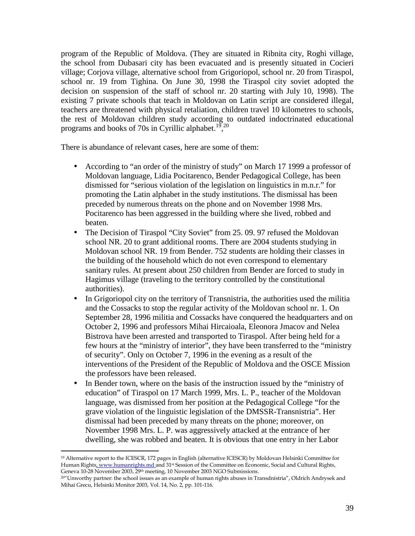program of the Republic of Moldova. (They are situated in Ribnita city, Roghi village, the school from Dubasari city has been evacuated and is presently situated in Cocieri village; Corjova village, alternative school from Grigoriopol, school nr. 20 from Tiraspol, school nr. 19 from Tighina. On June 30, 1998 the Tiraspol city soviet adopted the decision on suspension of the staff of school nr. 20 starting with July 10, 1998). The existing 7 private schools that teach in Moldovan on Latin script are considered illegal, teachers are threatened with physical retaliation, children travel 10 kilometres to schools, the rest of Moldovan children study according to outdated indoctrinated educational programs and books of 70s in Cyrillic alphabet.<sup>19</sup>,<sup>20</sup>

There is abundance of relevant cases, here are some of them:

- According to "an order of the ministry of study" on March 17 1999 a professor of Moldovan language, Lidia Pocitarenco, Bender Pedagogical College, has been dismissed for "serious violation of the legislation on linguistics in m.n.r." for promoting the Latin alphabet in the study institutions. The dismissal has been preceded by numerous threats on the phone and on November 1998 Mrs. Pocitarenco has been aggressed in the building where she lived, robbed and beaten.
- The Decision of Tiraspol "City Soviet" from 25. 09. 97 refused the Moldovan school NR. 20 to grant additional rooms. There are 2004 students studying in Moldovan school NR. 19 from Bender. 752 students are holding their classes in the building of the household which do not even correspond to elementary sanitary rules. At present about 250 children from Bender are forced to study in Hagimus village (traveling to the territory controlled by the constitutional authorities).
- In Grigoriopol city on the territory of Transnistria, the authorities used the militia and the Cossacks to stop the regular activity of the Moldovan school nr. 1. On September 28, 1996 militia and Cossacks have conquered the headquarters and on October 2, 1996 and professors Mihai Hircaioala, Eleonora Jmacov and Nelea Bistrova have been arrested and transported to Tiraspol. After being held for a few hours at the "ministry of interior", they have been transferred to the "ministry of security". Only on October 7, 1996 in the evening as a result of the interventions of the President of the Republic of Moldova and the OSCE Mission the professors have been released.
- In Bender town, where on the basis of the instruction issued by the "ministry of education" of Tiraspol on 17 March 1999, Mrs. L. P., teacher of the Moldovan language, was dismissed from her position at the Pedagogical College "for the grave violation of the linguistic legislation of the DMSSR-Transnistria". Her dismissal had been preceded by many threats on the phone; moreover, on November 1998 Mrs. L. P. was aggressively attacked at the entrance of her dwelling, she was robbed and beaten. It is obvious that one entry in her Labor

<sup>19</sup> Alternative report to the ICESCR, 172 pages in English (alternative ICESCR) by Moldovan Helsinki Committee for Human Rights, www.humanrights.md and 31<sup>st</sup> Session of the Committee on Economic, Social and Cultural Rights, Geneva 10-28 November 2003, 29th meeting, 10 November 2003 NGO Submissions.

<sup>20</sup>"Unworthy partner: the school issues as an example of human rights abuses in Transdnistria", Oldrich Andrysek and Mihai Grecu, Helsinki Monitor 2003, Vol. 14, No. 2, pp. 101-116.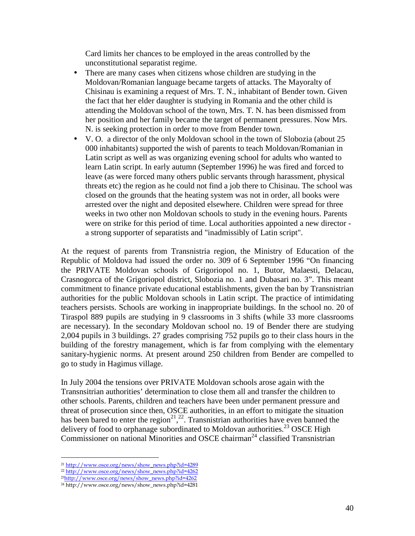Card limits her chances to be employed in the areas controlled by the unconstitutional separatist regime.

- There are many cases when citizens whose children are studying in the Moldovan/Romanian language became targets of attacks. The Mayoralty of Chisinau is examining a request of Mrs. T. N., inhabitant of Bender town. Given the fact that her elder daughter is studying in Romania and the other child is attending the Moldovan school of the town, Mrs. T. N. has been dismissed from her position and her family became the target of permanent pressures. Now Mrs. N. is seeking protection in order to move from Bender town.
- V. O. a director of the only Moldovan school in the town of Slobozia (about 25 000 inhabitants) supported the wish of parents to teach Moldovan/Romanian in Latin script as well as was organizing evening school for adults who wanted to learn Latin script. In early autumn (September 1996) he was fired and forced to leave (as were forced many others public servants through harassment, physical threats etc) the region as he could not find a job there to Chisinau. The school was closed on the grounds that the heating system was not in order, all books were arrested over the night and deposited elsewhere. Children were spread for three weeks in two other non Moldovan schools to study in the evening hours. Parents were on strike for this period of time. Local authorities appointed a new director a strong supporter of separatists and "inadmissibly of Latin script".

At the request of parents from Transnistria region, the Ministry of Education of the Republic of Moldova had issued the order no. 309 of 6 September 1996 "On financing the PRIVATE Moldovan schools of Grigoriopol no. 1, Butor, Malaesti, Delacau, Crasnogorca of the Grigoriopol district, Slobozia no. 1 and Dubasari no. 3". This meant commitment to finance private educational establishments, given the ban by Transnistrian authorities for the public Moldovan schools in Latin script. The practice of intimidating teachers persists. Schools are working in inappropriate buildings. In the school no. 20 of Tiraspol 889 pupils are studying in 9 classrooms in 3 shifts (while 33 more classrooms are necessary). In the secondary Moldovan school no. 19 of Bender there are studying 2,004 pupils in 3 buildings. 27 grades comprising 752 pupils go to their class hours in the building of the forestry management, which is far from complying with the elementary sanitary-hygienic norms. At present around 250 children from Bender are compelled to go to study in Hagimus village.

In July 2004 the tensions over PRIVATE Moldovan schools arose again with the Transnsitrian authorities' determination to close them all and transfer the children to other schools. Parents, children and teachers have been under permanent pressure and threat of prosecution since then, OSCE authorities, in an effort to mitigate the situation has been bared to enter the region<sup>21</sup>,<sup>22</sup>. Transnistrian authorities have even banned the delivery of food to orphanage subordinated to Moldovan authorities.<sup>23</sup> OSCE High Commissioner on national Minorities and OSCE chairman<sup>24</sup> classified Transnistrian

<sup>21</sup> http://www.osce.org/news/show\_news.php?id=4289

<sup>22</sup> http://www.osce.org/news/show\_news.php?id=4262

<sup>23</sup>http://www.osce.org/news/show\_news.php?id=4262

<sup>&</sup>lt;sup>24</sup> http://www.osce.org/news/show\_news.php?id=4281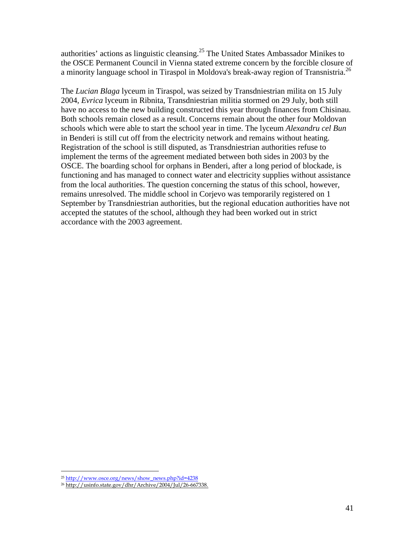authorities' actions as linguistic cleansing.<sup>25</sup> The United States Ambassador Minikes to the OSCE Permanent Council in Vienna stated extreme concern by the forcible closure of a minority language school in Tiraspol in Moldova's break-away region of Transnistria.<sup>26</sup>

The *Lucian Blaga* lyceum in Tiraspol, was seized by Transdniestrian milita on 15 July 2004, *Evrica* lyceum in Ribnita, Transdniestrian militia stormed on 29 July, both still have no access to the new building constructed this year through finances from Chisinau. Both schools remain closed as a result. Concerns remain about the other four Moldovan schools which were able to start the school year in time. The lyceum *Alexandru cel Bun* in Benderi is still cut off from the electricity network and remains without heating. Registration of the school is still disputed, as Transdniestrian authorities refuse to implement the terms of the agreement mediated between both sides in 2003 by the OSCE. The boarding school for orphans in Benderi, after a long period of blockade, is functioning and has managed to connect water and electricity supplies without assistance from the local authorities. The question concerning the status of this school, however, remains unresolved. The middle school in Corjevo was temporarily registered on 1 September by Transdniestrian authorities, but the regional education authorities have not accepted the statutes of the school, although they had been worked out in strict accordance with the 2003 agreement.

<sup>25</sup> http://www.osce.org/news/show\_news.php?id=4238

<sup>&</sup>lt;sup>26</sup> http://usinfo.state.gov/dhr/Archive/2004/Jul/26-667338.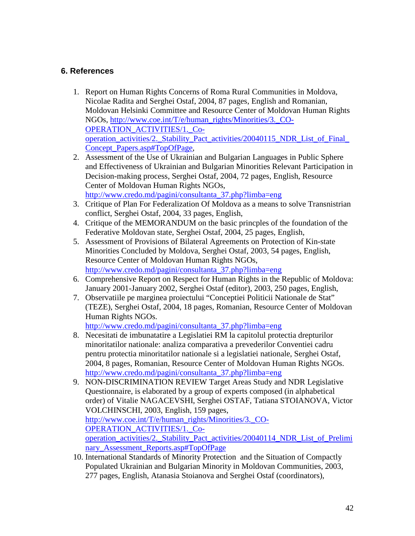# **6. References**

- 1. Report on Human Rights Concerns of Roma Rural Communities in Moldova, Nicolae Radita and Serghei Ostaf, 2004, 87 pages, English and Romanian, Moldovan Helsinki Committee and Resource Center of Moldovan Human Rights NGOs, http://www.coe.int/T/e/human\_rights/Minorities/3.\_CO-OPERATION\_ACTIVITIES/1.\_Cooperation\_activities/2.\_Stability\_Pact\_activities/20040115\_NDR\_List\_of\_Final\_ Concept\_Papers.asp#TopOfPage,
- 2. Assessment of the Use of Ukrainian and Bulgarian Languages in Public Sphere and Effectiveness of Ukrainian and Bulgarian Minorities Relevant Participation in Decision-making process, Serghei Ostaf, 2004, 72 pages, English, Resource Center of Moldovan Human Rights NGOs, http://www.credo.md/pagini/consultanta\_37.php?limba=eng
- 3. Critique of Plan For Federalization Of Moldova as a means to solve Transnistrian conflict, Serghei Ostaf, 2004, 33 pages, English,
- 4. Critique of the MEMORANDUM on the basic princples of the foundation of the Federative Moldovan state, Serghei Ostaf, 2004, 25 pages, English,
- 5. Assessment of Provisions of Bilateral Agreements on Protection of Kin-state Minorities Concluded by Moldova, Serghei Ostaf, 2003, 54 pages, English, Resource Center of Moldovan Human Rights NGOs, http://www.credo.md/pagini/consultanta\_37.php?limba=eng
- 6. Comprehensive Report on Respect for Human Rights in the Republic of Moldova: January 2001-January 2002, Serghei Ostaf (editor), 2003, 250 pages, English,
- 7. Observatiile pe marginea proiectului "Conceptiei Politicii Nationale de Stat" (TEZE), Serghei Ostaf, 2004, 18 pages, Romanian, Resource Center of Moldovan Human Rights NGOs.

http://www.credo.md/pagini/consultanta\_37.php?limba=eng

- 8. Necesitati de imbunatatire a Legislatiei RM la capitolul protectia drepturilor minoritatilor nationale: analiza comparativa a prevederilor Conventiei cadru pentru protectia minoritatilor nationale si a legislatiei nationale, Serghei Ostaf, 2004, 8 pages, Romanian, Resource Center of Moldovan Human Rights NGOs. http://www.credo.md/pagini/consultanta\_37.php?limba=eng
- 9. NON-DISCRIMINATION REVIEW Target Areas Study and NDR Legislative Questionnaire, is elaborated by a group of experts composed (in alphabetical order) of Vitalie NAGACEVSHI, Serghei OSTAF, Tatiana STOIANOVA, Victor VOLCHINSCHI, 2003, English, 159 pages, http://www.coe.int/T/e/human\_rights/Minorities/3. CO-OPERATION\_ACTIVITIES/1.\_Cooperation activities/2. Stability Pact activities/20040114 NDR List of Prelimi nary\_Assessment\_Reports.asp#TopOfPage
- 10. International Standards of Minority Protection and the Situation of Compactly Populated Ukrainian and Bulgarian Minority in Moldovan Communities, 2003, 277 pages, English, Atanasia Stoianova and Serghei Ostaf (coordinators),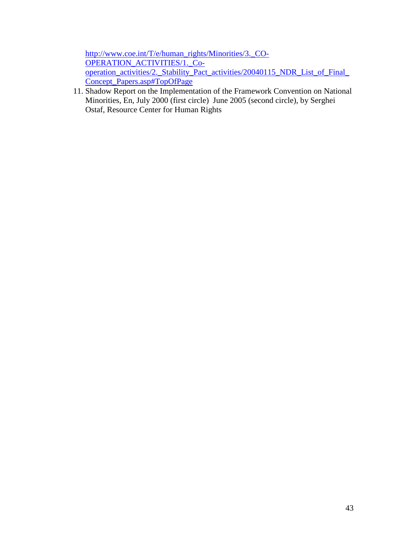http://www.coe.int/T/e/human\_rights/Minorities/3.\_CO-OPERATION\_ACTIVITIES/1.\_Cooperation\_activities/2.\_Stability\_Pact\_activities/20040115\_NDR\_List\_of\_Final\_ Concept\_Papers.asp#TopOfPage

11. Shadow Report on the Implementation of the Framework Convention on National Minorities, En, July 2000 (first circle) June 2005 (second circle), by Serghei Ostaf, Resource Center for Human Rights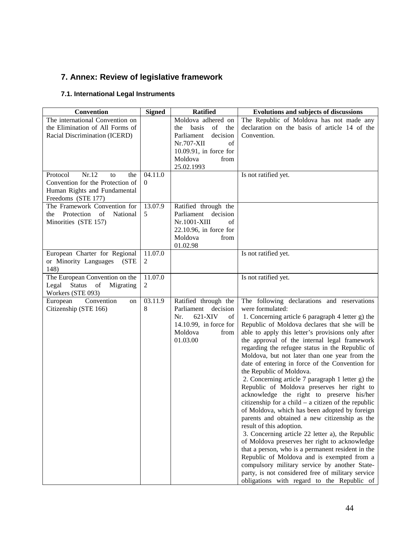# **7. Annex: Review of legislative framework**

# **7.1. International Legal Instruments**

| Convention                                            | <b>Signed</b> | <b>Ratified</b>                             | <b>Evolutions and subjects of discussions</b>                             |
|-------------------------------------------------------|---------------|---------------------------------------------|---------------------------------------------------------------------------|
| The international Convention on                       |               | Moldova adhered on                          | The Republic of Moldova has not made any                                  |
| the Elimination of All Forms of                       |               | of<br>basis<br>the<br>the                   | declaration on the basis of article 14 of the                             |
| Racial Discrimination (ICERD)                         |               | Parliament<br>decision                      | Convention.                                                               |
|                                                       |               | Nr.707-XII<br>of                            |                                                                           |
|                                                       |               | $10.09.91$ , in force for                   |                                                                           |
|                                                       |               | Moldova<br>from                             |                                                                           |
|                                                       |               | 25.02.1993                                  |                                                                           |
| Protocol<br>Nr.12<br>the<br>to                        | 04.11.0       |                                             | Is not ratified yet.                                                      |
| Convention for the Protection of                      | $\left($      |                                             |                                                                           |
| Human Rights and Fundamental<br>Freedoms (STE 177)    |               |                                             |                                                                           |
| The Framework Convention for                          | 13.07.9       | Ratified through the                        |                                                                           |
| Protection of<br>National<br>the                      | 5             | Parliament<br>decision                      |                                                                           |
| Minorities (STE 157)                                  |               | Nr.1001-XIII<br>of                          |                                                                           |
|                                                       |               | $22.10.96$ , in force for                   |                                                                           |
|                                                       |               | Moldova<br>from                             |                                                                           |
|                                                       |               | 01.02.98                                    |                                                                           |
| European Charter for Regional                         | 11.07.0       |                                             | Is not ratified yet.                                                      |
| or Minority Languages<br>(STE                         | 2             |                                             |                                                                           |
| 148)                                                  |               |                                             |                                                                           |
| The European Convention on the                        | 11.07.0       |                                             | Is not ratified yet.                                                      |
| Legal Status of<br>Migrating                          | 2             |                                             |                                                                           |
| Workers (STE 093)                                     |               |                                             |                                                                           |
| Convention<br>European<br>on<br>Citizenship (STE 166) | 03.11.9<br>8  | Ratified through the<br>Parliament decision | The following declarations and reservations<br>were formulated:           |
|                                                       |               | 621-XIV<br>Nr.<br>of                        | 1. Concerning article 6 paragraph 4 letter g) the                         |
|                                                       |               | 14.10.99, in force for                      | Republic of Moldova declares that she will be                             |
|                                                       |               | Moldova<br>from                             | able to apply this letter's provisions only after                         |
|                                                       |               | 01.03.00                                    | the approval of the internal legal framework                              |
|                                                       |               |                                             | regarding the refugee status in the Republic of                           |
|                                                       |               |                                             | Moldova, but not later than one year from the                             |
|                                                       |               |                                             | date of entering in force of the Convention for                           |
|                                                       |               |                                             | the Republic of Moldova.                                                  |
|                                                       |               |                                             | 2. Concerning article 7 paragraph 1 letter g) the                         |
|                                                       |               |                                             | Republic of Moldova preserves her right to                                |
|                                                       |               |                                             | acknowledge the right to preserve his/her                                 |
|                                                       |               |                                             | citizenship for a child $-$ a citizen of the republic                     |
|                                                       |               |                                             | of Moldova, which has been adopted by foreign                             |
|                                                       |               |                                             | parents and obtained a new citizenship as the<br>result of this adoption. |
|                                                       |               |                                             | 3. Concerning article 22 letter a), the Republic                          |
|                                                       |               |                                             | of Moldova preserves her right to acknowledge                             |
|                                                       |               |                                             | that a person, who is a permanent resident in the                         |
|                                                       |               |                                             | Republic of Moldova and is exempted from a                                |
|                                                       |               |                                             | compulsory military service by another State-                             |
|                                                       |               |                                             | party, is not considered free of military service                         |
|                                                       |               |                                             | obligations with regard to the Republic of                                |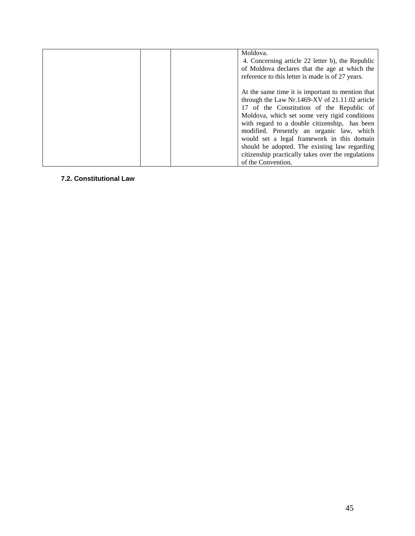| Moldova.<br>4. Concerning article 22 letter b), the Republic<br>of Moldova declares that the age at which the<br>reference to this letter is made is of 27 years.                                                                                                                                                                                                                                                                                                         |
|---------------------------------------------------------------------------------------------------------------------------------------------------------------------------------------------------------------------------------------------------------------------------------------------------------------------------------------------------------------------------------------------------------------------------------------------------------------------------|
| At the same time it is important to mention that<br>through the Law Nr.1469-XV of 21.11.02 article<br>17 of the Constitution of the Republic of<br>Moldova, which set some very rigid conditions<br>with regard to a double citizenship, has been<br>modified. Presently an organic law, which<br>would set a legal framework in this domain<br>should be adopted. The existing law regarding<br>citizenship practically takes over the regulations<br>of the Convention. |

## **7.2. Constitutional Law**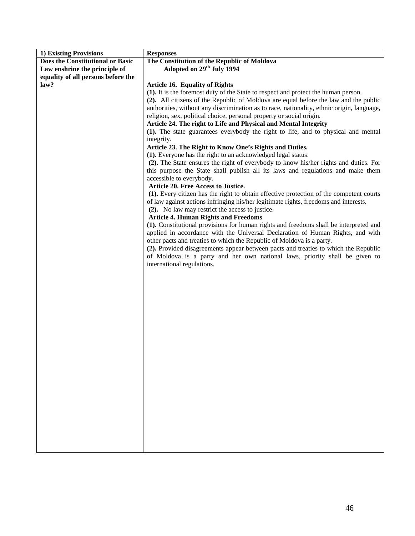| 1) Existing Provisions             | <b>Responses</b>                                                                          |  |
|------------------------------------|-------------------------------------------------------------------------------------------|--|
| Does the Constitutional or Basic   | The Constitution of the Republic of Moldova                                               |  |
| Law enshrine the principle of      | Adopted on 29 <sup>th</sup> July 1994                                                     |  |
| equality of all persons before the |                                                                                           |  |
| law?                               | Article 16. Equality of Rights                                                            |  |
|                                    | (1). It is the foremost duty of the State to respect and protect the human person.        |  |
|                                    | (2). All citizens of the Republic of Moldova are equal before the law and the public      |  |
|                                    | authorities, without any discrimination as to race, nationality, ethnic origin, language, |  |
|                                    | religion, sex, political choice, personal property or social origin.                      |  |
|                                    | Article 24. The right to Life and Physical and Mental Integrity                           |  |
|                                    | (1). The state guarantees everybody the right to life, and to physical and mental         |  |
|                                    | integrity.                                                                                |  |
|                                    | Article 23. The Right to Know One's Rights and Duties.                                    |  |
|                                    | (1). Everyone has the right to an acknowledged legal status.                              |  |
|                                    | (2). The State ensures the right of everybody to know his/her rights and duties. For      |  |
|                                    | this purpose the State shall publish all its laws and regulations and make them           |  |
|                                    | accessible to everybody.                                                                  |  |
|                                    | Article 20. Free Access to Justice.                                                       |  |
|                                    | (1). Every citizen has the right to obtain effective protection of the competent courts   |  |
|                                    | of law against actions infringing his/her legitimate rights, freedoms and interests.      |  |
|                                    | (2). No law may restrict the access to justice.                                           |  |
|                                    | <b>Article 4. Human Rights and Freedoms</b>                                               |  |
|                                    | (1). Constitutional provisions for human rights and freedoms shall be interpreted and     |  |
|                                    | applied in accordance with the Universal Declaration of Human Rights, and with            |  |
|                                    | other pacts and treaties to which the Republic of Moldova is a party.                     |  |
|                                    | (2). Provided disagreements appear between pacts and treaties to which the Republic       |  |
|                                    | of Moldova is a party and her own national laws, priority shall be given to               |  |
|                                    | international regulations.                                                                |  |
|                                    |                                                                                           |  |
|                                    |                                                                                           |  |
|                                    |                                                                                           |  |
|                                    |                                                                                           |  |
|                                    |                                                                                           |  |
|                                    |                                                                                           |  |
|                                    |                                                                                           |  |
|                                    |                                                                                           |  |
|                                    |                                                                                           |  |
|                                    |                                                                                           |  |
|                                    |                                                                                           |  |
|                                    |                                                                                           |  |
|                                    |                                                                                           |  |
|                                    |                                                                                           |  |
|                                    |                                                                                           |  |
|                                    |                                                                                           |  |
|                                    |                                                                                           |  |
|                                    |                                                                                           |  |
|                                    |                                                                                           |  |
|                                    |                                                                                           |  |
|                                    |                                                                                           |  |
|                                    |                                                                                           |  |
|                                    |                                                                                           |  |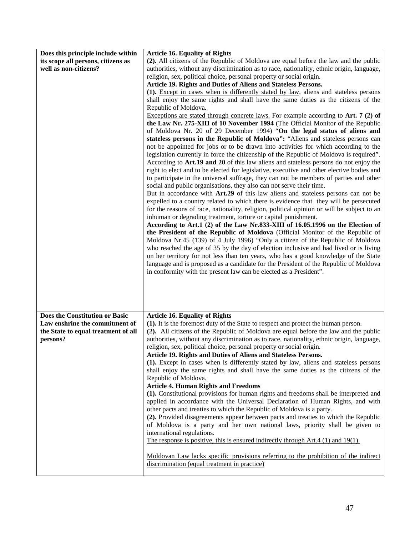| Does this principle include within<br>its scope all persons, citizens as | <b>Article 16. Equality of Rights</b><br>(2). All citizens of the Republic of Moldova are equal before the law and the public                                                                                                                                                                                                                                                                                                                                                                                                                                                                                                                                                                                                                                                                                                                                                                                                                                                                                                                                                                                                                                                                                                                                                                                                                                                                                                                                                                                                                                                                                                                                                                                                                                                                                                    |  |
|--------------------------------------------------------------------------|----------------------------------------------------------------------------------------------------------------------------------------------------------------------------------------------------------------------------------------------------------------------------------------------------------------------------------------------------------------------------------------------------------------------------------------------------------------------------------------------------------------------------------------------------------------------------------------------------------------------------------------------------------------------------------------------------------------------------------------------------------------------------------------------------------------------------------------------------------------------------------------------------------------------------------------------------------------------------------------------------------------------------------------------------------------------------------------------------------------------------------------------------------------------------------------------------------------------------------------------------------------------------------------------------------------------------------------------------------------------------------------------------------------------------------------------------------------------------------------------------------------------------------------------------------------------------------------------------------------------------------------------------------------------------------------------------------------------------------------------------------------------------------------------------------------------------------|--|
| well as non-citizens?                                                    | authorities, without any discrimination as to race, nationality, ethnic origin, language,                                                                                                                                                                                                                                                                                                                                                                                                                                                                                                                                                                                                                                                                                                                                                                                                                                                                                                                                                                                                                                                                                                                                                                                                                                                                                                                                                                                                                                                                                                                                                                                                                                                                                                                                        |  |
|                                                                          | religion, sex, political choice, personal property or social origin.<br>Article 19. Rights and Duties of Aliens and Stateless Persons.                                                                                                                                                                                                                                                                                                                                                                                                                                                                                                                                                                                                                                                                                                                                                                                                                                                                                                                                                                                                                                                                                                                                                                                                                                                                                                                                                                                                                                                                                                                                                                                                                                                                                           |  |
|                                                                          | (1). Except in cases when is differently stated by law, aliens and stateless persons                                                                                                                                                                                                                                                                                                                                                                                                                                                                                                                                                                                                                                                                                                                                                                                                                                                                                                                                                                                                                                                                                                                                                                                                                                                                                                                                                                                                                                                                                                                                                                                                                                                                                                                                             |  |
|                                                                          | shall enjoy the same rights and shall have the same duties as the citizens of the                                                                                                                                                                                                                                                                                                                                                                                                                                                                                                                                                                                                                                                                                                                                                                                                                                                                                                                                                                                                                                                                                                                                                                                                                                                                                                                                                                                                                                                                                                                                                                                                                                                                                                                                                |  |
|                                                                          | Republic of Moldova.                                                                                                                                                                                                                                                                                                                                                                                                                                                                                                                                                                                                                                                                                                                                                                                                                                                                                                                                                                                                                                                                                                                                                                                                                                                                                                                                                                                                                                                                                                                                                                                                                                                                                                                                                                                                             |  |
|                                                                          | Exceptions are stated through concrete laws. For example according to Art. 7 (2) of<br>the Law Nr. 275-XIII of 10 November 1994 (The Official Monitor of the Republic<br>of Moldova Nr. 20 of 29 December 1994) "On the legal status of aliens and<br>stateless persons in the Republic of Moldova": "Aliens and stateless persons can<br>not be appointed for jobs or to be drawn into activities for which according to the<br>legislation currently in force the citizenship of the Republic of Moldova is required".<br>According to Art.19 and 20 of this law aliens and stateless persons do not enjoy the<br>right to elect and to be elected for legislative, executive and other elective bodies and<br>to participate in the universal suffrage, they can not be members of parties and other<br>social and public organisations, they also can not serve their time.<br>But in accordance with Art.29 of this law aliens and stateless persons can not be<br>expelled to a country related to which there is evidence that they will be persecuted<br>for the reasons of race, nationality, religion, political opinion or will be subject to an<br>inhuman or degrading treatment, torture or capital punishment.<br>According to Art.1 (2) of the Law Nr.833-XIII of 16.05.1996 on the Election of<br>the President of the Republic of Moldova (Official Monitor of the Republic of<br>Moldova Nr.45 (139) of 4 July 1996) "Only a citizen of the Republic of Moldova<br>who reached the age of 35 by the day of election inclusive and had lived or is living<br>on her territory for not less than ten years, who has a good knowledge of the State<br>language and is proposed as a candidate for the President of the Republic of Moldova<br>in conformity with the present law can be elected as a President". |  |
| Does the Constitution or Basic                                           | <b>Article 16. Equality of Rights</b>                                                                                                                                                                                                                                                                                                                                                                                                                                                                                                                                                                                                                                                                                                                                                                                                                                                                                                                                                                                                                                                                                                                                                                                                                                                                                                                                                                                                                                                                                                                                                                                                                                                                                                                                                                                            |  |
| Law enshrine the commitment of<br>the State to equal treatment of all    | (1). It is the foremost duty of the State to respect and protect the human person.<br>(2). All citizens of the Republic of Moldova are equal before the law and the public                                                                                                                                                                                                                                                                                                                                                                                                                                                                                                                                                                                                                                                                                                                                                                                                                                                                                                                                                                                                                                                                                                                                                                                                                                                                                                                                                                                                                                                                                                                                                                                                                                                       |  |
| persons?                                                                 | authorities, without any discrimination as to race, nationality, ethnic origin, language,                                                                                                                                                                                                                                                                                                                                                                                                                                                                                                                                                                                                                                                                                                                                                                                                                                                                                                                                                                                                                                                                                                                                                                                                                                                                                                                                                                                                                                                                                                                                                                                                                                                                                                                                        |  |
|                                                                          | religion, sex, political choice, personal property or social origin.<br>Article 19. Rights and Duties of Aliens and Stateless Persons.                                                                                                                                                                                                                                                                                                                                                                                                                                                                                                                                                                                                                                                                                                                                                                                                                                                                                                                                                                                                                                                                                                                                                                                                                                                                                                                                                                                                                                                                                                                                                                                                                                                                                           |  |
|                                                                          | (1). Except in cases when is differently stated by law, aliens and stateless persons                                                                                                                                                                                                                                                                                                                                                                                                                                                                                                                                                                                                                                                                                                                                                                                                                                                                                                                                                                                                                                                                                                                                                                                                                                                                                                                                                                                                                                                                                                                                                                                                                                                                                                                                             |  |
|                                                                          | shall enjoy the same rights and shall have the same duties as the citizens of the                                                                                                                                                                                                                                                                                                                                                                                                                                                                                                                                                                                                                                                                                                                                                                                                                                                                                                                                                                                                                                                                                                                                                                                                                                                                                                                                                                                                                                                                                                                                                                                                                                                                                                                                                |  |
|                                                                          | Republic of Moldova.<br><b>Article 4. Human Rights and Freedoms</b>                                                                                                                                                                                                                                                                                                                                                                                                                                                                                                                                                                                                                                                                                                                                                                                                                                                                                                                                                                                                                                                                                                                                                                                                                                                                                                                                                                                                                                                                                                                                                                                                                                                                                                                                                              |  |
|                                                                          | (1). Constitutional provisions for human rights and freedoms shall be interpreted and                                                                                                                                                                                                                                                                                                                                                                                                                                                                                                                                                                                                                                                                                                                                                                                                                                                                                                                                                                                                                                                                                                                                                                                                                                                                                                                                                                                                                                                                                                                                                                                                                                                                                                                                            |  |
|                                                                          | applied in accordance with the Universal Declaration of Human Rights, and with<br>other pacts and treaties to which the Republic of Moldova is a party.                                                                                                                                                                                                                                                                                                                                                                                                                                                                                                                                                                                                                                                                                                                                                                                                                                                                                                                                                                                                                                                                                                                                                                                                                                                                                                                                                                                                                                                                                                                                                                                                                                                                          |  |
|                                                                          | (2). Provided disagreements appear between pacts and treaties to which the Republic                                                                                                                                                                                                                                                                                                                                                                                                                                                                                                                                                                                                                                                                                                                                                                                                                                                                                                                                                                                                                                                                                                                                                                                                                                                                                                                                                                                                                                                                                                                                                                                                                                                                                                                                              |  |
|                                                                          | of Moldova is a party and her own national laws, priority shall be given to<br>international regulations.                                                                                                                                                                                                                                                                                                                                                                                                                                                                                                                                                                                                                                                                                                                                                                                                                                                                                                                                                                                                                                                                                                                                                                                                                                                                                                                                                                                                                                                                                                                                                                                                                                                                                                                        |  |
|                                                                          | The response is positive, this is ensured indirectly through $Art.4(1)$ and 19(1).                                                                                                                                                                                                                                                                                                                                                                                                                                                                                                                                                                                                                                                                                                                                                                                                                                                                                                                                                                                                                                                                                                                                                                                                                                                                                                                                                                                                                                                                                                                                                                                                                                                                                                                                               |  |
|                                                                          | Moldovan Law lacks specific provisions referring to the prohibition of the indirect<br>discrimination (equal treatment in practice)                                                                                                                                                                                                                                                                                                                                                                                                                                                                                                                                                                                                                                                                                                                                                                                                                                                                                                                                                                                                                                                                                                                                                                                                                                                                                                                                                                                                                                                                                                                                                                                                                                                                                              |  |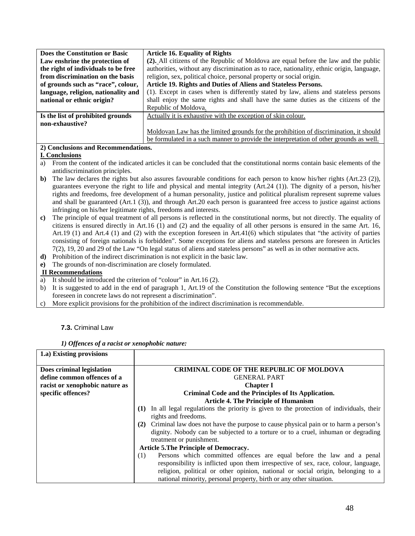| Does the Constitution or Basic      | <b>Article 16. Equality of Rights</b>                                                     |
|-------------------------------------|-------------------------------------------------------------------------------------------|
| Law enshrine the protection of      | (2). All citizens of the Republic of Moldova are equal before the law and the public      |
| the right of individuals to be free | authorities, without any discrimination as to race, nationality, ethnic origin, language, |
| from discrimination on the basis    | religion, sex, political choice, personal property or social origin.                      |
| of grounds such as "race", colour,  | Article 19. Rights and Duties of Aliens and Stateless Persons.                            |
| language, religion, nationality and | (1). Except in cases when is differently stated by law, aliens and stateless persons      |
| national or ethnic origin?          | shall enjoy the same rights and shall have the same duties as the citizens of the         |
|                                     | Republic of Moldova.                                                                      |
| Is the list of prohibited grounds   | Actually it is exhaustive with the exception of skin colour.                              |
| non-exhaustive?                     |                                                                                           |
|                                     | Moldovan Law has the limited grounds for the prohibition of discrimination, it should     |
|                                     | be formulated in a such manner to provide the interpretation of other grounds as well.    |

### **2) Conclusions and Recommendations.**

## **I. Conclusions**

- a) From the content of the indicated articles it can be concluded that the constitutional norms contain basic elements of the antidiscrimination principles.
- **b**) The law declares the rights but also assures favourable conditions for each person to know his/her rights (Art.23 (2)), guarantees everyone the right to life and physical and mental integrity (Art.24 (1)). The dignity of a person, his/her rights and freedoms, free development of a human personality, justice and political pluralism represent supreme values and shall be guaranteed (Art.1 (3)), and through Art.20 each person is guaranteed free access to justice against actions infringing on his/her legitimate rights, freedoms and interests.
- **c)** The principle of equal treatment of all persons is reflected in the constitutional norms, but not directly. The equality of citizens is ensured directly in Art.16 (1) and (2) and the equality of all other persons is ensured in the same Art. 16, Art.19 (1) and Art.4 (1) and (2) with the exception foreseen in Art.41(6) which stipulates that "the activity of parties consisting of foreign nationals is forbidden". Some exceptions for aliens and stateless persons are foreseen in Articles 7(2), 19, 20 and 29 of the Law "On legal status of aliens and stateless persons" as well as in other normative acts.
- **d)** Prohibition of the indirect discrimination is not explicit in the basic law.
- **e)** The grounds of non-discrimination are closely formulated.

## **II Recommendations**

**1.a) Existing provisions**

- a) It should be introduced the criterion of "colour" in Art.16 (2).
- b) It is suggested to add in the end of paragraph 1, Art.19 of the Constitution the following sentence "But the exceptions foreseen in concrete laws do not represent a discrimination".
- More explicit provisions for the prohibition of the indirect discrimination is recommendable.

### **7.3.** Criminal Law

|  |  |  |  | 1) Offences of a racist or xenophobic nature: |  |
|--|--|--|--|-----------------------------------------------|--|
|--|--|--|--|-----------------------------------------------|--|

| Does criminal legislation      | <b>CRIMINAL CODE OF THE REPUBLIC OF MOLDOVA</b>                                               |  |
|--------------------------------|-----------------------------------------------------------------------------------------------|--|
| define common offences of a    | <b>GENERAL PART</b>                                                                           |  |
| racist or xenophobic nature as | <b>Chapter I</b>                                                                              |  |
| specific offences?             | Criminal Code and the Principles of Its Application.                                          |  |
|                                | <b>Article 4. The Principle of Humanism</b>                                                   |  |
|                                | In all legal regulations the priority is given to the protection of individuals, their<br>(1) |  |
|                                | rights and freedoms.                                                                          |  |
|                                | (2) Criminal law does not have the purpose to cause physical pain or to harm a person's       |  |
|                                | dignity. Nobody can be subjected to a torture or to a cruel, inhuman or degrading             |  |
|                                | treatment or punishment.                                                                      |  |
|                                | <b>Article 5. The Principle of Democracy.</b>                                                 |  |
|                                | Persons which committed offences are equal before the law and a penal<br>(1)                  |  |
|                                | responsibility is inflicted upon them irrespective of sex, race, colour, language,            |  |
|                                | religion, political or other opinion, national or social origin, belonging to a               |  |
|                                | national minority, personal property, birth or any other situation.                           |  |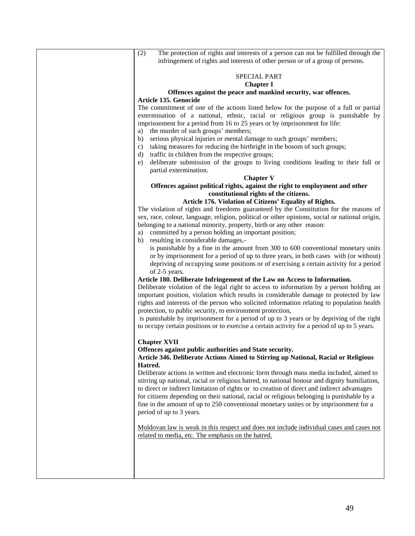(2) The protection of rights and interests of a person can not be fulfilled through the infringement of rights and interests of other person or of a group of persons.

#### SPECIAL PART **Chapter I**

## **Offences against the peace and mankind security, war offences.**

#### **Article 135. Genocide**

The commitment of one of the actions listed below for the purpose of a full or partial extermination of a national, ethnic, racial or religious group is punishable by imprisonment for a period from 16 to 25 years or by imprisonment for life:

- a) the murder of such groups' members;
- b) serious physical injuries or mental damage to such groups' members;
- c) taking measures for reducing the birthright in the bosom of such groups;
- d) traffic in children from the respective groups;
- e) deliberate submission of the groups to living conditions leading to their full or partial extermination.

#### **Chapter V**

#### **Offences against political rights, against the right to employment and other constitutional rights of the citizens.**

#### **Article 176. Violation of Citizens' Equality of Rights.**

The violation of rights and freedoms guaranteed by the Constitution for the reasons of sex, race, colour, language, religion, political or other opinions, social or national origin, belonging to a national minority, property, birth or any other reason:

- a) committed by a person holding an important position;
	- b) resulting in considerable damages,-

is punishable by a fine in the amount from 300 to 600 conventional monetary units or by imprisonment for a period of up to three years, in both cases with (or without) depriving of occupying some positions or of exercising a certain activity for a period of 2-5 years.

#### **Article 180. Deliberate Infringement of the Law on Access to Information.**

Deliberate violation of the legal right to access to information by a person holding an important position, violation which results in considerable damage to protected by law rights and interests of the person who solicited information relating to population health protection, to public security, to environment protection,

is punishable by imprisonment for a period of up to 3 years or by depriving of the right to occupy certain positions or to exercise a certain activity for a period of up to 5 years.

#### **Chapter XVII**

**Offences against public authorities and State security.**

**Article 346. Deliberate Actions Aimed to Stirring up National, Racial or Religious Hatred.**

Deliberate actions in written and electronic form through mass media included, aimed to stirring up national, racial or religious hatred, to national honour and dignity humiliation, to direct or indirect limitation of rights or to creation of direct and indirect advantages for citizens depending on their national, racial or religious belonging is punishable by a fine in the amount of up to 250 conventional monetary unites or by imprisonment for a period of up to 3 years.

Moldovan law is weak in this respect and does not include individual cases and cases not related to media, etc. The emphasis on the hatred.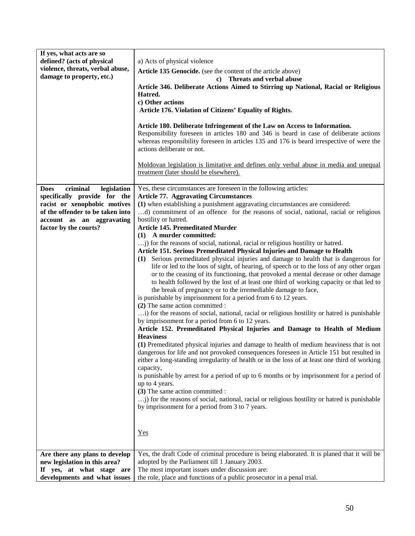| If yes, what acts are so<br>defined? (acts of physical<br>violence, threats, verbal abuse,<br>damage to property, etc.)                                                                          | a) Acts of physical violence<br>Article 135 Genocide. (see the content of the article above)<br>c) Threats and verbal abuse<br>Article 346. Deliberate Actions Aimed to Stirring up National, Racial or Religious<br>Hatred.<br>c) Other actions<br>Article 176. Violation of Citizens' Equality of Rights.<br>Article 180. Deliberate Infringement of the Law on Access to Information.<br>Responsibility foreseen in articles 180 and 346 is beard in case of deliberate actions<br>whereas responsibility foreseen in articles 135 and 176 is beard irrespective of were the<br>actions deliberate or not.<br>Moldovan legislation is limitative and defines only verbal abuse in media and unequal<br>treatment (later should be elsewhere).                                                                                                                                                                                                                                                                                                                                                                                                                                                                                                                                                                                                                                                                                                                                                                                                                                                                                                                                                                                                                                                                                                                                                                                                                                  |
|--------------------------------------------------------------------------------------------------------------------------------------------------------------------------------------------------|-----------------------------------------------------------------------------------------------------------------------------------------------------------------------------------------------------------------------------------------------------------------------------------------------------------------------------------------------------------------------------------------------------------------------------------------------------------------------------------------------------------------------------------------------------------------------------------------------------------------------------------------------------------------------------------------------------------------------------------------------------------------------------------------------------------------------------------------------------------------------------------------------------------------------------------------------------------------------------------------------------------------------------------------------------------------------------------------------------------------------------------------------------------------------------------------------------------------------------------------------------------------------------------------------------------------------------------------------------------------------------------------------------------------------------------------------------------------------------------------------------------------------------------------------------------------------------------------------------------------------------------------------------------------------------------------------------------------------------------------------------------------------------------------------------------------------------------------------------------------------------------------------------------------------------------------------------------------------------------|
|                                                                                                                                                                                                  |                                                                                                                                                                                                                                                                                                                                                                                                                                                                                                                                                                                                                                                                                                                                                                                                                                                                                                                                                                                                                                                                                                                                                                                                                                                                                                                                                                                                                                                                                                                                                                                                                                                                                                                                                                                                                                                                                                                                                                                   |
| criminal<br><b>Does</b><br>legislation<br>specifically provide for the<br>racist or xenophobic motives<br>of the offender to be taken into<br>account as an aggravating<br>factor by the courts? | Yes, these circumstances are foreseen in the following articles:<br><b>Article 77. Aggravating Circumstances</b><br>(1) when establishing a punishment aggravating circumstances are considered:<br>d) commitment of an offence for the reasons of social, national, racial or religious<br>hostility or hatred.<br><b>Article 145. Premeditated Murder</b><br>(1) A murder committed:<br>; for the reasons of social, national, racial or religious hostility or hatred.<br>Article 151. Serious Premeditated Physical Injuries and Damage to Health<br>Serious premeditated physical injuries and damage to health that is dangerous for<br>(1)<br>life or led to the loos of sight, of hearing, of speech or to the loss of any other organ<br>or to the ceasing of its functioning, that provoked a mental decease or other damage<br>to health followed by the lost of at least one third of working capacity or that led to<br>the break of pregnancy or to the irremediable damage to face,<br>is punishable by imprisonment for a period from 6 to 12 years.<br>(2) The same action committed :<br>) for the reasons of social, national, racial or religious hostility or hatred is punishable<br>by imprisonment for a period from 6 to 12 years.<br>Article 152. Premeditated Physical Injuries and Damage to Health of Medium<br><b>Heaviness</b><br>(1) Premeditated physical injuries and damage to health of medium heaviness that is not<br>dangerous for life and not provoked consequences foreseen in Article 151 but resulted in<br>either a long-standing irregularity of health or in the loss of at least one third of working<br>capacity,<br>is punishable by arrest for a period of up to 6 months or by imprisonment for a period of<br>up to 4 years.<br>(3) The same action committed :<br>j) for the reasons of social, national, racial or religious hostility or hatred is punishable<br>by imprisonment for a period from 3 to 7 years.<br>$Yes$ |
| Are there any plans to develop<br>new legislation in this area?                                                                                                                                  | Yes, the draft Code of criminal procedure is being elaborated. It is planed that it will be<br>adopted by the Parliament till 1 January 2003.                                                                                                                                                                                                                                                                                                                                                                                                                                                                                                                                                                                                                                                                                                                                                                                                                                                                                                                                                                                                                                                                                                                                                                                                                                                                                                                                                                                                                                                                                                                                                                                                                                                                                                                                                                                                                                     |
| If yes, at what stage are                                                                                                                                                                        | The most important issues under discussion are:                                                                                                                                                                                                                                                                                                                                                                                                                                                                                                                                                                                                                                                                                                                                                                                                                                                                                                                                                                                                                                                                                                                                                                                                                                                                                                                                                                                                                                                                                                                                                                                                                                                                                                                                                                                                                                                                                                                                   |
| developments and what issues                                                                                                                                                                     | the role, place and functions of a public prosecutor in a penal trial.                                                                                                                                                                                                                                                                                                                                                                                                                                                                                                                                                                                                                                                                                                                                                                                                                                                                                                                                                                                                                                                                                                                                                                                                                                                                                                                                                                                                                                                                                                                                                                                                                                                                                                                                                                                                                                                                                                            |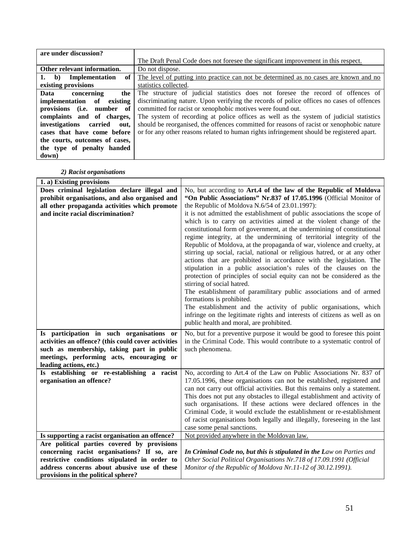| are under discussion?                             |                                                                                           |
|---------------------------------------------------|-------------------------------------------------------------------------------------------|
|                                                   | The Draft Penal Code does not foresee the significant improvement in this respect.        |
| Other relevant information.                       | Do not dispose.                                                                           |
| of <sub>1</sub><br>Implementation<br>$\mathbf{b}$ | The level of putting into practice can not be determined as no cases are known and no     |
| existing provisions                               | statistics collected.                                                                     |
| Data<br>concerning<br>the 1                       | The structure of judicial statistics does not foresee the record of offences of           |
| existing<br>implementation of                     | discriminating nature. Upon verifying the records of police offices no cases of offences  |
| provisions (i.e. number of                        | committed for racist or xenophobic motives were found out.                                |
| complaints and of charges,                        | The system of recording at police offices as well as the system of judicial statistics    |
| investigations<br>carried<br>out.                 | should be reorganised, the offences committed for reasons of racist or xenophobic nature  |
| cases that have come before                       | or for any other reasons related to human rights infringement should be registered apart. |
| the courts, outcomes of cases,                    |                                                                                           |
| the type of penalty handed                        |                                                                                           |
| down)                                             |                                                                                           |

# *2) Racist organisations*

| 1. a) Existing provisions                                             |                                                                                                 |
|-----------------------------------------------------------------------|-------------------------------------------------------------------------------------------------|
| Does criminal legislation declare illegal and                         | No, but according to Art.4 of the law of the Republic of Moldova                                |
| prohibit organisations, and also organised and                        | "On Public Associations" Nr.837 of 17.05.1996 (Official Monitor of                              |
| all other propaganda activities which promote                         | the Republic of Moldova N.6/54 of 23.01.1997):                                                  |
| and incite racial discrimination?                                     | it is not admitted the establishment of public associations the scope of                        |
|                                                                       | which is to carry on activities aimed at the violent change of the                              |
|                                                                       | constitutional form of government, at the undermining of constitutional                         |
|                                                                       | regime integrity, at the undermining of territorial integrity of the                            |
|                                                                       | Republic of Moldova, at the propaganda of war, violence and cruelty, at                         |
|                                                                       | stirring up social, racial, national or religious hatred, or at any other                       |
|                                                                       | actions that are prohibited in accordance with the legislation. The                             |
|                                                                       | stipulation in a public association's rules of the clauses on the                               |
|                                                                       | protection of principles of social equity can not be considered as the                          |
|                                                                       | stirring of social hatred.                                                                      |
|                                                                       | The establishment of paramilitary public associations and of armed<br>formations is prohibited. |
|                                                                       | The establishment and the activity of public organisations, which                               |
|                                                                       | infringe on the legitimate rights and interests of citizens as well as on                       |
|                                                                       | public health and moral, are prohibited.                                                        |
|                                                                       |                                                                                                 |
| Is participation in such organisations or                             | No, but for a preventive purpose it would be good to foresee this point                         |
| activities an offence? (this could cover activities                   | in the Criminal Code. This would contribute to a systematic control of                          |
| such as membership, taking part in public                             | such phenomena.                                                                                 |
| meetings, performing acts, encouraging or                             |                                                                                                 |
| leading actions, etc.)<br>Is establishing or re-establishing a racist | No, according to Art.4 of the Law on Public Associations Nr. 837 of                             |
| organisation an offence?                                              | 17.05.1996, these organisations can not be established, registered and                          |
|                                                                       | can not carry out official activities. But this remains only a statement.                       |
|                                                                       | This does not put any obstacles to illegal establishment and activity of                        |
|                                                                       | such organisations. If these actions were declared offences in the                              |
|                                                                       | Criminal Code, it would exclude the establishment or re-establishment                           |
|                                                                       | of racist organisations both legally and illegally, foreseeing in the last                      |
|                                                                       | case some penal sanctions.                                                                      |
| Is supporting a racist organisation an offence?                       | Not provided anywhere in the Moldovan law.                                                      |
| Are political parties covered by provisions                           |                                                                                                 |
| concerning racist organisations? If so, are                           | In Criminal Code no, but this is stipulated in the Law on Parties and                           |
| restrictive conditions stipulated in order to                         | Other Social Political Organisations Nr.718 of 17.09.1991 (Official                             |
| address concerns about abusive use of these                           | Monitor of the Republic of Moldova Nr.11-12 of 30.12.1991).                                     |
| provisions in the political sphere?                                   |                                                                                                 |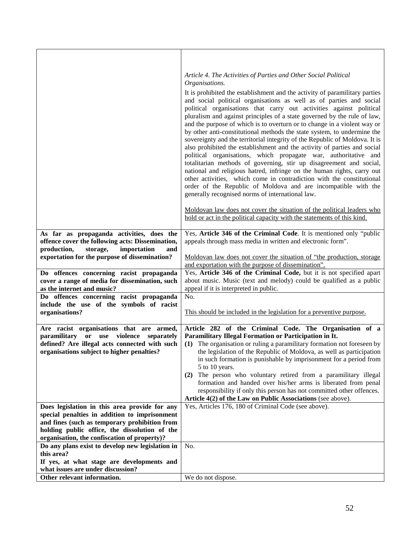|                                                                                                                                                                                                 | Article 4. The Activities of Parties and Other Social Political<br>Organisations.                                                                                                                                                                                                                                                                                                                                                                                                                                                                                                                                                                                                                                                                                                                                                                                                                                                                                                                                                                                                                                    |
|-------------------------------------------------------------------------------------------------------------------------------------------------------------------------------------------------|----------------------------------------------------------------------------------------------------------------------------------------------------------------------------------------------------------------------------------------------------------------------------------------------------------------------------------------------------------------------------------------------------------------------------------------------------------------------------------------------------------------------------------------------------------------------------------------------------------------------------------------------------------------------------------------------------------------------------------------------------------------------------------------------------------------------------------------------------------------------------------------------------------------------------------------------------------------------------------------------------------------------------------------------------------------------------------------------------------------------|
|                                                                                                                                                                                                 | It is prohibited the establishment and the activity of paramilitary parties<br>and social political organisations as well as of parties and social<br>political organisations that carry out activities against political<br>pluralism and against principles of a state governed by the rule of law,<br>and the purpose of which is to overturn or to change in a violent way or<br>by other anti-constitutional methods the state system, to undermine the<br>sovereignty and the territorial integrity of the Republic of Moldova. It is<br>also prohibited the establishment and the activity of parties and social<br>political organisations, which propagate war, authoritative and<br>totalitarian methods of governing, stir up disagreement and social,<br>national and religious hatred, infringe on the human rights, carry out<br>other activities, which come in contradiction with the constitutional<br>order of the Republic of Moldova and are incompatible with the<br>generally recognised norms of international law.<br>Moldovan law does not cover the situation of the political leaders who |
|                                                                                                                                                                                                 | hold or act in the political capacity with the statements of this kind.                                                                                                                                                                                                                                                                                                                                                                                                                                                                                                                                                                                                                                                                                                                                                                                                                                                                                                                                                                                                                                              |
| As far as propaganda activities, does the<br>offence cover the following acts: Dissemination,<br>storage,<br>importation<br>production,<br>and<br>exportation for the purpose of dissemination? | Yes, Article 346 of the Criminal Code. It is mentioned only "public<br>appeals through mass media in written and electronic form".<br>Moldovan law does not cover the situation of "the production, storage                                                                                                                                                                                                                                                                                                                                                                                                                                                                                                                                                                                                                                                                                                                                                                                                                                                                                                          |
|                                                                                                                                                                                                 | and exportation with the purpose of dissemination".                                                                                                                                                                                                                                                                                                                                                                                                                                                                                                                                                                                                                                                                                                                                                                                                                                                                                                                                                                                                                                                                  |
| Do offences concerning racist propaganda                                                                                                                                                        | Yes, Article 346 of the Criminal Code, but it is not specified apart                                                                                                                                                                                                                                                                                                                                                                                                                                                                                                                                                                                                                                                                                                                                                                                                                                                                                                                                                                                                                                                 |
| cover a range of media for dissemination, such                                                                                                                                                  | about music. Music (text and melody) could be qualified as a public<br>appeal if it is interpreted in public.                                                                                                                                                                                                                                                                                                                                                                                                                                                                                                                                                                                                                                                                                                                                                                                                                                                                                                                                                                                                        |
| as the internet and music?                                                                                                                                                                      | No.                                                                                                                                                                                                                                                                                                                                                                                                                                                                                                                                                                                                                                                                                                                                                                                                                                                                                                                                                                                                                                                                                                                  |
| Do offences concerning racist propaganda<br>include the use of the symbols of racist                                                                                                            |                                                                                                                                                                                                                                                                                                                                                                                                                                                                                                                                                                                                                                                                                                                                                                                                                                                                                                                                                                                                                                                                                                                      |
| organisations?                                                                                                                                                                                  | This should be included in the legislation for a preventive purpose.                                                                                                                                                                                                                                                                                                                                                                                                                                                                                                                                                                                                                                                                                                                                                                                                                                                                                                                                                                                                                                                 |
|                                                                                                                                                                                                 |                                                                                                                                                                                                                                                                                                                                                                                                                                                                                                                                                                                                                                                                                                                                                                                                                                                                                                                                                                                                                                                                                                                      |
| Are racist organisations that are armed,                                                                                                                                                        | Article 282 of the Criminal Code. The Organisation of a                                                                                                                                                                                                                                                                                                                                                                                                                                                                                                                                                                                                                                                                                                                                                                                                                                                                                                                                                                                                                                                              |
| paramilitary or use<br>violence separately                                                                                                                                                      | Paramilitary Illegal Formation or Participation in It.                                                                                                                                                                                                                                                                                                                                                                                                                                                                                                                                                                                                                                                                                                                                                                                                                                                                                                                                                                                                                                                               |
| defined? Are illegal acts connected with such                                                                                                                                                   | (1) The organisation or ruling a paramilitary formation not foreseen by                                                                                                                                                                                                                                                                                                                                                                                                                                                                                                                                                                                                                                                                                                                                                                                                                                                                                                                                                                                                                                              |
| organisations subject to higher penalties?                                                                                                                                                      | the legislation of the Republic of Moldova, as well as participation                                                                                                                                                                                                                                                                                                                                                                                                                                                                                                                                                                                                                                                                                                                                                                                                                                                                                                                                                                                                                                                 |
|                                                                                                                                                                                                 | in such formation is punishable by imprisonment for a period from                                                                                                                                                                                                                                                                                                                                                                                                                                                                                                                                                                                                                                                                                                                                                                                                                                                                                                                                                                                                                                                    |
|                                                                                                                                                                                                 | 5 to 10 years.                                                                                                                                                                                                                                                                                                                                                                                                                                                                                                                                                                                                                                                                                                                                                                                                                                                                                                                                                                                                                                                                                                       |
|                                                                                                                                                                                                 | The person who voluntary retired from a paramilitary illegal<br>(2)                                                                                                                                                                                                                                                                                                                                                                                                                                                                                                                                                                                                                                                                                                                                                                                                                                                                                                                                                                                                                                                  |
|                                                                                                                                                                                                 | formation and handed over his/her arms is liberated from penal                                                                                                                                                                                                                                                                                                                                                                                                                                                                                                                                                                                                                                                                                                                                                                                                                                                                                                                                                                                                                                                       |
|                                                                                                                                                                                                 | responsibility if only this person has not committed other offences.<br>Article 4(2) of the Law on Public Associations (see above).                                                                                                                                                                                                                                                                                                                                                                                                                                                                                                                                                                                                                                                                                                                                                                                                                                                                                                                                                                                  |
| Does legislation in this area provide for any                                                                                                                                                   | Yes, Articles 176, 180 of Criminal Code (see above).                                                                                                                                                                                                                                                                                                                                                                                                                                                                                                                                                                                                                                                                                                                                                                                                                                                                                                                                                                                                                                                                 |
| special penalties in addition to imprisonment                                                                                                                                                   |                                                                                                                                                                                                                                                                                                                                                                                                                                                                                                                                                                                                                                                                                                                                                                                                                                                                                                                                                                                                                                                                                                                      |
| and fines (such as temporary prohibition from                                                                                                                                                   |                                                                                                                                                                                                                                                                                                                                                                                                                                                                                                                                                                                                                                                                                                                                                                                                                                                                                                                                                                                                                                                                                                                      |
| holding public office, the dissolution of the                                                                                                                                                   |                                                                                                                                                                                                                                                                                                                                                                                                                                                                                                                                                                                                                                                                                                                                                                                                                                                                                                                                                                                                                                                                                                                      |
| organisation, the confiscation of property)?                                                                                                                                                    |                                                                                                                                                                                                                                                                                                                                                                                                                                                                                                                                                                                                                                                                                                                                                                                                                                                                                                                                                                                                                                                                                                                      |
| Do any plans exist to develop new legislation in                                                                                                                                                | No.                                                                                                                                                                                                                                                                                                                                                                                                                                                                                                                                                                                                                                                                                                                                                                                                                                                                                                                                                                                                                                                                                                                  |
| this area?                                                                                                                                                                                      |                                                                                                                                                                                                                                                                                                                                                                                                                                                                                                                                                                                                                                                                                                                                                                                                                                                                                                                                                                                                                                                                                                                      |
| If yes, at what stage are developments and                                                                                                                                                      |                                                                                                                                                                                                                                                                                                                                                                                                                                                                                                                                                                                                                                                                                                                                                                                                                                                                                                                                                                                                                                                                                                                      |
| what issues are under discussion?                                                                                                                                                               |                                                                                                                                                                                                                                                                                                                                                                                                                                                                                                                                                                                                                                                                                                                                                                                                                                                                                                                                                                                                                                                                                                                      |
| Other relevant information.                                                                                                                                                                     | We do not dispose.                                                                                                                                                                                                                                                                                                                                                                                                                                                                                                                                                                                                                                                                                                                                                                                                                                                                                                                                                                                                                                                                                                   |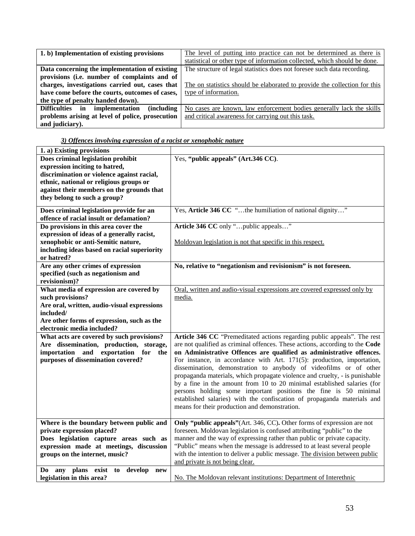| 1. b) Implementation of existing provisions          | The level of putting into practice can not be determined as there is      |
|------------------------------------------------------|---------------------------------------------------------------------------|
|                                                      | statistical or other type of information collected, which should be done. |
| Data concerning the implementation of existing       | The structure of legal statistics does not foresee such data recording.   |
| provisions (i.e. number of complaints and of         |                                                                           |
| charges, investigations carried out, cases that      | The on statistics should be elaborated to provide the collection for this |
| have come before the courts, outcomes of cases,      | type of information.                                                      |
| the type of penalty handed down).                    |                                                                           |
| Difficulties in implementation<br><i>(including)</i> | No cases are known, law enforcement bodies generally lack the skills      |
| problems arising at level of police, prosecution     | and critical awareness for carrying out this task.                        |
| and judiciary).                                      |                                                                           |

| 1. a) Existing provisions                     |                                                                              |
|-----------------------------------------------|------------------------------------------------------------------------------|
| Does criminal legislation prohibit            | Yes, "public appeals" (Art.346 CC).                                          |
| expression inciting to hatred,                |                                                                              |
| discrimination or violence against racial,    |                                                                              |
| ethnic, national or religious groups or       |                                                                              |
| against their members on the grounds that     |                                                                              |
| they belong to such a group?                  |                                                                              |
|                                               |                                                                              |
| Does criminal legislation provide for an      | Yes, Article 346 CC "the humiliation of national dignity"                    |
| offence of racial insult or defamation?       |                                                                              |
| Do provisions in this area cover the          | Article 346 CC only "public appeals"                                         |
| expression of ideas of a generally racist,    |                                                                              |
| xenophobic or anti-Semitic nature,            | Moldovan legislation is not that specific in this respect.                   |
| including ideas based on racial superiority   |                                                                              |
| or hatred?                                    |                                                                              |
| Are any other crimes of expression            | No, relative to "negationism and revisionism" is not foreseen.               |
| specified (such as negationism and            |                                                                              |
| revisionism)?                                 |                                                                              |
| What media of expression are covered by       | Oral, written and audio-visual expressions are covered expressed only by     |
| such provisions?                              | media.                                                                       |
| Are oral, written, audio-visual expressions   |                                                                              |
| included/                                     |                                                                              |
| Are other forms of expression, such as the    |                                                                              |
| electronic media included?                    |                                                                              |
| What acts are covered by such provisions?     | Article 346 CC "Premeditated actions regarding public appeals". The rest     |
| Are dissemination, production, storage,       | are not qualified as criminal offences. These actions, according to the Code |
| importation and exportation for<br>the        | on Administrative Offences are qualified as administrative offences.         |
| purposes of dissemination covered?            | For instance, in accordance with Art. 171(5): production, importation,       |
|                                               | dissemination, demonstration to anybody of videofilms or of other            |
|                                               | propaganda materials, which propagate violence and cruelty, - is punishable  |
|                                               | by a fine in the amount from 10 to 20 minimal established salaries (for      |
|                                               | persons holding some important positions the fine is 50 minimal              |
|                                               | established salaries) with the confiscation of propaganda materials and      |
|                                               | means for their production and demonstration.                                |
|                                               |                                                                              |
| Where is the boundary between public and      | Only "public appeals" (Art. 346, CC). Other forms of expression are not      |
| private expression placed?                    | foreseen. Moldovan legislation is confused attributing "public" to the       |
| Does legislation capture areas such as        | manner and the way of expressing rather than public or private capacity.     |
| expression made at meetings, discussion       | "Public" means when the message is addressed to at least several people      |
| groups on the internet, music?                | with the intention to deliver a public message. The division between public  |
|                                               | and private is not being clear.                                              |
| any plans exist<br>to<br>develop<br>Do<br>new |                                                                              |
| legislation in this area?                     | No. The Moldovan relevant institutions: Department of Interethnic            |
|                                               |                                                                              |

# *3) Offences involving expression of a racist or xenophobic nature*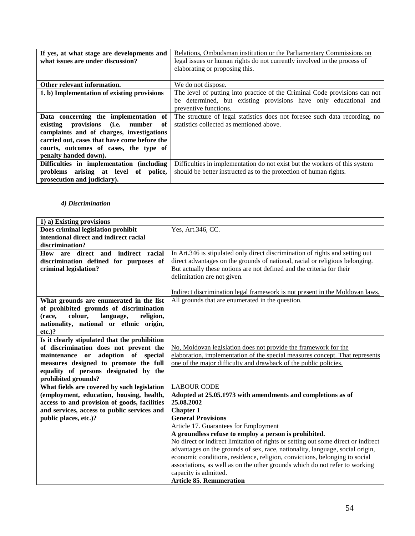| If yes, at what stage are developments and   | Relations, Ombudsman institution or the Parliamentary Commissions on       |
|----------------------------------------------|----------------------------------------------------------------------------|
| what issues are under discussion?            | legal issues or human rights do not currently involved in the process of   |
|                                              | elaborating or proposing this.                                             |
|                                              |                                                                            |
| Other relevant information.                  | We do not dispose.                                                         |
| 1. b) Implementation of existing provisions  | The level of putting into practice of the Criminal Code provisions can not |
|                                              | be determined, but existing provisions have only educational and           |
|                                              | preventive functions.                                                      |
| Data concerning the implementation of        | The structure of legal statistics does not foresee such data recording, no |
| existing provisions (i.e. number<br>of       | statistics collected as mentioned above.                                   |
| complaints and of charges, investigations    |                                                                            |
| carried out, cases that have come before the |                                                                            |
| courts, outcomes of cases, the type of       |                                                                            |
| penalty handed down).                        |                                                                            |
| Difficulties in implementation (including    | Difficulties in implementation do not exist but the workers of this system |
| problems arising at level of police,         | should be better instructed as to the protection of human rights.          |
| prosecution and judiciary).                  |                                                                            |

# *4) Discrimination*

| 1) a) Existing provisions                     |                                                                                   |
|-----------------------------------------------|-----------------------------------------------------------------------------------|
| Does criminal legislation prohibit            | Yes, Art.346, CC.                                                                 |
| intentional direct and indirect racial        |                                                                                   |
| discrimination?                               |                                                                                   |
| How are direct and indirect racial            | In Art.346 is stipulated only direct discrimination of rights and setting out     |
| discrimination defined for purposes of        | direct advantages on the grounds of national, racial or religious belonging.      |
| criminal legislation?                         | But actually these notions are not defined and the criteria for their             |
|                                               | delimitation are not given.                                                       |
|                                               |                                                                                   |
|                                               | Indirect discrimination legal framework is not present in the Moldovan laws.      |
| What grounds are enumerated in the list       | All grounds that are enumerated in the question.                                  |
| of prohibited grounds of discrimination       |                                                                                   |
| colour,<br>language,<br>religion,<br>(race,   |                                                                                   |
| nationality, national or ethnic origin,       |                                                                                   |
| $etc.$ )?                                     |                                                                                   |
| Is it clearly stipulated that the prohibition |                                                                                   |
| of discrimination does not prevent the        | No, Moldovan legislation does not provide the framework for the                   |
| maintenance or adoption of special            | elaboration, implementation of the special measures concept. That represents      |
| measures designed to promote the full         | one of the major difficulty and drawback of the public policies.                  |
| equality of persons designated by the         |                                                                                   |
| prohibited grounds?                           |                                                                                   |
| What fields are covered by such legislation   | <b>LABOUR CODE</b>                                                                |
| (employment, education, housing, health,      | Adopted at 25.05.1973 with amendments and completions as of                       |
| access to and provision of goods, facilities  | 25.08.2002                                                                        |
| and services, access to public services and   | <b>Chapter I</b>                                                                  |
| public places, etc.)?                         | <b>General Provisions</b>                                                         |
|                                               | Article 17. Guarantees for Employment                                             |
|                                               | A groundless refuse to employ a person is prohibited.                             |
|                                               | No direct or indirect limitation of rights or setting out some direct or indirect |
|                                               | advantages on the grounds of sex, race, nationality, language, social origin,     |
|                                               | economic conditions, residence, religion, convictions, belonging to social        |
|                                               | associations, as well as on the other grounds which do not refer to working       |
|                                               | capacity is admitted.                                                             |
|                                               | <b>Article 85. Remuneration</b>                                                   |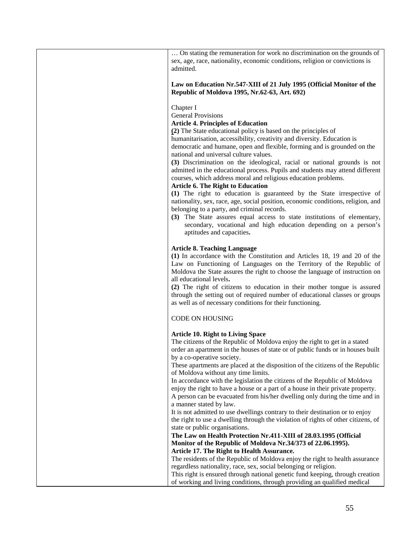… On stating the remuneration for work no discrimination on the grounds of sex, age, race, nationality, economic conditions, religion or convictions is admitted.

#### **Law on Education Nr.547-XIII of 21 July 1995 (Official Monitor of the Republic of Moldova 1995, Nr.62-63, Art. 692)**

Chapter I

General Provisions

**Article 4. Principles of Education**

**(2)** The State educational policy is based on the principles of

humanitarisation, accessibility, creativity and diversity. Education is democratic and humane, open and flexible, forming and is grounded on the national and universal culture values.

**(3)** Discrimination on the ideological, racial or national grounds is not admitted in the educational process. Pupils and students may attend different courses, which address moral and religious education problems.

#### **Article 6. The Right to Education**

**(1)** The right to education is guaranteed by the State irrespective of nationality, sex, race, age, social position, economic conditions, religion, and belonging to a party, and criminal records.

**(3)** The State assures equal access to state institutions of elementary, secondary, vocational and high education depending on a person's aptitudes and capacities**.**

#### **Article 8. Teaching Language**

**(1)** In accordance with the Constitution and Articles 18, 19 and 20 of the Law on Functioning of Languages on the Territory of the Republic of Moldova the State assures the right to choose the language of instruction on all educational levels**.**

**(2)** The right of citizens to education in their mother tongue is assured through the setting out of required number of educational classes or groups as well as of necessary conditions for their functioning.

#### CODE ON HOUSING

#### **Article 10. Right to Living Space**

The citizens of the Republic of Moldova enjoy the right to get in a stated order an apartment in the houses of state or of public funds or in houses built by a co-operative society.

These apartments are placed at the disposition of the citizens of the Republic of Moldova without any time limits.

In accordance with the legislation the citizens of the Republic of Moldova enjoy the right to have a house or a part of a house in their private property. A person can be evacuated from his/her dwelling only during the time and in a manner stated by law.

It is not admitted to use dwellings contrary to their destination or to enjoy the right to use a dwelling through the violation of rights of other citizens, of state or public organisations.

**The Law on Health Protection Nr.411-XIII of 28.03.1995 (Official Monitor of the Republic of Moldova Nr.34/373 of 22.06.1995). Article 17. The Right to Health Assurance.**

The residents of the Republic of Moldova enjoy the right to health assurance regardless nationality, race, sex, social belonging or religion.

This right is ensured through national genetic fund keeping, through creation of working and living conditions, through providing an qualified medical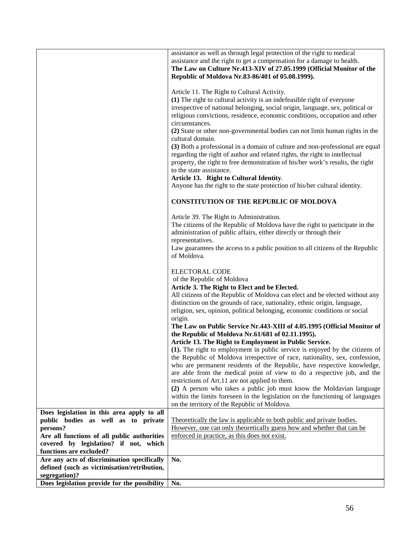|                                              | assistance as well as through legal protection of the right to medical         |
|----------------------------------------------|--------------------------------------------------------------------------------|
|                                              | assistance and the right to get a compensation for a damage to health.         |
|                                              |                                                                                |
|                                              | The Law on Culture Nr.413-XIV of 27.05.1999 (Official Monitor of the           |
|                                              | Republic of Moldova Nr.83-86/401 of 05.08.1999).                               |
|                                              |                                                                                |
|                                              | Article 11. The Right to Cultural Activity.                                    |
|                                              | (1) The right to cultural activity is an indefeasible right of everyone        |
|                                              | irrespective of national belonging, social origin, language, sex, political or |
|                                              | religious convictions, residence, economic conditions, occupation and other    |
|                                              | circumstances.                                                                 |
|                                              | (2) State or other non-governmental bodies can not limit human rights in the   |
|                                              | cultural domain.                                                               |
|                                              | (3) Both a professional in a domain of culture and non-professional are equal  |
|                                              | regarding the right of author and related rights, the right to intellectual    |
|                                              | property, the right to free demonstration of his/her work's results, the right |
|                                              | to the state assistance.                                                       |
|                                              | Article 13. Right to Cultural Identity.                                        |
|                                              | Anyone has the right to the state protection of his/her cultural identity.     |
|                                              |                                                                                |
|                                              | <b>CONSTITUTION OF THE REPUBLIC OF MOLDOVA</b>                                 |
|                                              |                                                                                |
|                                              | Article 39. The Right to Administration.                                       |
|                                              | The citizens of the Republic of Moldova have the right to participate in the   |
|                                              | administration of public affairs, either directly or through their             |
|                                              | representatives.                                                               |
|                                              | Law guarantees the access to a public position to all citizens of the Republic |
|                                              | of Moldova.                                                                    |
|                                              | <b>ELECTORAL CODE</b>                                                          |
|                                              | of the Republic of Moldova                                                     |
|                                              | Article 3. The Right to Elect and be Elected.                                  |
|                                              | All citizens of the Republic of Moldova can elect and be elected without any   |
|                                              | distinction on the grounds of race, nationality, ethnic origin, language,      |
|                                              | religion, sex, opinion, political belonging, economic conditions or social     |
|                                              | origin.                                                                        |
|                                              | The Law on Public Service Nr.443-XIII of 4.05.1995 (Official Monitor of        |
|                                              | the Republic of Moldova Nr.61/681 of 02.11.1995).                              |
|                                              | Article 13. The Right to Employment in Public Service.                         |
|                                              | (1). The right to employment in public service is enjoyed by the citizens of   |
|                                              | the Republic of Moldova irrespective of race, nationality, sex, confession,    |
|                                              | who are permanent residents of the Republic, have respective knowledge,        |
|                                              | are able from the medical point of view to do a respective job, and the        |
|                                              | restrictions of Art.11 are not applied to them.                                |
|                                              | (2) A person who takes a public job must know the Moldavian language           |
|                                              | within the limits foreseen in the legislation on the functioning of languages  |
|                                              | on the territory of the Republic of Moldova.                                   |
| Does legislation in this area apply to all   |                                                                                |
| public bodies as well as to private          | Theoretically the law is applicable to both public and private bodies.         |
| persons?                                     | However, one can only theoretically guess how and whether that can be          |
| Are all functions of all public authorities  | enforced in practice, as this does not exist.                                  |
| covered by legislation? if not, which        |                                                                                |
| functions are excluded?                      |                                                                                |
| Are any acts of discrimination specifically  | No.                                                                            |
| defined (such as victimisation/retribution,  |                                                                                |
| segregation)?                                |                                                                                |
| Does legislation provide for the possibility | No.                                                                            |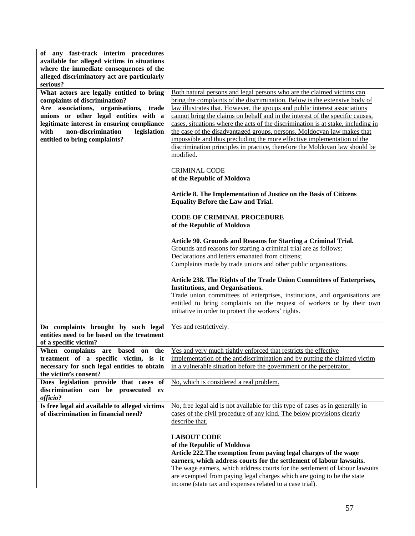| of any fast-track interim procedures<br>available for alleged victims in situations    |                                                                                                                                                             |
|----------------------------------------------------------------------------------------|-------------------------------------------------------------------------------------------------------------------------------------------------------------|
| where the immediate consequences of the<br>alleged discriminatory act are particularly |                                                                                                                                                             |
| serious?<br>What actors are legally entitled to bring                                  | Both natural persons and legal persons who are the claimed victims can                                                                                      |
| complaints of discrimination?                                                          | bring the complaints of the discrimination. Below is the extensive body of                                                                                  |
| Are associations, organisations, trade<br>unions or other legal entities with a        | law illustrates that. However, the groups and public interest associations<br>cannot bring the claims on behalf and in the interest of the specific causes, |
| legitimate interest in ensuring compliance                                             | cases, situations where the acts of the discrimination is at stake, including in                                                                            |
| non-discrimination<br>with<br>legislation                                              | the case of the disadvantaged groups, persons. Moldocvan law makes that                                                                                     |
| entitled to bring complaints?                                                          | impossible and thus precluding the more effective implementation of the                                                                                     |
|                                                                                        | discrimination principles in practice, therefore the Moldovan law should be<br>modified.                                                                    |
|                                                                                        | <b>CRIMINAL CODE</b>                                                                                                                                        |
|                                                                                        | of the Republic of Moldova                                                                                                                                  |
|                                                                                        | Article 8. The Implementation of Justice on the Basis of Citizens<br><b>Equality Before the Law and Trial.</b>                                              |
|                                                                                        | <b>CODE OF CRIMINAL PROCEDURE</b><br>of the Republic of Moldova                                                                                             |
|                                                                                        |                                                                                                                                                             |
|                                                                                        | Article 90. Grounds and Reasons for Starting a Criminal Trial.                                                                                              |
|                                                                                        | Grounds and reasons for starting a criminal trial are as follows:<br>Declarations and letters emanated from citizens;                                       |
|                                                                                        | Complaints made by trade unions and other public organisations.                                                                                             |
|                                                                                        |                                                                                                                                                             |
|                                                                                        | Article 238. The Rights of the Trade Union Committees of Enterprises,<br><b>Institutions, and Organisations.</b>                                            |
|                                                                                        | Trade union committees of enterprises, institutions, and organisations are                                                                                  |
|                                                                                        | entitled to bring complaints on the request of workers or by their own                                                                                      |
|                                                                                        | initiative in order to protect the workers' rights.                                                                                                         |
| Do complaints brought by such legal                                                    | Yes and restrictively.                                                                                                                                      |
| entities need to be based on the treatment                                             |                                                                                                                                                             |
| of a specific victim?<br>When complaints are based on the                              | Yes and very much tightly enforced that restricts the effective                                                                                             |
| treatment of a specific victim, is it                                                  | implementation of the antidiscrimination and by putting the claimed victim                                                                                  |
| necessary for such legal entities to obtain                                            | in a vulnerable situation before the government or the perpetrator.                                                                                         |
| the victim's consent?<br>Does legislation provide that cases of                        | No, which is considered a real problem.                                                                                                                     |
| discrimination can be prosecuted ex                                                    |                                                                                                                                                             |
| officio?                                                                               |                                                                                                                                                             |
| Is free legal aid available to alleged victims                                         | No, free legal aid is not available for this type of cases as in generally in                                                                               |
| of discrimination in financial need?                                                   | cases of the civil procedure of any kind. The below provisions clearly<br>describe that.                                                                    |
|                                                                                        |                                                                                                                                                             |
|                                                                                        | <b>LABOUT CODE</b>                                                                                                                                          |
|                                                                                        | of the Republic of Moldova                                                                                                                                  |
|                                                                                        | Article 222. The exemption from paying legal charges of the wage<br>earners, which address courts for the settlement of labour lawsuits.                    |
|                                                                                        | The wage earners, which address courts for the settlement of labour lawsuits                                                                                |
|                                                                                        | are exempted from paying legal charges which are going to be the state                                                                                      |
|                                                                                        | income (state tax and expenses related to a case trial).                                                                                                    |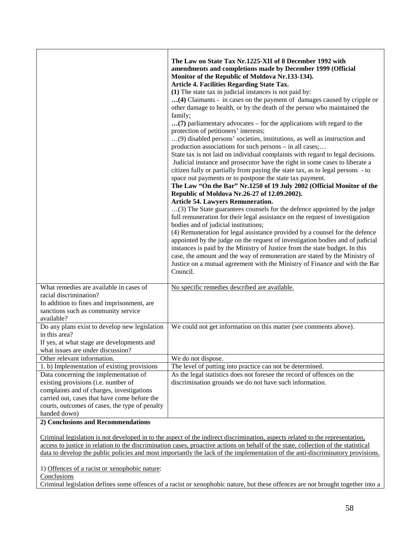|                                                                                                                                                                      | The Law on State Tax Nr.1225-XII of 8 December 1992 with<br>amendments and completions made by December 1999 (Official<br>Monitor of the Republic of Moldova Nr.133-134).<br><b>Article 4. Facilities Regarding State Tax.</b><br>(1) The state tax in judicial instances is not paid by:<br>(4) Claimants - in cases on the payment of damages caused by cripple or<br>other damage to health, or by the death of the person who maintained the<br>family;<br>(7) parliamentary advocates – for the applications with regard to the<br>protection of petitioners' interests;<br>(9) disabled persons' societies, institutions, as well as instruction and<br>production associations for such persons – in all cases;<br>State tax is not laid on individual complaints with regard to legal decisions.<br>Judicial instance and prosecutor have the right in some cases to liberate a<br>citizen fully or partially from paying the state tax, as to legal persons - to<br>space out payments or to postpone the state tax payment.<br>The Law "On the Bar" Nr.1250 of 19 July 2002 (Official Monitor of the<br>Republic of Moldova Nr.26-27 of 12.09.2002).<br><b>Article 54. Lawyers Remuneration.</b><br>(3) The State guarantees counsels for the defence appointed by the judge<br>full remuneration for their legal assistance on the request of investigation<br>bodies and of judicial institutions;<br>(4) Remuneration for legal assistance provided by a counsel for the defence<br>appointed by the judge on the request of investigation bodies and of judicial<br>instances is paid by the Ministry of Justice from the state budget. In this<br>case, the amount and the way of remuneration are stated by the Ministry of<br>Justice on a mutual agreement with the Ministry of Finance and with the Bar<br>Council. |
|----------------------------------------------------------------------------------------------------------------------------------------------------------------------|----------------------------------------------------------------------------------------------------------------------------------------------------------------------------------------------------------------------------------------------------------------------------------------------------------------------------------------------------------------------------------------------------------------------------------------------------------------------------------------------------------------------------------------------------------------------------------------------------------------------------------------------------------------------------------------------------------------------------------------------------------------------------------------------------------------------------------------------------------------------------------------------------------------------------------------------------------------------------------------------------------------------------------------------------------------------------------------------------------------------------------------------------------------------------------------------------------------------------------------------------------------------------------------------------------------------------------------------------------------------------------------------------------------------------------------------------------------------------------------------------------------------------------------------------------------------------------------------------------------------------------------------------------------------------------------------------------------------------------------------------------------------------------------------------------------------------------------|
| What remedies are available in cases of<br>racial discrimination?<br>In addition to fines and imprisonment, are<br>sanctions such as community service<br>available? | No specific remedies described are available.                                                                                                                                                                                                                                                                                                                                                                                                                                                                                                                                                                                                                                                                                                                                                                                                                                                                                                                                                                                                                                                                                                                                                                                                                                                                                                                                                                                                                                                                                                                                                                                                                                                                                                                                                                                          |
| Do any plans exist to develop new legislation<br>in this area?<br>If yes, at what stage are developments and<br>what issues are under discussion?                    | We could not get information on this matter (see comments above).                                                                                                                                                                                                                                                                                                                                                                                                                                                                                                                                                                                                                                                                                                                                                                                                                                                                                                                                                                                                                                                                                                                                                                                                                                                                                                                                                                                                                                                                                                                                                                                                                                                                                                                                                                      |
| Other relevant information.                                                                                                                                          | We do not dispose.                                                                                                                                                                                                                                                                                                                                                                                                                                                                                                                                                                                                                                                                                                                                                                                                                                                                                                                                                                                                                                                                                                                                                                                                                                                                                                                                                                                                                                                                                                                                                                                                                                                                                                                                                                                                                     |
| 1. b) Implementation of existing provisions                                                                                                                          | The level of putting into practice can not be determined.                                                                                                                                                                                                                                                                                                                                                                                                                                                                                                                                                                                                                                                                                                                                                                                                                                                                                                                                                                                                                                                                                                                                                                                                                                                                                                                                                                                                                                                                                                                                                                                                                                                                                                                                                                              |
| Data concerning the implementation of                                                                                                                                | As the legal statistics does not foresee the record of offences on the                                                                                                                                                                                                                                                                                                                                                                                                                                                                                                                                                                                                                                                                                                                                                                                                                                                                                                                                                                                                                                                                                                                                                                                                                                                                                                                                                                                                                                                                                                                                                                                                                                                                                                                                                                 |
| existing provisions (i.e. number of                                                                                                                                  | discrimination grounds we do not have such information.                                                                                                                                                                                                                                                                                                                                                                                                                                                                                                                                                                                                                                                                                                                                                                                                                                                                                                                                                                                                                                                                                                                                                                                                                                                                                                                                                                                                                                                                                                                                                                                                                                                                                                                                                                                |
| complaints and of charges, investigations                                                                                                                            |                                                                                                                                                                                                                                                                                                                                                                                                                                                                                                                                                                                                                                                                                                                                                                                                                                                                                                                                                                                                                                                                                                                                                                                                                                                                                                                                                                                                                                                                                                                                                                                                                                                                                                                                                                                                                                        |
| carried out, cases that have come before the                                                                                                                         |                                                                                                                                                                                                                                                                                                                                                                                                                                                                                                                                                                                                                                                                                                                                                                                                                                                                                                                                                                                                                                                                                                                                                                                                                                                                                                                                                                                                                                                                                                                                                                                                                                                                                                                                                                                                                                        |
| courts, outcomes of cases, the type of penalty                                                                                                                       |                                                                                                                                                                                                                                                                                                                                                                                                                                                                                                                                                                                                                                                                                                                                                                                                                                                                                                                                                                                                                                                                                                                                                                                                                                                                                                                                                                                                                                                                                                                                                                                                                                                                                                                                                                                                                                        |
| handed down)                                                                                                                                                         |                                                                                                                                                                                                                                                                                                                                                                                                                                                                                                                                                                                                                                                                                                                                                                                                                                                                                                                                                                                                                                                                                                                                                                                                                                                                                                                                                                                                                                                                                                                                                                                                                                                                                                                                                                                                                                        |
| 2) Conclusions and Recommendations                                                                                                                                   |                                                                                                                                                                                                                                                                                                                                                                                                                                                                                                                                                                                                                                                                                                                                                                                                                                                                                                                                                                                                                                                                                                                                                                                                                                                                                                                                                                                                                                                                                                                                                                                                                                                                                                                                                                                                                                        |

Criminal legislation is not developed in to the aspect of the indirect discrimination, aspects related to the representation, access to justice in relation to the discrimination cases, proactive actions on behalf of the state, collection of the statistical data to develop the public policies and most importantly the lack of the implementation of the anti-discriminatory provisions.

1) Offences of a racist or xenophobic nature:

**Conclusions** 

Criminal legislation defines some offences of a racist or xenophobic nature, but these offences are not brought together into a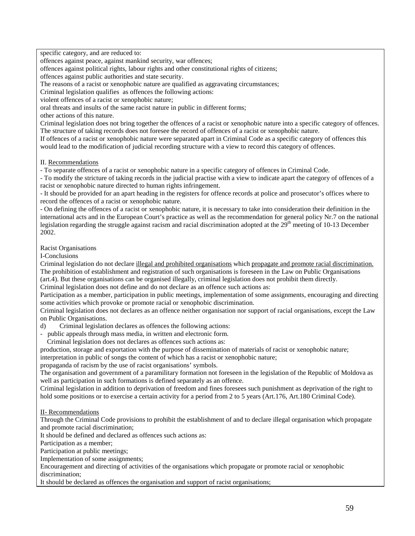specific category, and are reduced to:

offences against peace, against mankind security, war offences;

offences against political rights, labour rights and other constitutional rights of citizens;

offences against public authorities and state security.

The reasons of a racist or xenophobic nature are qualified as aggravating circumstances;

Criminal legislation qualifies as offences the following actions:

violent offences of a racist or xenophobic nature;

oral threats and insults of the same racist nature in public in different forms;

other actions of this nature.

Criminal legislation does not bring together the offences of a racist or xenophobic nature into a specific category of offences. The structure of taking records does not foresee the record of offences of a racist or xenophobic nature.

If offences of a racist or xenophobic nature were separated apart in Criminal Code as a specific category of offences this would lead to the modification of judicial recording structure with a view to record this category of offences.

II. Recommendations

- To separate offences of a racist or xenophobic nature in a specific category of offences in Criminal Code.

- To modify the stricture of taking records in the judicial practise with a view to indicate apart the category of offences of a racist or xenophobic nature directed to human rights infringement.

- It should be provided for an apart heading in the registers for offence records at police and prosecutor's offices where to record the offences of a racist or xenophobic nature.

- On defining the offences of a racist or xenophobic nature, it is necessary to take into consideration their definition in the international acts and in the European Court's practice as well as the recommendation for general policy Nr.7 on the national legislation regarding the struggle against racism and racial discrimination adopted at the  $29<sup>th</sup>$  meeting of 10-13 December 2002.

Racist Organisations

I-Conclusions

Criminal legislation do not declare illegal and prohibited organisations which propagate and promote racial discrimination. The prohibition of establishment and registration of such organisations is foreseen in the Law on Public Organisations (art.4). But these organisations can be organised illegally, criminal legislation does not prohibit them directly.

Criminal legislation does not define and do not declare as an offence such actions as:

Participation as a member, participation in public meetings, implementation of some assignments, encouraging and directing some activities which provoke or promote racial or xenophobic discrimination.

Criminal legislation does not declares as an offence neither organisation nor support of racial organisations, except the Law on Public Organisations.

d) Criminal legislation declares as offences the following actions:

- public appeals through mass media, in written and electronic form.

Criminal legislation does not declares as offences such actions as:

production, storage and exportation with the purpose of dissemination of materials of racist or xenophobic nature;

interpretation in public of songs the content of which has a racist or xenophobic nature;

propaganda of racism by the use of racist organisations' symbols.

The organisation and government of a paramilitary formation not foreseen in the legislation of the Republic of Moldova as well as participation in such formations is defined separately as an offence.

Criminal legislation in addition to deprivation of freedom and fines foresees such punishment as deprivation of the right to hold some positions or to exercise a certain activity for a period from 2 to 5 years (Art.176, Art.180 Criminal Code).

II- Recommendations

Through the Criminal Code provisions to prohibit the establishment of and to declare illegal organisation which propagate and promote racial discrimination;

It should be defined and declared as offences such actions as:

Participation as a member;

Participation at public meetings;

Implementation of some assignments;

Encouragement and directing of activities of the organisations which propagate or promote racial or xenophobic discrimination;

It should be declared as offences the organisation and support of racist organisations;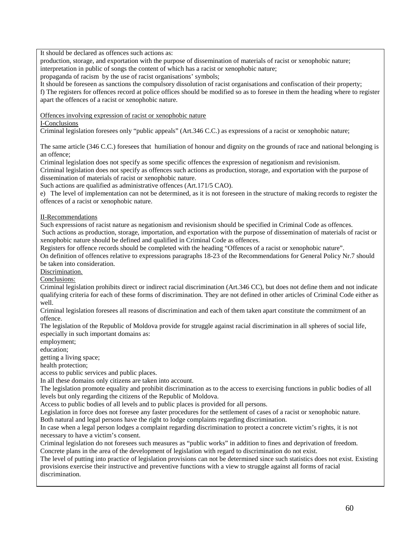It should be declared as offences such actions as:

production, storage, and exportation with the purpose of dissemination of materials of racist or xenophobic nature; interpretation in public of songs the content of which has a racist or xenophobic nature;

propaganda of racism by the use of racist organisations' symbols;

It should be foreseen as sanctions the compulsory dissolution of racist organisations and confiscation of their property;

f) The registers for offences record at police offices should be modified so as to foresee in them the heading where to register apart the offences of a racist or xenophobic nature.

Offences involving expression of racist or xenophobic nature

#### I-Conclusions

Criminal legislation foresees only "public appeals" (Art.346 C.C.) as expressions of a racist or xenophobic nature;

The same article (346 C.C.) foresees that humiliation of honour and dignity on the grounds of race and national belonging is an offence;

Criminal legislation does not specify as some specific offences the expression of negationism and revisionism.

Criminal legislation does not specify as offences such actions as production, storage, and exportation with the purpose of dissemination of materials of racist or xenophobic nature.

Such actions are qualified as administrative offences (Art.171/5 CAO).

e) The level of implementation can not be determined, as it is not foreseen in the structure of making records to register the offences of a racist or xenophobic nature.

II-Recommendations

Such expressions of racist nature as negationism and revisionism should be specified in Criminal Code as offences.

Such actions as production, storage, importation, and exportation with the purpose of dissemination of materials of racist or xenophobic nature should be defined and qualified in Criminal Code as offences.

Registers for offence records should be completed with the heading "Offences of a racist or xenophobic nature".

On definition of offences relative to expressions paragraphs 18-23 of the Recommendations for General Policy Nr.7 should be taken into consideration.

Discrimination.

Conclusions:

Criminal legislation prohibits direct or indirect racial discrimination (Art.346 CC), but does not define them and not indicate qualifying criteria for each of these forms of discrimination. They are not defined in other articles of Criminal Code either as well.

Criminal legislation foresees all reasons of discrimination and each of them taken apart constitute the commitment of an offence.

The legislation of the Republic of Moldova provide for struggle against racial discrimination in all spheres of social life, especially in such important domains as:

employment;

education;

getting a living space;

health protection;

access to public services and public places.

In all these domains only citizens are taken into account.

The legislation promote equality and prohibit discrimination as to the access to exercising functions in public bodies of all levels but only regarding the citizens of the Republic of Moldova.

Access to public bodies of all levels and to public places is provided for all persons.

Legislation in force does not foresee any faster procedures for the settlement of cases of a racist or xenophobic nature. Both natural and legal persons have the right to lodge complaints regarding discrimination.

In case when a legal person lodges a complaint regarding discrimination to protect a concrete victim's rights, it is not necessary to have a victim's consent.

Criminal legislation do not foresees such measures as "public works" in addition to fines and deprivation of freedom. Concrete plans in the area of the development of legislation with regard to discrimination do not exist.

The level of putting into practice of legislation provisions can not be determined since such statistics does not exist. Existing provisions exercise their instructive and preventive functions with a view to struggle against all forms of racial discrimination.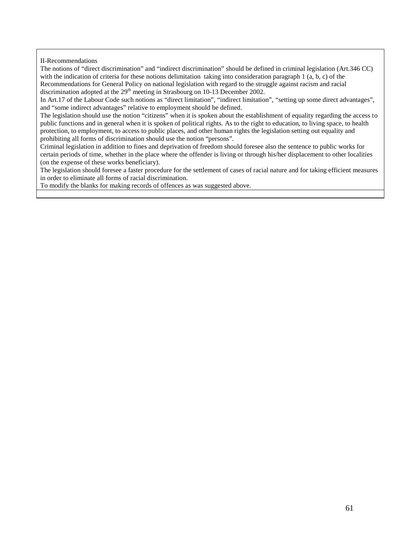II-Recommendations

The notions of "direct discrimination" and "indirect discrimination" should be defined in criminal legislation (Art.346 CC) with the indication of criteria for these notions delimitation taking into consideration paragraph  $1$  (a, b, c) of the Recommendations for General Policy on national legislation with regard to the struggle against racism and racial discrimination adopted at the  $29<sup>th</sup>$  meeting in Strasbourg on 10-13 December 2002.

In Art.17 of the Labour Code such notions as "direct limitation", "indirect limitation", "setting up some direct advantages", and "some indirect advantages" relative to employment should be defined.

The legislation should use the notion "citizens" when it is spoken about the establishment of equality regarding the access to public functions and in general when it is spoken of political rights. As to the right to education, to living space, to health protection, to employment, to access to public places, and other human rights the legislation setting out equality and prohibiting all forms of discrimination should use the notion "persons".

Criminal legislation in addition to fines and deprivation of freedom should foresee also the sentence to public works for certain periods of time, whether in the place where the offender is living or through his/her displacement to other localities (on the expense of these works beneficiary).

The legislation should foresee a faster procedure for the settlement of cases of racial nature and for taking efficient measures in order to eliminate all forms of racial discrimination.

To modify the blanks for making records of offences as was suggested above.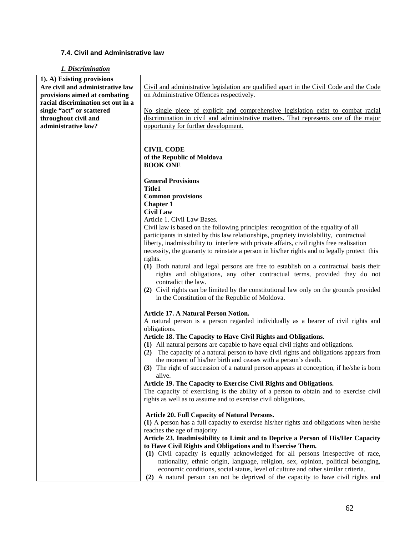## **7.4. Civil and Administrative law**

## *1. Discrimination*

| 1). A) Existing provisions         |                                                                                             |
|------------------------------------|---------------------------------------------------------------------------------------------|
| Are civil and administrative law   | Civil and administrative legislation are qualified apart in the Civil Code and the Code     |
| provisions aimed at combating      | on Administrative Offences respectively.                                                    |
| racial discrimination set out in a |                                                                                             |
| single "act" or scattered          | No single piece of explicit and comprehensive legislation exist to combat racial            |
| throughout civil and               | discrimination in civil and administrative matters. That represents one of the major        |
| administrative law?                | opportunity for further development.                                                        |
|                                    |                                                                                             |
|                                    |                                                                                             |
|                                    | <b>CIVIL CODE</b>                                                                           |
|                                    | of the Republic of Moldova                                                                  |
|                                    | <b>BOOK ONE</b>                                                                             |
|                                    |                                                                                             |
|                                    | <b>General Provisions</b>                                                                   |
|                                    | <b>Title1</b>                                                                               |
|                                    | <b>Common provisions</b>                                                                    |
|                                    | <b>Chapter 1</b>                                                                            |
|                                    | <b>Civil Law</b>                                                                            |
|                                    | Article 1. Civil Law Bases.                                                                 |
|                                    | Civil law is based on the following principles: recognition of the equality of all          |
|                                    |                                                                                             |
|                                    | participants in stated by this law relationships, propriety inviolability, contractual      |
|                                    | liberty, inadmissibility to interfere with private affairs, civil rights free realisation   |
|                                    | necessity, the guaranty to reinstate a person in his/her rights and to legally protect this |
|                                    | rights.                                                                                     |
|                                    | (1) Both natural and legal persons are free to establish on a contractual basis their       |
|                                    | rights and obligations, any other contractual terms, provided they do not                   |
|                                    | contradict the law.                                                                         |
|                                    | (2) Civil rights can be limited by the constitutional law only on the grounds provided      |
|                                    | in the Constitution of the Republic of Moldova.                                             |
|                                    |                                                                                             |
|                                    | <b>Article 17. A Natural Person Notion.</b>                                                 |
|                                    | A natural person is a person regarded individually as a bearer of civil rights and          |
|                                    | obligations.                                                                                |
|                                    | Article 18. The Capacity to Have Civil Rights and Obligations.                              |
|                                    | (1) All natural persons are capable to have equal civil rights and obligations.             |
|                                    | (2) The capacity of a natural person to have civil rights and obligations appears from      |
|                                    | the moment of his/her birth and ceases with a person's death.                               |
|                                    | (3) The right of succession of a natural person appears at conception, if he/she is born    |
|                                    | alive.                                                                                      |
|                                    | Article 19. The Capacity to Exercise Civil Rights and Obligations.                          |
|                                    | The capacity of exercising is the ability of a person to obtain and to exercise civil       |
|                                    | rights as well as to assume and to exercise civil obligations.                              |
|                                    |                                                                                             |
|                                    | <b>Article 20. Full Capacity of Natural Persons.</b>                                        |
|                                    | (1) A person has a full capacity to exercise his/her rights and obligations when he/she     |
|                                    | reaches the age of majority.                                                                |
|                                    | Article 23. Inadmissibility to Limit and to Deprive a Person of His/Her Capacity            |
|                                    | to Have Civil Rights and Obligations and to Exercise Them.                                  |
|                                    | (1) Civil capacity is equally acknowledged for all persons irrespective of race,            |
|                                    | nationality, ethnic origin, language, religion, sex, opinion, political belonging,          |
|                                    | economic conditions, social status, level of culture and other similar criteria.            |
|                                    | (2) A natural person can not be deprived of the capacity to have civil rights and           |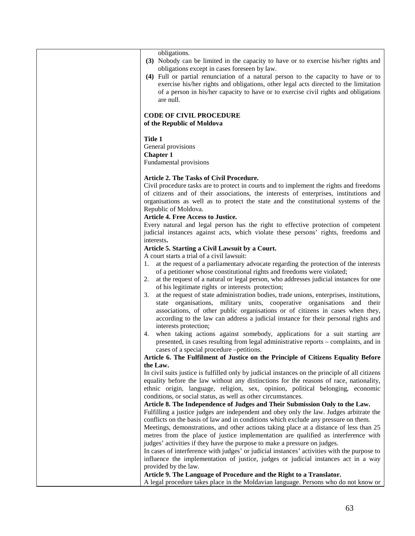| obligations.<br>(3) Nobody can be limited in the capacity to have or to exercise his/her rights and<br>obligations except in cases foreseen by law.<br>(4) Full or partial renunciation of a natural person to the capacity to have or to<br>exercise his/her rights and obligations, other legal acts directed to the limitation<br>of a person in his/her capacity to have or to exercise civil rights and obligations<br>are null. |
|---------------------------------------------------------------------------------------------------------------------------------------------------------------------------------------------------------------------------------------------------------------------------------------------------------------------------------------------------------------------------------------------------------------------------------------|
| <b>CODE OF CIVIL PROCEDURE</b><br>of the Republic of Moldova                                                                                                                                                                                                                                                                                                                                                                          |
| Title 1<br>General provisions<br><b>Chapter 1</b><br>Fundamental provisions                                                                                                                                                                                                                                                                                                                                                           |
| Article 2. The Tasks of Civil Procedure.<br>Civil procedure tasks are to protect in courts and to implement the rights and freedoms<br>of citizens and of their associations, the interests of enterprises, institutions and<br>organisations as well as to protect the state and the constitutional systems of the<br>Republic of Moldova.<br><b>Article 4. Free Access to Justice.</b>                                              |
| Every natural and legal person has the right to effective protection of competent<br>judicial instances against acts, which violate these persons' rights, freedoms and<br>interests.                                                                                                                                                                                                                                                 |
| Article 5. Starting a Civil Lawsuit by a Court.<br>A court starts a trial of a civil lawsuit:<br>at the request of a parliamentary advocate regarding the protection of the interests<br>1.<br>of a petitioner whose constitutional rights and freedoms were violated;<br>at the request of a natural or legal person, who addresses judicial instances for one<br>2.                                                                 |
| of his legitimate rights or interests protection;<br>at the request of state administration bodies, trade unions, enterprises, institutions,<br>3.<br>state organisations, military units, cooperative organisations and<br>their<br>associations, of other public organisations or of citizens in cases when they,<br>according to the law can address a judicial instance for their personal rights and<br>interests protection;    |
| 4. when taking actions against somebody, applications for a suit starting are<br>presented, in cases resulting from legal administrative reports – complaints, and in<br>cases of a special procedure -petitions.                                                                                                                                                                                                                     |
| Article 6. The Fulfilment of Justice on the Principle of Citizens Equality Before                                                                                                                                                                                                                                                                                                                                                     |
| the Law.<br>In civil suits justice is fulfilled only by judicial instances on the principle of all citizens<br>equality before the law without any distinctions for the reasons of race, nationality,<br>ethnic origin, language, religion, sex, opinion, political belonging, economic                                                                                                                                               |
| conditions, or social status, as well as other circumstances.<br>Article 8. The Independence of Judges and Their Submission Only to the Law.<br>Fulfilling a justice judges are independent and obey only the law. Judges arbitrate the                                                                                                                                                                                               |
| conflicts on the basis of law and in conditions which exclude any pressure on them.<br>Meetings, demonstrations, and other actions taking place at a distance of less than 25<br>metres from the place of justice implementation are qualified as interference with<br>judges' activities if they have the purpose to make a pressure on judges.                                                                                      |
| In cases of interference with judges' or judicial instances' activities with the purpose to<br>influence the implementation of justice, judges or judicial instances act in a way<br>provided by the law.                                                                                                                                                                                                                             |
| Article 9. The Language of Procedure and the Right to a Translator.<br>A legal procedure takes place in the Moldavian language. Persons who do not know or                                                                                                                                                                                                                                                                            |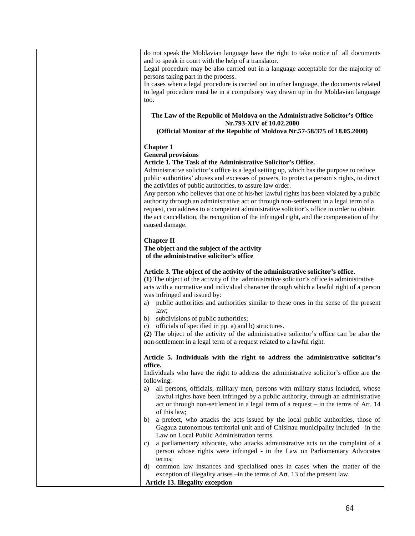| do not speak the Moldavian language have the right to take notice of all documents<br>and to speak in court with the help of a translator.                                         |
|------------------------------------------------------------------------------------------------------------------------------------------------------------------------------------|
| Legal procedure may be also carried out in a language acceptable for the majority of<br>persons taking part in the process.                                                        |
| In cases when a legal procedure is carried out in other language, the documents related                                                                                            |
| to legal procedure must be in a compulsory way drawn up in the Moldavian language                                                                                                  |
| too.                                                                                                                                                                               |
| The Law of the Republic of Moldova on the Administrative Solicitor's Office                                                                                                        |
| Nr.793-XIV of 10.02.2000                                                                                                                                                           |
| (Official Monitor of the Republic of Moldova Nr.57-58/375 of 18.05.2000)                                                                                                           |
| <b>Chapter 1</b>                                                                                                                                                                   |
| <b>General provisions</b>                                                                                                                                                          |
| Article 1. The Task of the Administrative Solicitor's Office.<br>Administrative solicitor's office is a legal setting up, which has the purpose to reduce                          |
| public authorities' abuses and excesses of powers, to protect a person's rights, to direct                                                                                         |
| the activities of public authorities, to assure law order.                                                                                                                         |
| Any person who believes that one of his/her lawful rights has been violated by a public                                                                                            |
| authority through an administrative act or through non-settlement in a legal term of a<br>request, can address to a competent administrative solicitor's office in order to obtain |
| the act cancellation, the recognition of the infringed right, and the compensation of the                                                                                          |
| caused damage.                                                                                                                                                                     |
| <b>Chapter II</b>                                                                                                                                                                  |
| The object and the subject of the activity                                                                                                                                         |
| of the administrative solicitor's office                                                                                                                                           |
| Article 3. The object of the activity of the administrative solicitor's office.                                                                                                    |
| (1) The object of the activity of the administrative solicitor's office is administrative                                                                                          |
| acts with a normative and individual character through which a lawful right of a person                                                                                            |
| was infringed and issued by:<br>public authorities and authorities similar to these ones in the sense of the present<br>a)                                                         |
| law;                                                                                                                                                                               |
| b) subdivisions of public authorities;                                                                                                                                             |
| officials of specified in pp. a) and b) structures.<br>C)<br>(2) The object of the activity of the administrative solicitor's office can be also the                               |
| non-settlement in a legal term of a request related to a lawful right.                                                                                                             |
|                                                                                                                                                                                    |
| Article 5. Individuals with the right to address the administrative solicitor's<br>office.                                                                                         |
| Individuals who have the right to address the administrative solicitor's office are the                                                                                            |
| following:                                                                                                                                                                         |
| all persons, officials, military men, persons with military status included, whose<br>a)<br>lawful rights have been infringed by a public authority, through an administrative     |
| act or through non-settlement in a legal term of a request – in the terms of Art. 14                                                                                               |
| of this law;                                                                                                                                                                       |
| a prefect, who attacks the acts issued by the local public authorities, those of<br>b)                                                                                             |
| Gagauz autonomous territorial unit and of Chisinau municipality included -in the<br>Law on Local Public Administration terms.                                                      |
| a parliamentary advocate, who attacks administrative acts on the complaint of a<br>C)                                                                                              |
| person whose rights were infringed - in the Law on Parliamentary Advocates                                                                                                         |
| terms;                                                                                                                                                                             |
| common law instances and specialised ones in cases when the matter of the<br>d)<br>exception of illegality arises -in the terms of Art. 13 of the present law.                     |
| <b>Article 13. Illegality exception</b>                                                                                                                                            |
|                                                                                                                                                                                    |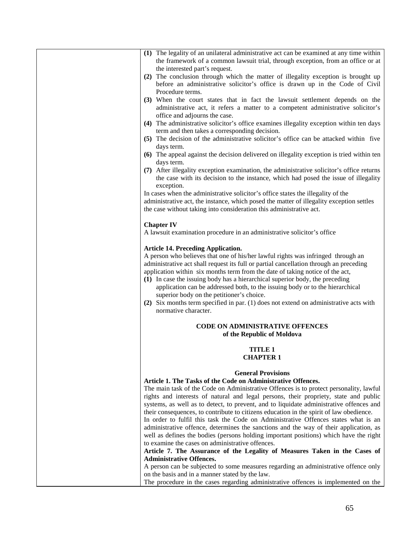| (1) The legality of an unilateral administrative act can be examined at any time within                                                                                      |
|------------------------------------------------------------------------------------------------------------------------------------------------------------------------------|
| the framework of a common lawsuit trial, through exception, from an office or at                                                                                             |
| the interested part's request.                                                                                                                                               |
| (2) The conclusion through which the matter of illegality exception is brought up<br>before an administrative solicitor's office is drawn up in the Code of Civil            |
| Procedure terms.                                                                                                                                                             |
| (3) When the court states that in fact the lawsuit settlement depends on the                                                                                                 |
| administrative act, it refers a matter to a competent administrative solicitor's                                                                                             |
| office and adjourns the case.                                                                                                                                                |
| (4) The administrative solicitor's office examines illegality exception within ten days                                                                                      |
| term and then takes a corresponding decision.                                                                                                                                |
| (5) The decision of the administrative solicitor's office can be attacked within five                                                                                        |
| days term.                                                                                                                                                                   |
| (6) The appeal against the decision delivered on illegality exception is tried within ten                                                                                    |
| days term.                                                                                                                                                                   |
| (7) After illegality exception examination, the administrative solicitor's office returns                                                                                    |
| the case with its decision to the instance, which had posed the issue of illegality                                                                                          |
| exception.                                                                                                                                                                   |
| In cases when the administrative solicitor's office states the illegality of the<br>administrative act, the instance, which posed the matter of illegality exception settles |
| the case without taking into consideration this administrative act.                                                                                                          |
|                                                                                                                                                                              |
| <b>Chapter IV</b>                                                                                                                                                            |
| A lawsuit examination procedure in an administrative solicitor's office                                                                                                      |
|                                                                                                                                                                              |
| <b>Article 14. Preceding Application.</b>                                                                                                                                    |
| A person who believes that one of his/her lawful rights was infringed through an                                                                                             |
| administrative act shall request its full or partial cancellation through an preceding                                                                                       |
| application within six months term from the date of taking notice of the act,                                                                                                |
| (1) In case the issuing body has a hierarchical superior body, the preceding                                                                                                 |
| application can be addressed both, to the issuing body or to the hierarchical                                                                                                |
| superior body on the petitioner's choice.<br>(2) Six months term specified in par. (1) does not extend on administrative acts with                                           |
| normative character.                                                                                                                                                         |
|                                                                                                                                                                              |
| <b>CODE ON ADMINISTRATIVE OFFENCES</b>                                                                                                                                       |
| of the Republic of Moldova                                                                                                                                                   |
|                                                                                                                                                                              |
| <b>TITLE 1</b>                                                                                                                                                               |
| <b>CHAPTER 1</b>                                                                                                                                                             |
| <b>General Provisions</b>                                                                                                                                                    |
| Article 1. The Tasks of the Code on Administrative Offences.                                                                                                                 |
| The main task of the Code on Administrative Offences is to protect personality, lawful                                                                                       |
| rights and interests of natural and legal persons, their propriety, state and public                                                                                         |
| systems, as well as to detect, to prevent, and to liquidate administrative offences and                                                                                      |
| their consequences, to contribute to citizens education in the spirit of law obedience.                                                                                      |
| In order to fulfil this task the Code on Administrative Offences states what is an                                                                                           |
| administrative offence, determines the sanctions and the way of their application, as                                                                                        |
| well as defines the bodies (persons holding important positions) which have the right                                                                                        |
| to examine the cases on administrative offences.                                                                                                                             |
| Article 7. The Assurance of the Legality of Measures Taken in the Cases of                                                                                                   |
| <b>Administrative Offences.</b>                                                                                                                                              |
| A person can be subjected to some measures regarding an administrative offence only                                                                                          |
| on the basis and in a manner stated by the law.<br>The procedure in the cases regarding administrative offences is implemented on the                                        |
|                                                                                                                                                                              |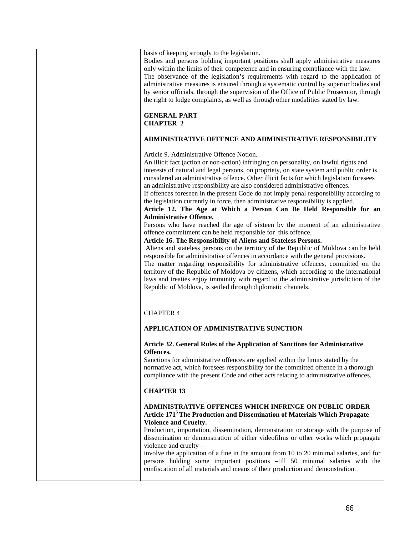| basis of keeping strongly to the legislation.<br>Bodies and persons holding important positions shall apply administrative measures<br>only within the limits of their competence and in ensuring compliance with the law.<br>The observance of the legislation's requirements with regard to the application of<br>administrative measures is ensured through a systematic control by superior bodies and<br>by senior officials, through the supervision of the Office of Public Prosecutor, through<br>the right to lodge complaints, as well as through other modalities stated by law.                                                                                                                                                                                                                                                                                                                                                                                                                                                                                                                                                                                                                                                                                                                                                                                                                                                          |
|------------------------------------------------------------------------------------------------------------------------------------------------------------------------------------------------------------------------------------------------------------------------------------------------------------------------------------------------------------------------------------------------------------------------------------------------------------------------------------------------------------------------------------------------------------------------------------------------------------------------------------------------------------------------------------------------------------------------------------------------------------------------------------------------------------------------------------------------------------------------------------------------------------------------------------------------------------------------------------------------------------------------------------------------------------------------------------------------------------------------------------------------------------------------------------------------------------------------------------------------------------------------------------------------------------------------------------------------------------------------------------------------------------------------------------------------------|
| <b>GENERAL PART</b><br><b>CHAPTER 2</b>                                                                                                                                                                                                                                                                                                                                                                                                                                                                                                                                                                                                                                                                                                                                                                                                                                                                                                                                                                                                                                                                                                                                                                                                                                                                                                                                                                                                              |
| ADMINISTRATIVE OFFENCE AND ADMINISTRATIVE RESPONSIBILITY                                                                                                                                                                                                                                                                                                                                                                                                                                                                                                                                                                                                                                                                                                                                                                                                                                                                                                                                                                                                                                                                                                                                                                                                                                                                                                                                                                                             |
| Article 9. Administrative Offence Notion.<br>An illicit fact (action or non-action) infringing on personality, on lawful rights and<br>interests of natural and legal persons, on propriety, on state system and public order is<br>considered an administrative offence. Other illicit facts for which legislation foresees<br>an administrative responsibility are also considered administrative offences.<br>If offences foreseen in the present Code do not imply penal responsibility according to<br>the legislation currently in force, then administrative responsibility is applied.<br>Article 12. The Age at Which a Person Can Be Held Responsible for an<br><b>Administrative Offence.</b><br>Persons who have reached the age of sixteen by the moment of an administrative<br>offence commitment can be held responsible for this offence.<br>Article 16. The Responsibility of Aliens and Stateless Persons.<br>Aliens and stateless persons on the territory of the Republic of Moldova can be held<br>responsible for administrative offences in accordance with the general provisions.<br>The matter regarding responsibility for administrative offences, committed on the<br>territory of the Republic of Moldova by citizens, which according to the international<br>laws and treaties enjoy immunity with regard to the administrative jurisdiction of the<br>Republic of Moldova, is settled through diplomatic channels. |
| <b>CHAPTER 4</b>                                                                                                                                                                                                                                                                                                                                                                                                                                                                                                                                                                                                                                                                                                                                                                                                                                                                                                                                                                                                                                                                                                                                                                                                                                                                                                                                                                                                                                     |
| APPLICATION OF ADMINISTRATIVE SUNCTION                                                                                                                                                                                                                                                                                                                                                                                                                                                                                                                                                                                                                                                                                                                                                                                                                                                                                                                                                                                                                                                                                                                                                                                                                                                                                                                                                                                                               |
| Article 32. General Rules of the Application of Sanctions for Administrative<br>Offences.<br>Sanctions for administrative offences are applied within the limits stated by the<br>normative act, which foresees responsibility for the committed offence in a thorough<br>compliance with the present Code and other acts relating to administrative offences.                                                                                                                                                                                                                                                                                                                                                                                                                                                                                                                                                                                                                                                                                                                                                                                                                                                                                                                                                                                                                                                                                       |
| <b>CHAPTER 13</b>                                                                                                                                                                                                                                                                                                                                                                                                                                                                                                                                                                                                                                                                                                                                                                                                                                                                                                                                                                                                                                                                                                                                                                                                                                                                                                                                                                                                                                    |
| ADMINISTRATIVE OFFENCES WHICH INFRINGE ON PUBLIC ORDER<br>Article 171 <sup>5</sup> The Production and Dissemination of Materials Which Propagate<br><b>Violence and Cruelty.</b><br>Production, importation, dissemination, demonstration or storage with the purpose of<br>dissemination or demonstration of either videofilms or other works which propagate<br>violence and cruelty -<br>involve the application of a fine in the amount from 10 to 20 minimal salaries, and for<br>persons holding some important positions -till 50 minimal salaries with the<br>confiscation of all materials and means of their production and demonstration.                                                                                                                                                                                                                                                                                                                                                                                                                                                                                                                                                                                                                                                                                                                                                                                                 |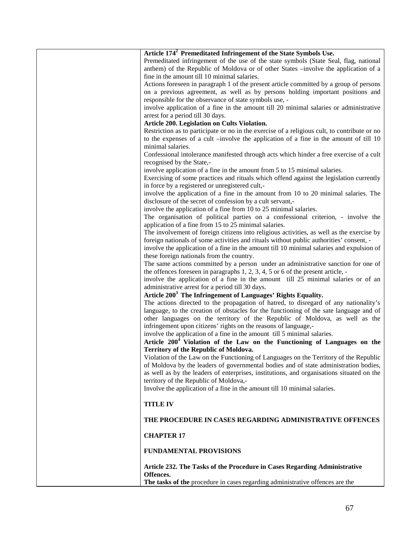| Article 174 <sup>2</sup> Premeditated Infringement of the State Symbols Use.                 |
|----------------------------------------------------------------------------------------------|
| Premeditated infringement of the use of the state symbols (State Seal, flag, national        |
| anthem) of the Republic of Moldova or of other States -involve the application of a          |
| fine in the amount till 10 minimal salaries.                                                 |
| Actions foreseen in paragraph 1 of the present article committed by a group of persons       |
| on a previous agreement, as well as by persons holding important positions and               |
| responsible for the observance of state symbols use, -                                       |
| involve application of a fine in the amount till 20 minimal salaries or administrative       |
| arrest for a period till 30 days.                                                            |
|                                                                                              |
| Article 200. Legislation on Cults Violation.                                                 |
| Restriction as to participate or no in the exercise of a religious cult, to contribute or no |
| to the expenses of a cult –involve the application of a fine in the amount of till 10        |
| minimal salaries.                                                                            |
| Confessional intolerance manifested through acts which hinder a free exercise of a cult      |
| recognised by the State,-                                                                    |
| involve application of a fine in the amount from 5 to 15 minimal salaries.                   |
| Exercising of some practices and rituals which offend against the legislation currently      |
| in force by a registered or unregistered cult,-                                              |
| involve the application of a fine in the amount from 10 to 20 minimal salaries. The          |
| disclosure of the secret of confession by a cult servant,-                                   |
| involve the application of a fine from 10 to 25 minimal salaries.                            |
| The organisation of political parties on a confessional criterion, - involve the             |
| application of a fine from 15 to 25 minimal salaries.                                        |
| The involvement of foreign citizens into religious activities, as well as the exercise by    |
|                                                                                              |
| foreign nationals of some activities and rituals without public authorities' consent, -      |
| involve the application of a fine in the amount till 10 minimal salaries and expulsion of    |
| these foreign nationals from the country.                                                    |
| The same actions committed by a person under an administrative sanction for one of           |
| the offences foreseen in paragraphs 1, 2, 3, 4, 5 or 6 of the present article, -             |
| involve the application of a fine in the amount till 25 minimal salaries or of an            |
| administrative arrest for a period till 30 days.                                             |
| Article 200 <sup>3</sup> The Infringement of Languages' Rights Equality.                     |
| The actions directed to the propagation of hatred, to disregard of any nationality's         |
| language, to the creation of obstacles for the functioning of the sate language and of       |
| other languages on the territory of the Republic of Moldova, as well as the                  |
| infringement upon citizens' rights on the reasons of language,-                              |
| involve the application of a fine in the amount till 5 minimal salaries.                     |
|                                                                                              |
| Article 200 <sup>4</sup> Violation of the Law on the Functioning of Languages on the         |
| <b>Territory of the Republic of Moldova.</b>                                                 |
| Violation of the Law on the Functioning of Languages on the Territory of the Republic        |
| of Moldova by the leaders of governmental bodies and of state administration bodies,         |
| as well as by the leaders of enterprises, institutions, and organisations situated on the    |
| territory of the Republic of Moldova,-                                                       |
| Involve the application of a fine in the amount till 10 minimal salaries.                    |
|                                                                                              |
| <b>TITLE IV</b>                                                                              |
|                                                                                              |
| THE PROCEDURE IN CASES REGARDING ADMINISTRATIVE OFFENCES                                     |
| <b>CHAPTER 17</b>                                                                            |
|                                                                                              |
| <b>FUNDAMENTAL PROVISIONS</b>                                                                |
|                                                                                              |
| Article 232. The Tasks of the Procedure in Cases Regarding Administrative                    |
| Offences.                                                                                    |
| The tasks of the procedure in cases regarding administrative offences are the                |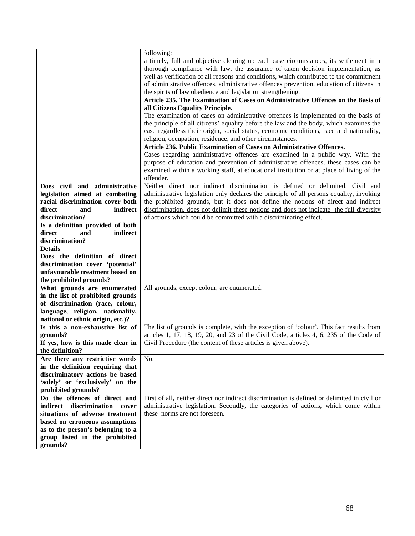|                                     | following:                                                                                                                                                                                                                                                                                                                                                                                                                      |
|-------------------------------------|---------------------------------------------------------------------------------------------------------------------------------------------------------------------------------------------------------------------------------------------------------------------------------------------------------------------------------------------------------------------------------------------------------------------------------|
|                                     | a timely, full and objective clearing up each case circumstances, its settlement in a<br>thorough compliance with law, the assurance of taken decision implementation, as<br>well as verification of all reasons and conditions, which contributed to the commitment<br>of administrative offences, administrative offences prevention, education of citizens in<br>the spirits of law obedience and legislation strengthening. |
|                                     | Article 235. The Examination of Cases on Administrative Offences on the Basis of                                                                                                                                                                                                                                                                                                                                                |
|                                     | all Citizens Equality Principle.                                                                                                                                                                                                                                                                                                                                                                                                |
|                                     | The examination of cases on administrative offences is implemented on the basis of                                                                                                                                                                                                                                                                                                                                              |
|                                     | the principle of all citizens' equality before the law and the body, which examines the<br>case regardless their origin, social status, economic conditions, race and nationality,                                                                                                                                                                                                                                              |
|                                     | religion, occupation, residence, and other circumstances.                                                                                                                                                                                                                                                                                                                                                                       |
|                                     | Article 236. Public Examination of Cases on Administrative Offences.                                                                                                                                                                                                                                                                                                                                                            |
|                                     | Cases regarding administrative offences are examined in a public way. With the                                                                                                                                                                                                                                                                                                                                                  |
|                                     | purpose of education and prevention of administrative offences, these cases can be                                                                                                                                                                                                                                                                                                                                              |
|                                     | examined within a working staff, at educational institution or at place of living of the                                                                                                                                                                                                                                                                                                                                        |
|                                     | offender.                                                                                                                                                                                                                                                                                                                                                                                                                       |
| Does civil and administrative       | Neither direct nor indirect discrimination is defined or delimited.<br>Civil and                                                                                                                                                                                                                                                                                                                                                |
| legislation aimed at combating      | administrative legislation only declares the principle of all persons equality, invoking                                                                                                                                                                                                                                                                                                                                        |
| racial discrimination cover both    | the prohibited grounds, but it does not define the notions of direct and indirect                                                                                                                                                                                                                                                                                                                                               |
| direct<br>indirect<br>and           | discrimination, does not delimit these notions and does not indicate the full diversity                                                                                                                                                                                                                                                                                                                                         |
| discrimination?                     | of actions which could be committed with a discriminating effect.                                                                                                                                                                                                                                                                                                                                                               |
| Is a definition provided of both    |                                                                                                                                                                                                                                                                                                                                                                                                                                 |
| indirect<br>direct<br>and           |                                                                                                                                                                                                                                                                                                                                                                                                                                 |
| discrimination?                     |                                                                                                                                                                                                                                                                                                                                                                                                                                 |
| <b>Details</b>                      |                                                                                                                                                                                                                                                                                                                                                                                                                                 |
| Does the definition of direct       |                                                                                                                                                                                                                                                                                                                                                                                                                                 |
| discrimination cover 'potential'    |                                                                                                                                                                                                                                                                                                                                                                                                                                 |
| unfavourable treatment based on     |                                                                                                                                                                                                                                                                                                                                                                                                                                 |
| the prohibited grounds?             |                                                                                                                                                                                                                                                                                                                                                                                                                                 |
| What grounds are enumerated         | All grounds, except colour, are enumerated.                                                                                                                                                                                                                                                                                                                                                                                     |
| in the list of prohibited grounds   |                                                                                                                                                                                                                                                                                                                                                                                                                                 |
| of discrimination (race, colour,    |                                                                                                                                                                                                                                                                                                                                                                                                                                 |
| language, religion, nationality,    |                                                                                                                                                                                                                                                                                                                                                                                                                                 |
| national or ethnic origin, etc.)?   |                                                                                                                                                                                                                                                                                                                                                                                                                                 |
| Is this a non-exhaustive list of    | The list of grounds is complete, with the exception of 'colour'. This fact results from                                                                                                                                                                                                                                                                                                                                         |
| grounds?                            | articles 1, 17, 18, 19, 20, and 23 of the Civil Code, articles 4, 6, 235 of the Code of                                                                                                                                                                                                                                                                                                                                         |
| If yes, how is this made clear in   | Civil Procedure (the content of these articles is given above).                                                                                                                                                                                                                                                                                                                                                                 |
| the definition?                     |                                                                                                                                                                                                                                                                                                                                                                                                                                 |
| Are there any restrictive words     | No.                                                                                                                                                                                                                                                                                                                                                                                                                             |
| in the definition requiring that    |                                                                                                                                                                                                                                                                                                                                                                                                                                 |
| discriminatory actions be based     |                                                                                                                                                                                                                                                                                                                                                                                                                                 |
| 'solely' or 'exclusively' on the    |                                                                                                                                                                                                                                                                                                                                                                                                                                 |
| prohibited grounds?                 |                                                                                                                                                                                                                                                                                                                                                                                                                                 |
| Do the offences of direct and       | First of all, neither direct nor indirect discrimination is defined or delimited in civil or                                                                                                                                                                                                                                                                                                                                    |
| discrimination<br>indirect<br>cover | administrative legislation. Secondly, the categories of actions, which come within                                                                                                                                                                                                                                                                                                                                              |
| situations of adverse treatment     | these norms are not foreseen.                                                                                                                                                                                                                                                                                                                                                                                                   |
| based on erroneous assumptions      |                                                                                                                                                                                                                                                                                                                                                                                                                                 |
| as to the person's belonging to a   |                                                                                                                                                                                                                                                                                                                                                                                                                                 |
| group listed in the prohibited      |                                                                                                                                                                                                                                                                                                                                                                                                                                 |
| grounds?                            |                                                                                                                                                                                                                                                                                                                                                                                                                                 |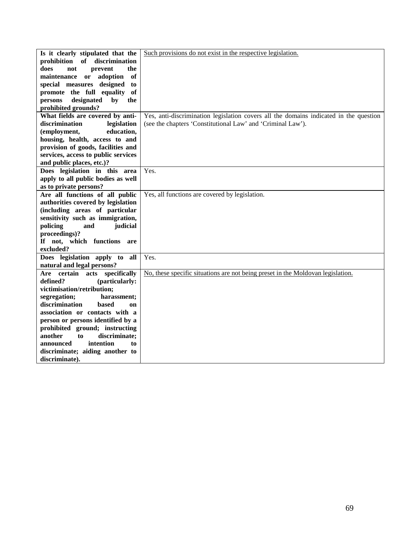| Is it clearly stipulated that the    | Such provisions do not exist in the respective legislation.                           |
|--------------------------------------|---------------------------------------------------------------------------------------|
| prohibition of<br>discrimination     |                                                                                       |
| does<br>prevent<br>the<br>not        |                                                                                       |
| of<br>maintenance<br>adoption<br>or  |                                                                                       |
| special measures designed<br>to      |                                                                                       |
| promote the full equality of         |                                                                                       |
| designated<br>persons<br>by<br>the   |                                                                                       |
| prohibited grounds?                  |                                                                                       |
| What fields are covered by anti-     | Yes, anti-discrimination legislation covers all the domains indicated in the question |
| discrimination<br>legislation        | (see the chapters 'Constitutional Law' and 'Criminal Law').                           |
| education,<br>(employment,           |                                                                                       |
| housing, health, access to and       |                                                                                       |
| provision of goods, facilities and   |                                                                                       |
|                                      |                                                                                       |
| services, access to public services  |                                                                                       |
| and public places, etc.)?            |                                                                                       |
| Does legislation in this area        | Yes.                                                                                  |
| apply to all public bodies as well   |                                                                                       |
| as to private persons?               |                                                                                       |
| Are all functions of all public      | Yes, all functions are covered by legislation.                                        |
| authorities covered by legislation   |                                                                                       |
| (including areas of particular       |                                                                                       |
| sensitivity such as immigration,     |                                                                                       |
| policing<br>judicial<br>and          |                                                                                       |
| proceedings)?                        |                                                                                       |
| If not, which functions<br>are       |                                                                                       |
| excluded?                            |                                                                                       |
| Does legislation apply to all        | Yes.                                                                                  |
| natural and legal persons?           |                                                                                       |
| Are certain acts specifically        | No, these specific situations are not being preset in the Moldovan legislation.       |
| defined?<br>(particularly:           |                                                                                       |
| victimisation/retribution;           |                                                                                       |
| segregation;<br>harassment;          |                                                                                       |
| discrimination<br><b>based</b><br>on |                                                                                       |
| association or contacts with a       |                                                                                       |
| person or persons identified by a    |                                                                                       |
| prohibited ground; instructing       |                                                                                       |
| discriminate;<br>another<br>to       |                                                                                       |
| intention<br>announced<br>to         |                                                                                       |
| discriminate; aiding another to      |                                                                                       |
| discriminate).                       |                                                                                       |
|                                      |                                                                                       |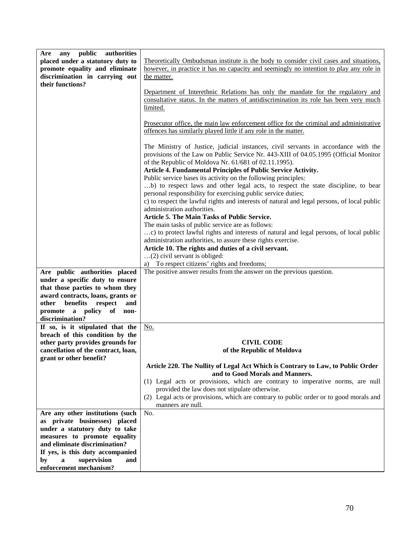| public<br>authorities<br>Are<br>any<br>placed under a statutory duty to<br>promote equality and eliminate<br>discrimination in carrying out<br>their functions?                 | Theoretically Ombudsman institute is the body to consider civil cases and situations,<br>however, in practice it has no capacity and seemingly no intention to play any role in<br>the matter.                                                                                                                                                                                                                                                                                                                                                                                                                                                                                                                                                                                                                                                                                                                                                                                                                                                                                                                                               |
|---------------------------------------------------------------------------------------------------------------------------------------------------------------------------------|----------------------------------------------------------------------------------------------------------------------------------------------------------------------------------------------------------------------------------------------------------------------------------------------------------------------------------------------------------------------------------------------------------------------------------------------------------------------------------------------------------------------------------------------------------------------------------------------------------------------------------------------------------------------------------------------------------------------------------------------------------------------------------------------------------------------------------------------------------------------------------------------------------------------------------------------------------------------------------------------------------------------------------------------------------------------------------------------------------------------------------------------|
|                                                                                                                                                                                 | Department of Interethnic Relations has only the mandate for the regulatory and<br>consultative status. In the matters of antidiscrimination its role has been very much<br>limited.                                                                                                                                                                                                                                                                                                                                                                                                                                                                                                                                                                                                                                                                                                                                                                                                                                                                                                                                                         |
|                                                                                                                                                                                 | Prosecutor office, the main law enforcement office for the criminal and administrative<br>offences has similarly played little if any role in the matter.                                                                                                                                                                                                                                                                                                                                                                                                                                                                                                                                                                                                                                                                                                                                                                                                                                                                                                                                                                                    |
| Are public authorities placed<br>under a specific duty to ensure<br>that those parties to whom they<br>award contracts, loans, grants or<br>benefits<br>respect<br>other<br>and | The Ministry of Justice, judicial instances, civil servants in accordance with the<br>provisions of the Law on Public Service Nr. 443-XIII of 04.05.1995 (Official Monitor<br>of the Republic of Moldova Nr. 61/681 of 02.11.1995).<br>Article 4. Fundamental Principles of Public Service Activity.<br>Public service bases its activity on the following principles:<br>b) to respect laws and other legal acts, to respect the state discipline, to bear<br>personal responsibility for exercising public service duties;<br>c) to respect the lawful rights and interests of natural and legal persons, of local public<br>administration authorities.<br>Article 5. The Main Tasks of Public Service.<br>The main tasks of public service are as follows:<br>c) to protect lawful rights and interests of natural and legal persons, of local public<br>administration authorities, to assure these rights exercise.<br>Article 10. The rights and duties of a civil servant.<br>(2) civil servant is obliged:<br>a) To respect citizens' rights and freedoms;<br>The positive answer results from the answer on the previous question. |
| promote a policy of<br>non-<br>discrimination?                                                                                                                                  |                                                                                                                                                                                                                                                                                                                                                                                                                                                                                                                                                                                                                                                                                                                                                                                                                                                                                                                                                                                                                                                                                                                                              |
| If so, is it stipulated that the<br>breach of this condition by the                                                                                                             | No.                                                                                                                                                                                                                                                                                                                                                                                                                                                                                                                                                                                                                                                                                                                                                                                                                                                                                                                                                                                                                                                                                                                                          |
| other party provides grounds for<br>cancellation of the contract, loan,<br>grant or other benefit?                                                                              | <b>CIVIL CODE</b><br>of the Republic of Moldova                                                                                                                                                                                                                                                                                                                                                                                                                                                                                                                                                                                                                                                                                                                                                                                                                                                                                                                                                                                                                                                                                              |
|                                                                                                                                                                                 | Article 220. The Nullity of Legal Act Which is Contrary to Law, to Public Order<br>and to Good Morals and Manners.<br>(1) Legal acts or provisions, which are contrary to imperative norms, are null<br>provided the law does not stipulate otherwise.<br>(2) Legal acts or provisions, which are contrary to public order or to good morals and                                                                                                                                                                                                                                                                                                                                                                                                                                                                                                                                                                                                                                                                                                                                                                                             |
|                                                                                                                                                                                 | manners are null.                                                                                                                                                                                                                                                                                                                                                                                                                                                                                                                                                                                                                                                                                                                                                                                                                                                                                                                                                                                                                                                                                                                            |
| Are any other institutions (such<br>as private businesses) placed<br>under a statutory duty to take                                                                             | No.                                                                                                                                                                                                                                                                                                                                                                                                                                                                                                                                                                                                                                                                                                                                                                                                                                                                                                                                                                                                                                                                                                                                          |
| measures to promote equality<br>and eliminate discrimination?                                                                                                                   |                                                                                                                                                                                                                                                                                                                                                                                                                                                                                                                                                                                                                                                                                                                                                                                                                                                                                                                                                                                                                                                                                                                                              |
| If yes, is this duty accompanied                                                                                                                                                |                                                                                                                                                                                                                                                                                                                                                                                                                                                                                                                                                                                                                                                                                                                                                                                                                                                                                                                                                                                                                                                                                                                                              |
| supervision<br>and<br>by<br>a<br>enforcement mechanism?                                                                                                                         |                                                                                                                                                                                                                                                                                                                                                                                                                                                                                                                                                                                                                                                                                                                                                                                                                                                                                                                                                                                                                                                                                                                                              |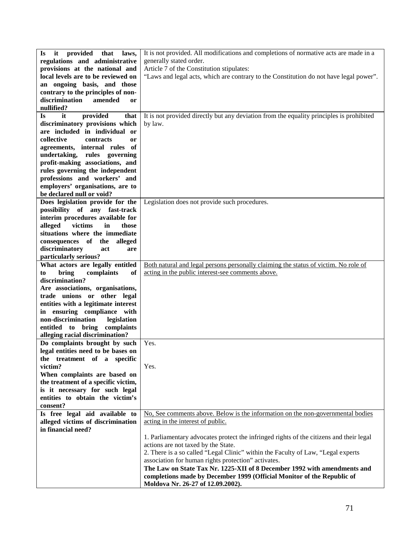| it provided that<br>laws,<br>Is.         | It is not provided. All modifications and completions of normative acts are made in a    |
|------------------------------------------|------------------------------------------------------------------------------------------|
| regulations and administrative           | generally stated order.                                                                  |
| provisions at the national and           | Article 7 of the Constitution stipulates:                                                |
| local levels are to be reviewed on       | "Laws and legal acts, which are contrary to the Constitution do not have legal power".   |
| an ongoing basis, and those              |                                                                                          |
| contrary to the principles of non-       |                                                                                          |
| discrimination<br>amended<br><b>or</b>   |                                                                                          |
|                                          |                                                                                          |
| nullified?                               |                                                                                          |
| provided<br>it<br>that<br><b>Is</b>      | It is not provided directly but any deviation from the equality principles is prohibited |
| discriminatory provisions which          | by law.                                                                                  |
| are included in individual or            |                                                                                          |
| collective<br>contracts<br><sub>or</sub> |                                                                                          |
| agreements, internal rules of            |                                                                                          |
| undertaking, rules governing             |                                                                                          |
| profit-making associations, and          |                                                                                          |
| rules governing the independent          |                                                                                          |
| professions and workers' and             |                                                                                          |
|                                          |                                                                                          |
| employers' organisations, are to         |                                                                                          |
| be declared null or void?                |                                                                                          |
| Does legislation provide for the         | Legislation does not provide such procedures.                                            |
| possibility of any fast-track            |                                                                                          |
| interim procedures available for         |                                                                                          |
| victims<br>in<br>alleged<br>those        |                                                                                          |
| situations where the immediate           |                                                                                          |
| consequences of the alleged              |                                                                                          |
| discriminatory<br>act<br>are             |                                                                                          |
|                                          |                                                                                          |
| particularly serious?                    |                                                                                          |
| What actors are legally entitled         | Both natural and legal persons personally claiming the status of victim. No role of      |
| bring<br>complaints<br>of<br>to          | acting in the public interest-see comments above.                                        |
| discrimination?                          |                                                                                          |
| Are associations, organisations,         |                                                                                          |
| trade unions or other legal              |                                                                                          |
| entities with a legitimate interest      |                                                                                          |
| in ensuring compliance with              |                                                                                          |
| non-discrimination<br>legislation        |                                                                                          |
| entitled to bring<br>complaints          |                                                                                          |
| alleging racial discrimination?          |                                                                                          |
| Do complaints brought by such            | Yes.                                                                                     |
| legal entities need to be bases on       |                                                                                          |
| the treatment of a specific              |                                                                                          |
| victim?                                  |                                                                                          |
|                                          | Yes.                                                                                     |
| When complaints are based on             |                                                                                          |
| the treatment of a specific victim,      |                                                                                          |
| is it necessary for such legal           |                                                                                          |
| entities to obtain the victim's          |                                                                                          |
| consent?                                 |                                                                                          |
| Is free legal aid available to           | No, See comments above. Below is the information on the non-governmental bodies          |
| alleged victims of discrimination        | acting in the interest of public.                                                        |
| in financial need?                       |                                                                                          |
|                                          | 1. Parliamentary advocates protect the infringed rights of the citizens and their legal  |
|                                          | actions are not taxed by the State.                                                      |
|                                          | 2. There is a so called "Legal Clinic" within the Faculty of Law, "Legal experts         |
|                                          | association for human rights protection" activates.                                      |
|                                          | The Law on State Tax Nr. 1225-XII of 8 December 1992 with amendments and                 |
|                                          |                                                                                          |
|                                          | completions made by December 1999 (Official Monitor of the Republic of                   |
|                                          | Moldova Nr. 26-27 of 12.09.2002).                                                        |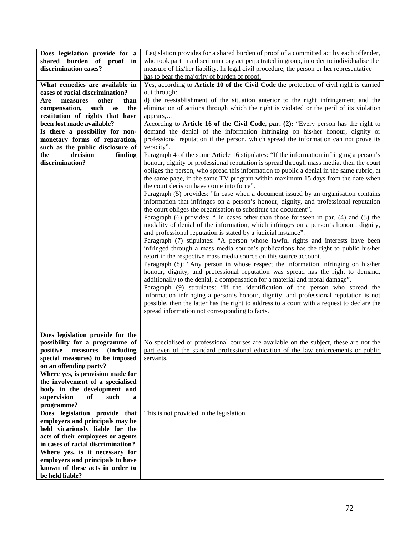| Does legislation provide for a     | Legislation provides for a shared burden of proof of a committed act by each offender,      |
|------------------------------------|---------------------------------------------------------------------------------------------|
| shared burden of proof in          | who took part in a discriminatory act perpetrated in group, in order to individualise the   |
| discrimination cases?              | measure of his/her liability. In legal civil procedure, the person or her representative    |
|                                    | has to bear the majority of burden of proof.                                                |
| What remedies are available in     | Yes, according to Article 10 of the Civil Code the protection of civil right is carried     |
| cases of racial discrimination?    | out through:                                                                                |
| Are<br>measures<br>other<br>than   | d) the reestablishment of the situation anterior to the right infringement and the          |
|                                    |                                                                                             |
| such<br>the<br>compensation,<br>as | elimination of actions through which the right is violated or the peril of its violation    |
| restitution of rights that have    | appears,                                                                                    |
| been lost made available?          | According to Article 16 of the Civil Code, par. (2): "Every person has the right to         |
| Is there a possibility for non-    | demand the denial of the information infringing on his/her honour, dignity or               |
| monetary forms of reparation,      | professional reputation if the person, which spread the information can not prove its       |
| such as the public disclosure of   | veracity".                                                                                  |
| decision<br>the<br>finding         | Paragraph 4 of the same Article 16 stipulates: "If the information infringing a person's    |
| discrimination?                    | honour, dignity or professional reputation is spread through mass media, then the court     |
|                                    | obliges the person, who spread this information to public a denial in the same rubric, at   |
|                                    | the same page, in the same TV program within maximum 15 days from the date when             |
|                                    | the court decision have come into force".                                                   |
|                                    | Paragraph (5) provides: "In case when a document issued by an organisation contains         |
|                                    | information that infringes on a person's honour, dignity, and professional reputation       |
|                                    | the court obliges the organisation to substitute the document".                             |
|                                    |                                                                                             |
|                                    | Paragraph (6) provides: " In cases other than those foreseen in par. (4) and (5) the        |
|                                    | modality of denial of the information, which infringes on a person's honour, dignity,       |
|                                    | and professional reputation is stated by a judicial instance".                              |
|                                    | Paragraph (7) stipulates: "A person whose lawful rights and interests have been             |
|                                    | infringed through a mass media source's publications has the right to public his/her        |
|                                    | retort in the respective mass media source on this source account.                          |
|                                    | Paragraph (8): "Any person in whose respect the information infringing on his/her           |
|                                    | honour, dignity, and professional reputation was spread has the right to demand,            |
|                                    | additionally to the denial, a compensation for a material and moral damage".                |
|                                    | Paragraph (9) stipulates: "If the identification of the person who spread the               |
|                                    | information infringing a person's honour, dignity, and professional reputation is not       |
|                                    | possible, then the latter has the right to address to a court with a request to declare the |
|                                    | spread information not corresponding to facts.                                              |
|                                    |                                                                                             |
|                                    |                                                                                             |
| Does legislation provide for the   |                                                                                             |
|                                    |                                                                                             |
| possibility for a programme of     | No specialised or professional courses are available on the subject, these are not the      |
| positive measures (including       | part even of the standard professional education of the law enforcements or public          |
| special measures) to be imposed    | servants.                                                                                   |
| on an offending party?             |                                                                                             |
| Where yes, is provision made for   |                                                                                             |
| the involvement of a specialised   |                                                                                             |
| body in the development and        |                                                                                             |
| supervision<br>of<br>such<br>a     |                                                                                             |
| programme?                         |                                                                                             |
| Does legislation provide that      | This is not provided in the legislation.                                                    |
| employers and principals may be    |                                                                                             |
| held vicariously liable for the    |                                                                                             |
| acts of their employees or agents  |                                                                                             |
| in cases of racial discrimination? |                                                                                             |
|                                    |                                                                                             |
| Where yes, is it necessary for     |                                                                                             |
| employers and principals to have   |                                                                                             |
| known of these acts in order to    |                                                                                             |
| be held liable?                    |                                                                                             |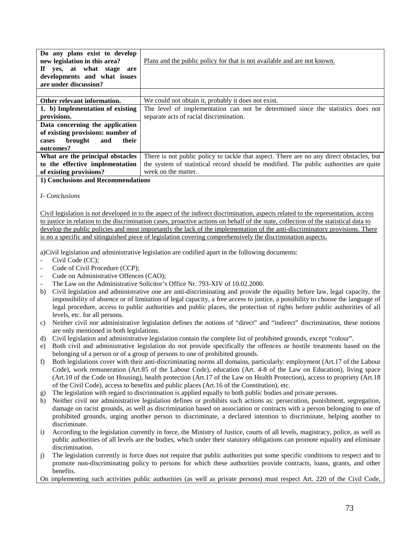| Do any plans exist to develop<br>new legislation in this area?<br>If yes, at what stage<br>are<br>developments and what issues<br>are under discussion? | Plans and the public policy for that is not available and are not known.                 |
|---------------------------------------------------------------------------------------------------------------------------------------------------------|------------------------------------------------------------------------------------------|
|                                                                                                                                                         |                                                                                          |
| Other relevant information.                                                                                                                             | We could not obtain it, probably it does not exist.                                      |
| 1. b) Implementation of existing                                                                                                                        | The level of implementation can not be determined since the statistics does not          |
| provisions.                                                                                                                                             | separate acts of racial discrimination.                                                  |
| Data concerning the application                                                                                                                         |                                                                                          |
| of existing provisions: number of                                                                                                                       |                                                                                          |
| their<br>brought<br>and<br>cases                                                                                                                        |                                                                                          |
| outcomes?                                                                                                                                               |                                                                                          |
| What are the principal obstacles                                                                                                                        | There is not public policy to tackle that aspect. There are no any direct obstacles, but |
| to the effective implementation                                                                                                                         | the system of statistical record should be modified. The public authorities are quite    |
| of existing provisions?                                                                                                                                 | week on the matter.                                                                      |

## **1) Conclusions and Recommendations**

## *I- Conclusions*

Civil legislation is not developed in to the aspect of the indirect discrimination, aspects related to the representation, access to justice in relation to the discrimination cases, proactive actions on behalf of the state, collection of the statistical data to develop the public policies and most importantly the lack of the implementation of the anti-discriminatory provisions. There is no a specific and sitinguished piece of legislation covering comprehensively the discrimination aspects.

a)Civil legislation and administrative legislation are codified apart in the following documents:

- Civil Code (CC);
- Code of Civil Procedure (CCP);
- Code on Administrative Offences (CAO);
- The Law on the Administrative Solicitor's Office Nr. 793-XIV of 10.02.2000.
- b) Civil legislation and administrative one are anti-discriminating and provide the equality before law, legal capacity, the impossibility of absence or of limitation of legal capacity, a free access to justice, a possibility to choose the language of legal procedure, access to public authorities and public places, the protection of rights before public authorities of all levels, etc. for all persons.
- c) Neither civil nor administrative legislation defines the notions of "direct" and "indirect" discrimination, these notions are only mentioned in both legislations.
- d) Civil legislation and administrative legislation contain the complete list of prohibited grounds, except "colour".
- e) Both civil and administrative legislation do not provide specifically the offences or hostile treatments based on the belonging of a person or of a group of persons to one of prohibited grounds.
- f) Both legislations cover with their anti-discriminating norms all domains, particularly: employment (Art.17 of the Labour Code), work remuneration (Art.85 of the Labour Code), education (Art. 4-8 of the Law on Education), living space (Art.10 of the Code on Housing), health protection (Art.17 of the Law on Health Protection), access to propriety (Art.18 of the Civil Code), access to benefits and public places (Art.16 of the Constitution), etc.
- g) The legislation with regard to discrimination is applied equally to both public bodies and private persons.
- h) Neither civil nor administrative legislation defines or prohibits such actions as: persecution, punishment, segregation, damage on racist grounds, as well as discrimination based on association or contracts with a person belonging to one of prohibited grounds, urging another person to discriminate, a declared intention to discriminate, helping another to discriminate.
- i) According to the legislation currently in force, the Ministry of Justice, courts of all levels, magistracy, police, as well as public authorities of all levels are the bodies, which under their statutory obligations can promote equality and eliminate discrimination.
- j) The legislation currently in force does not require that public authorities put some specific conditions to respect and to promote non-discriminating policy to persons for which these authorities provide contracts, loans, grants, and other benefits.

On implementing such activities public authorities (as well as private persons) must respect Art. 220 of the Civil Code,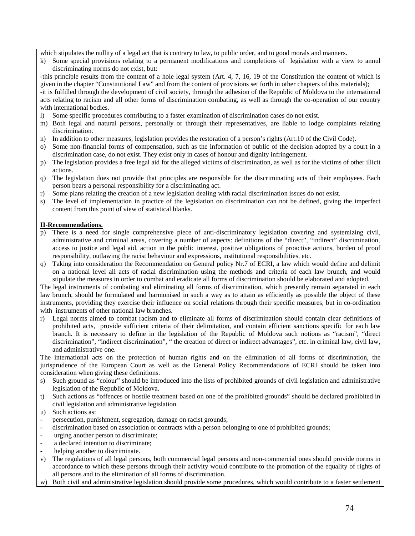which stipulates the nullity of a legal act that is contrary to law, to public order, and to good morals and manners.

k) Some special provisions relating to a permanent modifications and completions of legislation with a view to annul discriminating norms do not exist, but:

-this principle results from the content of a hole legal system (Art. 4, 7, 16, 19 of the Constitution the content of which is given in the chapter "Constitutional Law" and from the content of provisions set forth in other chapters of this materials);

-it is fulfilled through the development of civil society, through the adhesion of the Republic of Moldova to the international acts relating to racism and all other forms of discrimination combating, as well as through the co-operation of our country with international bodies.

- l) Some specific procedures contributing to a faster examination of discrimination cases do not exist.
- m) Both legal and natural persons, personally or through their representatives, are liable to lodge complaints relating discrimination.
- n) In addition to other measures, legislation provides the restoration of a person's rights (Art.10 of the Civil Code).
- o) Some non-financial forms of compensation, such as the information of public of the decision adopted by a court in a discrimination case, do not exist. They exist only in cases of honour and dignity infringement.
- p) The legislation provides a free legal aid for the alleged victims of discrimination, as well as for the victims of other illicit actions.
- q) The legislation does not provide that principles are responsible for the discriminating acts of their employees. Each person bears a personal responsibility for a discriminating act.
- r) Some plans relating the creation of a new legislation dealing with racial discrimination issues do not exist.
- s) The level of implementation in practice of the legislation on discrimination can not be defined, giving the imperfect content from this point of view of statistical blanks.

## **II-Recommendations.**

- p) There is a need for single comprehensive piece of anti-discriminatory legislation covering and systemizing civil, administrative and criminal areas, covering a number of aspects: definitions of the "direct", "indirect" discrimination, access to justice and legal aid, action in the public interest, positive obligations of proactive actions, burden of proof responsibility, outlawing the racist behaviour and expressions, institutional responsibilities, etc.
- q) Taking into consideration the Recommendation on General policy Nr.7 of ECRI, a law which would define and delimit on a national level all acts of racial discrimination using the methods and criteria of each law brunch, and would stipulate the measures in order to combat and eradicate all forms of discrimination should be elaborated and adopted.

The legal instruments of combating and eliminating all forms of discrimination, which presently remain separated in each law brunch, should be formulated and harmonised in such a way as to attain as efficiently as possible the object of these instruments, providing they exercise their influence on social relations through their specific measures, but in co-ordination with instruments of other national law branches.

r) Legal norms aimed to combat racism and to eliminate all forms of discrimination should contain clear definitions of prohibited acts, provide sufficient criteria of their delimitation, and contain efficient sanctions specific for each law branch. It is necessary to define in the legislation of the Republic of Moldova such notions as "racism", "direct discrimination", "indirect discrimination", " the creation of direct or indirect advantages", etc. in criminal law, civil law, and administrative one.

The international acts on the protection of human rights and on the elimination of all forms of discrimination, the jurisprudence of the European Court as well as the General Policy Recommendations of ECRI should be taken into consideration when giving these definitions.

- s) Such ground as "colour" should be introduced into the lists of prohibited grounds of civil legislation and administrative legislation of the Republic of Moldova.
- t) Such actions as "offences or hostile treatment based on one of the prohibited grounds" should be declared prohibited in civil legislation and administrative legislation.
- u) Such actions as:
- persecution, punishment, segregation, damage on racist grounds;
- discrimination based on association or contracts with a person belonging to one of prohibited grounds;
- urging another person to discriminate;
- a declared intention to discriminate:
- helping another to discriminate.
- v) The regulations of all legal persons, both commercial legal persons and non-commercial ones should provide norms in accordance to which these persons through their activity would contribute to the promotion of the equality of rights of all persons and to the elimination of all forms of discrimination.
- w) Both civil and administrative legislation should provide some procedures, which would contribute to a faster settlement